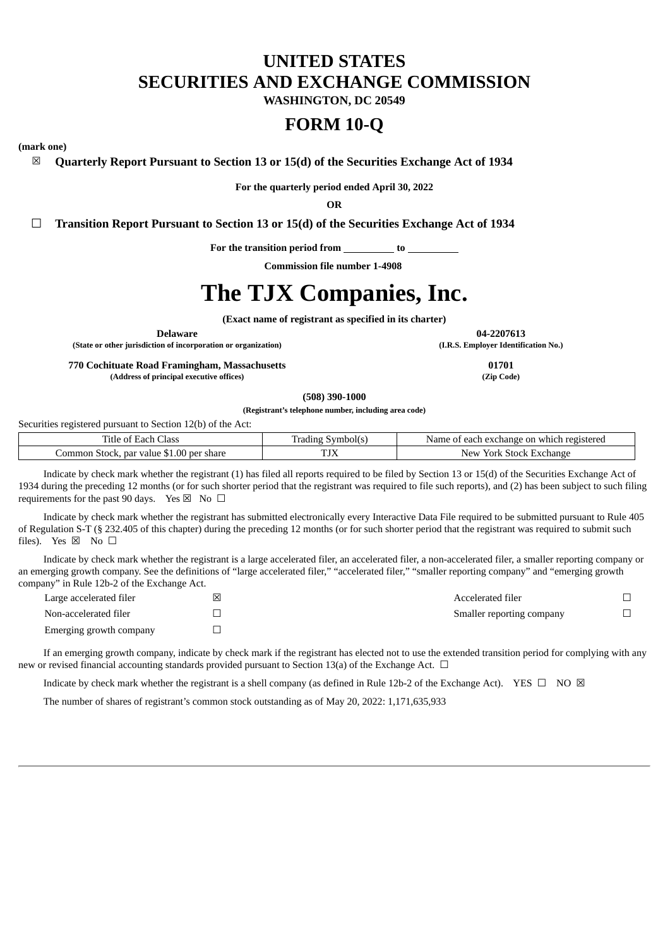# **UNITED STATES SECURITIES AND EXCHANGE COMMISSION**

**WASHINGTON, DC 20549**

# **FORM 10-Q**

### **(mark one)**

☒ **Quarterly Report Pursuant to Section 13 or 15(d) of the Securities Exchange Act of 1934**

**For the quarterly period ended April 30, 2022**

**OR**

☐ **Transition Report Pursuant to Section 13 or 15(d) of the Securities Exchange Act of 1934**

**For the transition period from to**

**Commission file number 1-4908**

# **The TJX Companies, Inc.**

**(Exact name of registrant as specified in its charter)**

**(State or other jurisdiction of incorporation or organization) (I.R.S. Employer Identification No.)**

**Delaware 04-2207613**

**770 Cochituate Road Framingham, Massachusetts 01701 (Address of principal executive offices) (Zip Code)**

**(508) 390-1000**

**(Registrant's telephone number, including area code)**

Securities registered pursuant to Section 12(b) of the Act:

| m.<br>ritle<br>Class *<br>⊥ach<br>- OT                      | vmbol( s<br>radıng .<br>. <i>. .</i> | registereg<br>on<br><b>Name</b><br>$\mu$ which<br>:hange<br>each<br>exc |
|-------------------------------------------------------------|--------------------------------------|-------------------------------------------------------------------------|
| $\sim$<br>per share<br>ommor<br>-par value<br>Stock.<br>LUU | T T T<br>T J V                       | New<br>Exchange<br>Stock<br>York                                        |

Indicate by check mark whether the registrant (1) has filed all reports required to be filed by Section 13 or 15(d) of the Securities Exchange Act of 1934 during the preceding 12 months (or for such shorter period that the registrant was required to file such reports), and (2) has been subject to such filing requirements for the past 90 days. Yes  $\boxtimes$  No  $\Box$ 

Indicate by check mark whether the registrant has submitted electronically every Interactive Data File required to be submitted pursuant to Rule 405 of Regulation S-T (§ 232.405 of this chapter) during the preceding 12 months (or for such shorter period that the registrant was required to submit such files). Yes  $\boxtimes$  No  $\square$ 

Indicate by check mark whether the registrant is a large accelerated filer, an accelerated filer, a non-accelerated filer, a smaller reporting company or an emerging growth company. See the definitions of "large accelerated filer," "accelerated filer," "smaller reporting company" and "emerging growth company" in Rule 12b-2 of the Exchange Act.

| Large accelerated filer | × | Accelerated filer         |  |
|-------------------------|---|---------------------------|--|
| Non-accelerated filer   |   | Smaller reporting company |  |
| Emerging growth company |   |                           |  |

If an emerging growth company, indicate by check mark if the registrant has elected not to use the extended transition period for complying with any new or revised financial accounting standards provided pursuant to Section 13(a) of the Exchange Act.  $\Box$ 

Indicate by check mark whether the registrant is a shell company (as defined in Rule 12b-2 of the Exchange Act). YES  $\Box$  NO  $\boxtimes$ 

The number of shares of registrant's common stock outstanding as of May 20, 2022: 1,171,635,933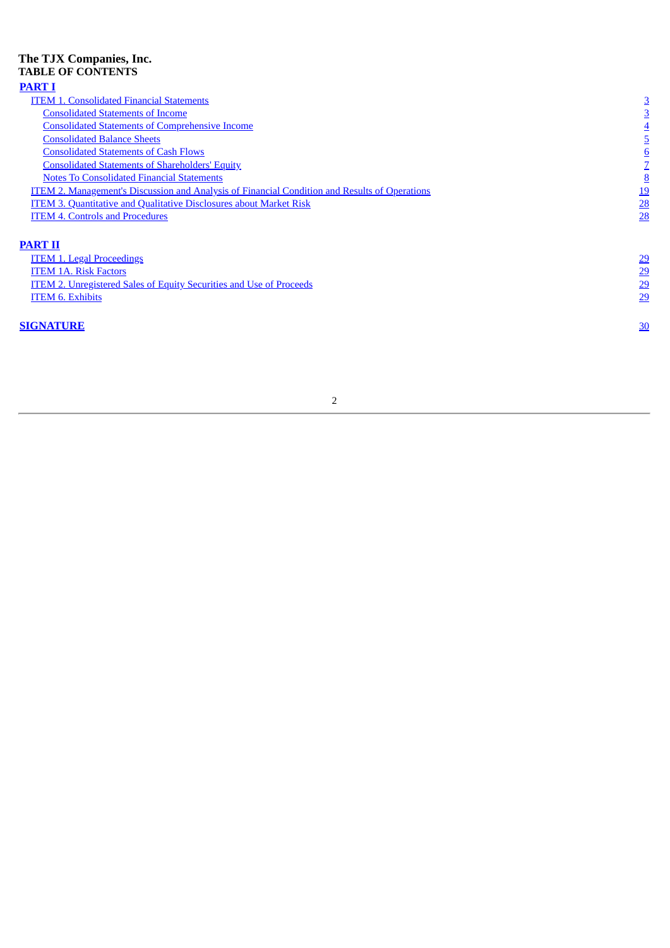# **The TJX Companies, Inc. TABLE OF CONTENTS**

# **[PART](#page-2-0) I**

[ITEM](#page-2-0) 1. [Consolidated](#page-2-0) Financial [Statements](#page-2-0) [3](#page-2-0)<br>Consolidated Statements of Income 3

**[Consolidated](#page-2-1) Statements of Income** 

Consolidated Statements of [Comprehensive](#page-2-2) Income [4](#page-2-2)

**[Consolidated](#page-3-0) Balance Sheets** [5](#page-3-0)

[Consolidated](#page-4-0) Statements of Cash Flows [6](#page-4-0)

**Consolidated Statements of [Shareholders'](#page-5-0) Equity [7](#page-5-0)** 

Notes To [Consolidated](#page-6-0) Financial Statements<br>
<u>EM 2. Management's Discussion and Analysis of Financial Condition and Results of Operations</u> ITEM 2. [Management's](#page-17-0) Discussion and Analysis of Financial Condition and Results of Operations<br>ITEM 3. Quantitative and Qualitative Disclosures about Market Risk

ITEM 3. [Quantitative](#page-27-0) and Qualitative Disclosures about Market Risk

**ITEM 4. Controls and [Procedures](#page-27-1)** [28](#page-27-1)

# **[PART](#page-27-2) II**

FIEM 1. Legal [Proceedings](#page-28-0) [29](#page-28-0)<br>
<u>ITEM 1A. Risk Factors</u> 29 FREM 1A. Risk [Factors](#page-28-1)<br>
<u>ITEM 2. Unregistered Sales of Equity Securities and Use of Proceeds</u><br>
<u>ITEM 6. Exhibits</u> [29](#page-28-1) ITEM 2. [Unregistered](#page-28-2) Sales of Equity Securities and Use of Proceeds ITEM 6. [Exhibits](#page-28-3)

# **[SIGNATURE](#page-29-0)** [30](#page-29-0)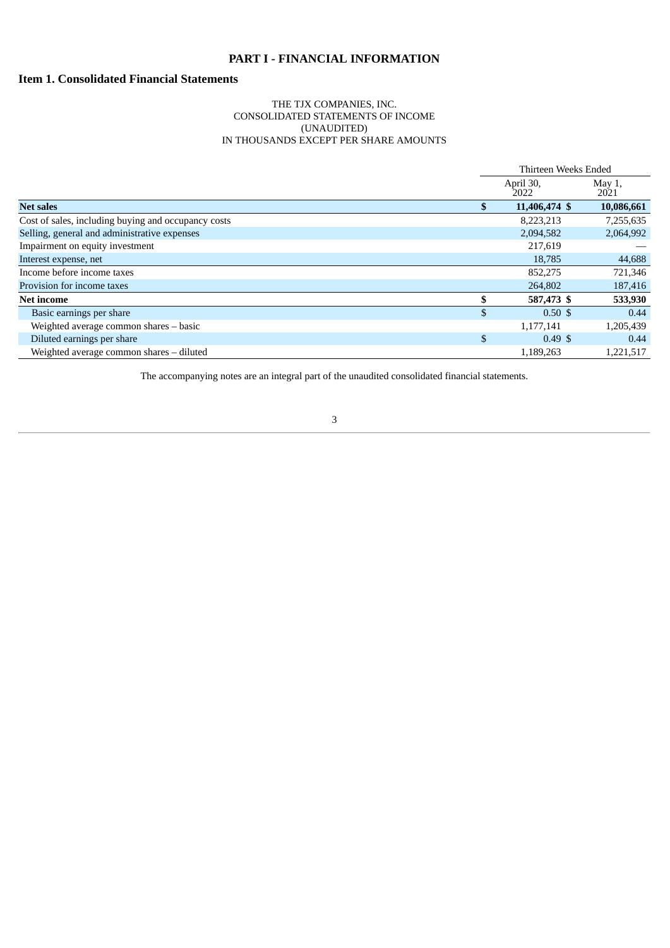# **PART I - FINANCIAL INFORMATION**

# <span id="page-2-1"></span><span id="page-2-0"></span>**Item 1. Consolidated Financial Statements**

### THE TJX COMPANIES, INC. CONSOLIDATED STATEMENTS OF INCOME (UNAUDITED) IN THOUSANDS EXCEPT PER SHARE AMOUNTS

|                                                     | Thirteen Weeks Ended     |                  |  |  |
|-----------------------------------------------------|--------------------------|------------------|--|--|
|                                                     | April 30,<br>2022        | May $1,$<br>2021 |  |  |
| <b>Net sales</b>                                    | \$<br>11,406,474 \$      | 10,086,661       |  |  |
| Cost of sales, including buying and occupancy costs | 8,223,213                | 7,255,635        |  |  |
| Selling, general and administrative expenses        | 2,094,582                | 2,064,992        |  |  |
| Impairment on equity investment                     | 217,619                  |                  |  |  |
| Interest expense, net                               | 18,785                   | 44,688           |  |  |
| Income before income taxes                          | 852,275                  | 721,346          |  |  |
| Provision for income taxes                          | 264,802                  | 187,416          |  |  |
| <b>Net income</b>                                   | 587,473 \$               | 533,930          |  |  |
| Basic earnings per share                            | \$<br>$0.50 \text{ }$ \$ | 0.44             |  |  |
| Weighted average common shares - basic              | 1,177,141                | 1,205,439        |  |  |
| Diluted earnings per share                          | \$<br>$0.49 \text{ } $$  | 0.44             |  |  |
| Weighted average common shares - diluted            | 1.189.263                | 1.221.517        |  |  |

<span id="page-2-2"></span>The accompanying notes are an integral part of the unaudited consolidated financial statements.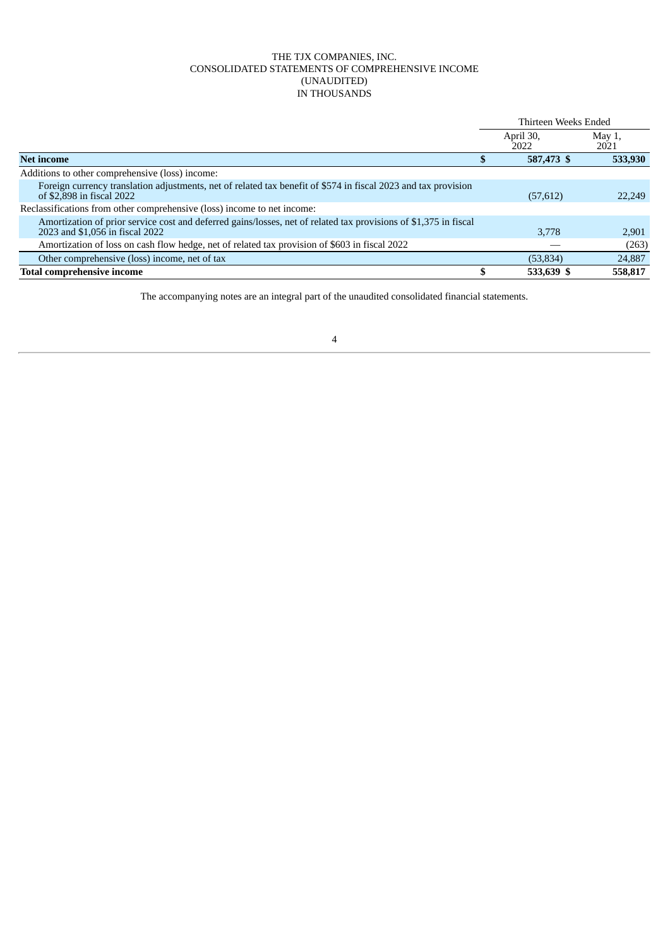# THE TJX COMPANIES, INC. CONSOLIDATED STATEMENTS OF COMPREHENSIVE INCOME (UNAUDITED) IN THOUSANDS

|                                                                                                                                                     | Thirteen Weeks Ended |                   |
|-----------------------------------------------------------------------------------------------------------------------------------------------------|----------------------|-------------------|
|                                                                                                                                                     | April 30,<br>2022    | May $1$ ,<br>2021 |
| <b>Net income</b>                                                                                                                                   | 587,473 \$           | 533,930           |
| Additions to other comprehensive (loss) income:                                                                                                     |                      |                   |
| Foreign currency translation adjustments, net of related tax benefit of \$574 in fiscal 2023 and tax provision<br>of \$2,898 in fiscal 2022         | (57, 612)            | 22,249            |
| Reclassifications from other comprehensive (loss) income to net income:                                                                             |                      |                   |
| Amortization of prior service cost and deferred gains/losses, net of related tax provisions of \$1,375 in fiscal<br>2023 and \$1,056 in fiscal 2022 | 3.778                | 2,901             |
| Amortization of loss on cash flow hedge, net of related tax provision of \$603 in fiscal 2022                                                       |                      | (263)             |
| Other comprehensive (loss) income, net of tax                                                                                                       | (53, 834)            | 24,887            |
| <b>Total comprehensive income</b>                                                                                                                   | 533,639 \$           | 558,817           |

<span id="page-3-0"></span>The accompanying notes are an integral part of the unaudited consolidated financial statements.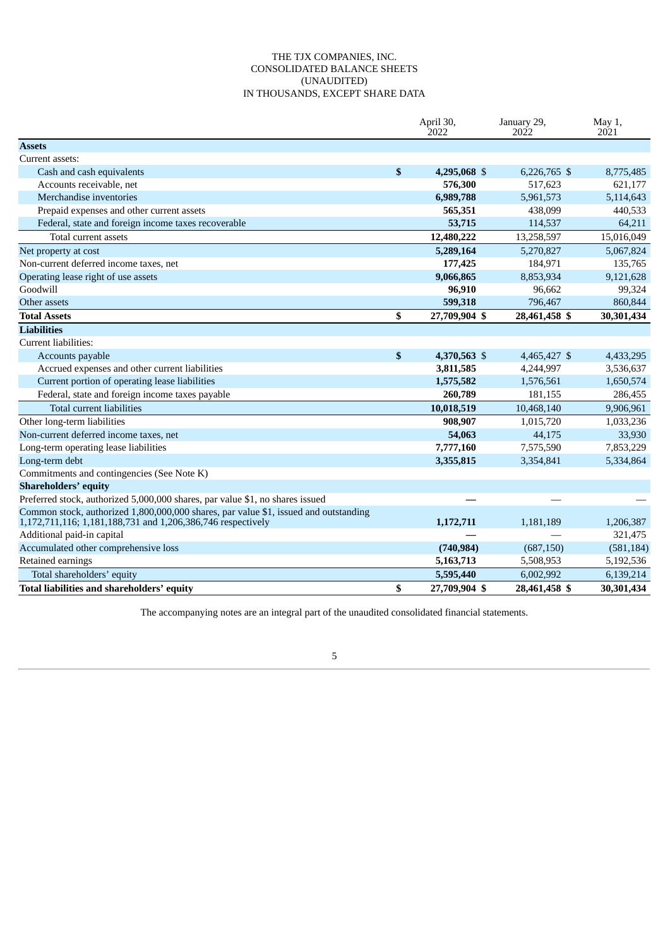# THE TJX COMPANIES, INC. CONSOLIDATED BALANCE SHEETS (UNAUDITED) IN THOUSANDS, EXCEPT SHARE DATA

|                                                                                                                                                     | April 30,<br>2022   | January 29,<br><b>2022</b> | May 1,<br>2021 |
|-----------------------------------------------------------------------------------------------------------------------------------------------------|---------------------|----------------------------|----------------|
| <b>Assets</b>                                                                                                                                       |                     |                            |                |
| Current assets:                                                                                                                                     |                     |                            |                |
| Cash and cash equivalents                                                                                                                           | \$<br>4,295,068 \$  | 6,226,765 \$               | 8,775,485      |
| Accounts receivable, net                                                                                                                            | 576,300             | 517,623                    | 621,177        |
| Merchandise inventories                                                                                                                             | 6,989,788           | 5,961,573                  | 5,114,643      |
| Prepaid expenses and other current assets                                                                                                           | 565,351             | 438,099                    | 440,533        |
| Federal, state and foreign income taxes recoverable                                                                                                 | 53,715              | 114,537                    | 64,211         |
| Total current assets                                                                                                                                | 12,480,222          | 13,258,597                 | 15,016,049     |
| Net property at cost                                                                                                                                | 5,289,164           | 5,270,827                  | 5,067,824      |
| Non-current deferred income taxes, net                                                                                                              | 177,425             | 184,971                    | 135,765        |
| Operating lease right of use assets                                                                                                                 | 9,066,865           | 8,853,934                  | 9,121,628      |
| Goodwill                                                                                                                                            | 96,910              | 96,662                     | 99,324         |
| Other assets                                                                                                                                        | 599,318             | 796,467                    | 860,844        |
| <b>Total Assets</b>                                                                                                                                 | \$<br>27,709,904 \$ | 28,461,458 \$              | 30,301,434     |
| <b>Liabilities</b>                                                                                                                                  |                     |                            |                |
| Current liabilities:                                                                                                                                |                     |                            |                |
| Accounts payable                                                                                                                                    | \$<br>4,370,563 \$  | 4,465,427 \$               | 4,433,295      |
| Accrued expenses and other current liabilities                                                                                                      | 3,811,585           | 4,244,997                  | 3,536,637      |
| Current portion of operating lease liabilities                                                                                                      | 1,575,582           | 1,576,561                  | 1,650,574      |
| Federal, state and foreign income taxes payable                                                                                                     | 260,789             | 181,155                    | 286,455        |
| Total current liabilities                                                                                                                           | 10,018,519          | 10,468,140                 | 9,906,961      |
| Other long-term liabilities                                                                                                                         | 908,907             | 1,015,720                  | 1,033,236      |
| Non-current deferred income taxes, net                                                                                                              | 54,063              | 44,175                     | 33,930         |
| Long-term operating lease liabilities                                                                                                               | 7,777,160           | 7,575,590                  | 7,853,229      |
| Long-term debt                                                                                                                                      | 3,355,815           | 3,354,841                  | 5,334,864      |
| Commitments and contingencies (See Note K)                                                                                                          |                     |                            |                |
| <b>Shareholders' equity</b>                                                                                                                         |                     |                            |                |
| Preferred stock, authorized 5,000,000 shares, par value \$1, no shares issued                                                                       |                     |                            |                |
| Common stock, authorized 1,800,000,000 shares, par value \$1, issued and outstanding<br>1,172,711,116; 1,181,188,731 and 1,206,386,746 respectively | 1,172,711           | 1,181,189                  | 1,206,387      |
| Additional paid-in capital                                                                                                                          |                     |                            | 321,475        |
| Accumulated other comprehensive loss                                                                                                                | (740, 984)          | (687, 150)                 | (581, 184)     |
| Retained earnings                                                                                                                                   | 5,163,713           | 5,508,953                  | 5,192,536      |
| Total shareholders' equity                                                                                                                          | 5,595,440           | 6,002,992                  | 6,139,214      |
| Total liabilities and shareholders' equity                                                                                                          | \$<br>27,709,904 \$ | 28,461,458 \$              | 30,301,434     |

<span id="page-4-0"></span>The accompanying notes are an integral part of the unaudited consolidated financial statements.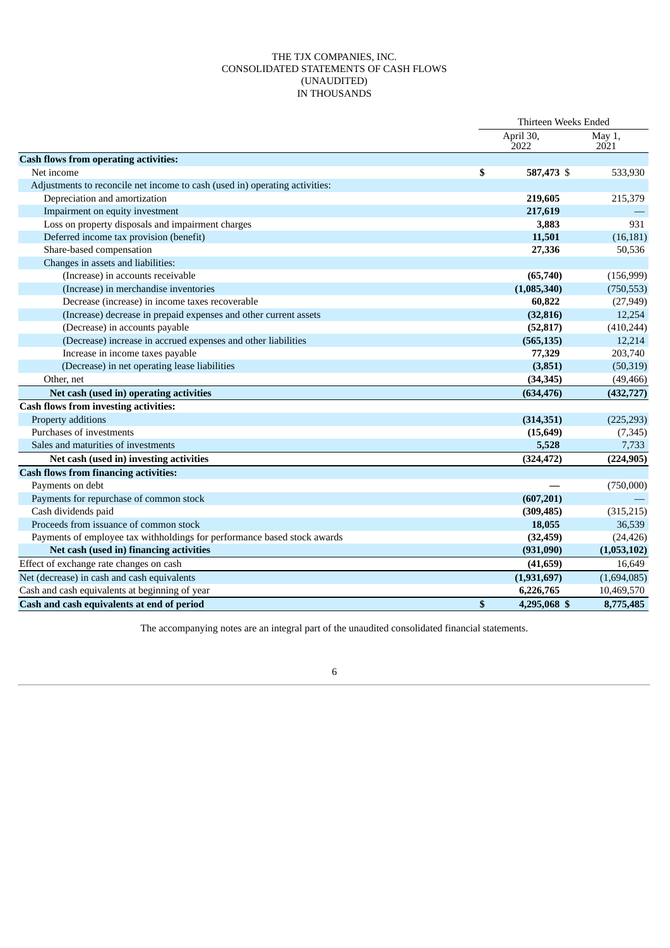# THE TJX COMPANIES, INC. CONSOLIDATED STATEMENTS OF CASH FLOWS (UNAUDITED) IN THOUSANDS

|                                                                             | Thirteen Weeks Ended |                   |                   |  |
|-----------------------------------------------------------------------------|----------------------|-------------------|-------------------|--|
|                                                                             |                      | April 30,<br>2022 | May $1$ ,<br>2021 |  |
| <b>Cash flows from operating activities:</b>                                |                      |                   |                   |  |
| Net income                                                                  | \$                   | 587,473 \$        | 533,930           |  |
| Adjustments to reconcile net income to cash (used in) operating activities: |                      |                   |                   |  |
| Depreciation and amortization                                               |                      | 219,605           | 215,379           |  |
| Impairment on equity investment                                             |                      | 217,619           |                   |  |
| Loss on property disposals and impairment charges                           |                      | 3,883             | 931               |  |
| Deferred income tax provision (benefit)                                     |                      | 11,501            | (16, 181)         |  |
| Share-based compensation                                                    |                      | 27,336            | 50,536            |  |
| Changes in assets and liabilities:                                          |                      |                   |                   |  |
| (Increase) in accounts receivable                                           |                      | (65,740)          | (156, 999)        |  |
| (Increase) in merchandise inventories                                       |                      | (1,085,340)       | (750, 553)        |  |
| Decrease (increase) in income taxes recoverable                             |                      | 60,822            | (27, 949)         |  |
| (Increase) decrease in prepaid expenses and other current assets            |                      | (32, 816)         | 12,254            |  |
| (Decrease) in accounts payable                                              |                      | (52, 817)         | (410, 244)        |  |
| (Decrease) increase in accrued expenses and other liabilities               |                      | (565, 135)        | 12,214            |  |
| Increase in income taxes payable                                            |                      | 77,329            | 203,740           |  |
| (Decrease) in net operating lease liabilities                               |                      | (3, 851)          | (50, 319)         |  |
| Other, net                                                                  |                      | (34, 345)         | (49, 466)         |  |
| Net cash (used in) operating activities                                     |                      | (634, 476)        | (432, 727)        |  |
| <b>Cash flows from investing activities:</b>                                |                      |                   |                   |  |
| Property additions                                                          |                      | (314, 351)        | (225, 293)        |  |
| Purchases of investments                                                    |                      | (15, 649)         | (7, 345)          |  |
| Sales and maturities of investments                                         |                      | 5,528             | 7,733             |  |
| Net cash (used in) investing activities                                     |                      | (324, 472)        | (224, 905)        |  |
| <b>Cash flows from financing activities:</b>                                |                      |                   |                   |  |
| Payments on debt                                                            |                      |                   | (750,000)         |  |
| Payments for repurchase of common stock                                     |                      | (607, 201)        |                   |  |
| Cash dividends paid                                                         |                      | (309, 485)        | (315, 215)        |  |
| Proceeds from issuance of common stock                                      |                      | 18,055            | 36,539            |  |
| Payments of employee tax withholdings for performance based stock awards    |                      | (32, 459)         | (24, 426)         |  |
| Net cash (used in) financing activities                                     |                      | (931,090)         | (1,053,102)       |  |
| Effect of exchange rate changes on cash                                     |                      | (41, 659)         | 16,649            |  |
| Net (decrease) in cash and cash equivalents                                 |                      | (1,931,697)       | (1,694,085)       |  |
| Cash and cash equivalents at beginning of year                              |                      | 6,226,765         | 10,469,570        |  |
| Cash and cash equivalents at end of period                                  | \$                   | 4,295,068 \$      | 8,775,485         |  |

<span id="page-5-0"></span>The accompanying notes are an integral part of the unaudited consolidated financial statements.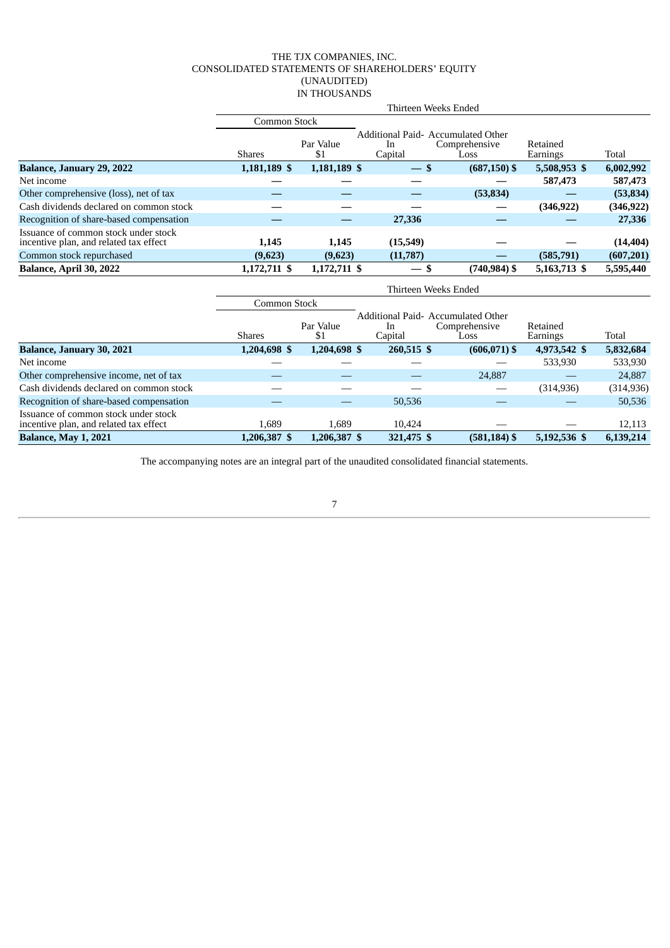# THE TJX COMPANIES, INC. CONSOLIDATED STATEMENTS OF SHAREHOLDERS' EQUITY (UNAUDITED) IN THOUSANDS

|                                                                                | Thirteen Weeks Ended |                  |                                                      |                       |                      |            |  |  |  |
|--------------------------------------------------------------------------------|----------------------|------------------|------------------------------------------------------|-----------------------|----------------------|------------|--|--|--|
|                                                                                | Common Stock         |                  |                                                      |                       |                      |            |  |  |  |
|                                                                                | <b>Shares</b>        | Par Value<br>\$1 | Additional Paid- Accumulated Other<br>-In<br>Capital | Comprehensive<br>Loss | Retained<br>Earnings | Total      |  |  |  |
| <b>Balance, January 29, 2022</b>                                               | 1,181,189 \$         | 1,181,189 \$     | $-s$                                                 | $(687,150)$ \$        | 5,508,953 \$         | 6,002,992  |  |  |  |
| Net income                                                                     |                      |                  |                                                      |                       | 587,473              | 587,473    |  |  |  |
| Other comprehensive (loss), net of tax                                         |                      |                  |                                                      | (53, 834)             |                      | (53, 834)  |  |  |  |
| Cash dividends declared on common stock                                        |                      |                  |                                                      |                       | (346, 922)           | (346, 922) |  |  |  |
| Recognition of share-based compensation                                        |                      |                  | 27,336                                               |                       |                      | 27,336     |  |  |  |
| Issuance of common stock under stock<br>incentive plan, and related tax effect | 1.145                | 1,145            | (15,549)                                             |                       |                      | (14, 404)  |  |  |  |
| Common stock repurchased                                                       | (9,623)              | (9,623)          | (11,787)                                             |                       | (585,791)            | (607, 201) |  |  |  |
| <b>Balance, April 30, 2022</b>                                                 | 1,172,711 \$         | 1,172,711 \$     | $\overbrace{\phantom{12333}}$                        | $(740, 984)$ \$       | 5,163,713 \$         | 5,595,440  |  |  |  |

|                                                                                | Thirteen Weeks Ended |                  |               |                                                             |                      |            |  |  |
|--------------------------------------------------------------------------------|----------------------|------------------|---------------|-------------------------------------------------------------|----------------------|------------|--|--|
|                                                                                | Common Stock         |                  |               |                                                             |                      |            |  |  |
|                                                                                | <b>Shares</b>        | Par Value<br>\$1 | 1n<br>Capital | Additional Paid- Accumulated Other<br>Comprehensive<br>Loss | Retained<br>Earnings | Total      |  |  |
| <b>Balance, January 30, 2021</b>                                               | 1,204,698 \$         | 1,204,698 \$     | 260,515 \$    | $(606, 071)$ \$                                             | 4,973,542 \$         | 5,832,684  |  |  |
| Net income                                                                     |                      |                  |               |                                                             | 533,930              | 533,930    |  |  |
| Other comprehensive income, net of tax                                         |                      |                  |               | 24,887                                                      |                      | 24,887     |  |  |
| Cash dividends declared on common stock                                        |                      |                  |               |                                                             | (314, 936)           | (314, 936) |  |  |
| Recognition of share-based compensation                                        |                      |                  | 50,536        |                                                             |                      | 50,536     |  |  |
| Issuance of common stock under stock<br>incentive plan, and related tax effect | 1.689                | 1.689            | 10.424        |                                                             |                      | 12,113     |  |  |
| <b>Balance, May 1, 2021</b>                                                    | 1,206,387 \$         | 1,206,387 \$     | 321,475 \$    | $(581, 184)$ \$                                             | 5,192,536 \$         | 6,139,214  |  |  |

<span id="page-6-0"></span>The accompanying notes are an integral part of the unaudited consolidated financial statements.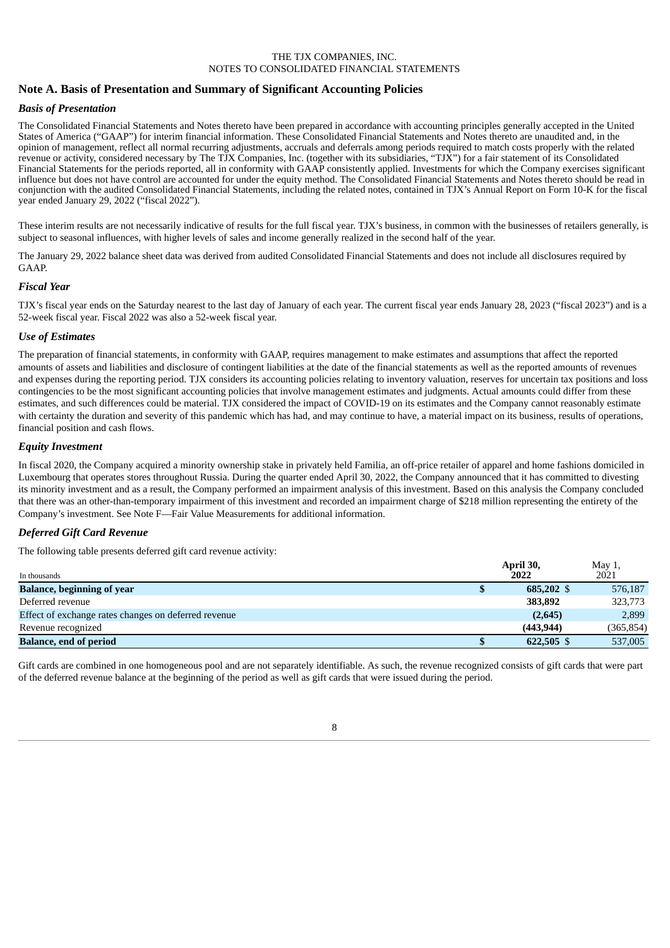#### THE TJX COMPANIES, INC. NOTES TO CONSOLIDATED FINANCIAL STATEMENTS

# **Note A. Basis of Presentation and Summary of Significant Accounting Policies**

#### *Basis of Presentation*

The Consolidated Financial Statements and Notes thereto have been prepared in accordance with accounting principles generally accepted in the United States of America ("GAAP") for interim financial information. These Consolidated Financial Statements and Notes thereto are unaudited and, in the opinion of management, reflect all normal recurring adjustments, accruals and deferrals among periods required to match costs properly with the related revenue or activity, considered necessary by The TJX Companies, Inc. (together with its subsidiaries, "TJX") for a fair statement of its Consolidated Financial Statements for the periods reported, all in conformity with GAAP consistently applied. Investments for which the Company exercises significant influence but does not have control are accounted for under the equity method. The Consolidated Financial Statements and Notes thereto should be read in conjunction with the audited Consolidated Financial Statements, including the related notes, contained in TJX's Annual Report on Form 10-K for the fiscal year ended January 29, 2022 ("fiscal 2022").

These interim results are not necessarily indicative of results for the full fiscal year. TJX's business, in common with the businesses of retailers generally, is subject to seasonal influences, with higher levels of sales and income generally realized in the second half of the year.

The January 29, 2022 balance sheet data was derived from audited Consolidated Financial Statements and does not include all disclosures required by GAAP.

### *Fiscal Year*

TJX's fiscal year ends on the Saturday nearest to the last day of January of each year. The current fiscal year ends January 28, 2023 ("fiscal 2023") and is a 52-week fiscal year. Fiscal 2022 was also a 52-week fiscal year.

### *Use of Estimates*

The preparation of financial statements, in conformity with GAAP, requires management to make estimates and assumptions that affect the reported amounts of assets and liabilities and disclosure of contingent liabilities at the date of the financial statements as well as the reported amounts of revenues and expenses during the reporting period. TJX considers its accounting policies relating to inventory valuation, reserves for uncertain tax positions and loss contingencies to be the most significant accounting policies that involve management estimates and judgments. Actual amounts could differ from these estimates, and such differences could be material. TJX considered the impact of COVID-19 on its estimates and the Company cannot reasonably estimate with certainty the duration and severity of this pandemic which has had, and may continue to have, a material impact on its business, results of operations, financial position and cash flows.

# *Equity Investment*

In fiscal 2020, the Company acquired a minority ownership stake in privately held Familia, an off-price retailer of apparel and home fashions domiciled in Luxembourg that operates stores throughout Russia. During the quarter ended April 30, 2022, the Company announced that it has committed to divesting its minority investment and as a result, the Company performed an impairment analysis of this investment. Based on this analysis the Company concluded that there was an other-than-temporary impairment of this investment and recorded an impairment charge of \$218 million representing the entirety of the Company's investment. See Note F—Fair Value Measurements for additional information.

# *Deferred Gift Card Revenue*

The following table presents deferred gift card revenue activity:

| In thousands                                         | April 30,<br>2022 | May 1<br>2021 |
|------------------------------------------------------|-------------------|---------------|
| <b>Balance, beginning of year</b>                    | 685,202 \$        | 576,187       |
| Deferred revenue                                     | 383,892           | 323,773       |
| Effect of exchange rates changes on deferred revenue | (2,645)           | 2,899         |
| Revenue recognized                                   | (443, 944)        | (365, 854)    |
| <b>Balance, end of period</b>                        | 622,505 \$        | 537,005       |

Gift cards are combined in one homogeneous pool and are not separately identifiable. As such, the revenue recognized consists of gift cards that were part of the deferred revenue balance at the beginning of the period as well as gift cards that were issued during the period.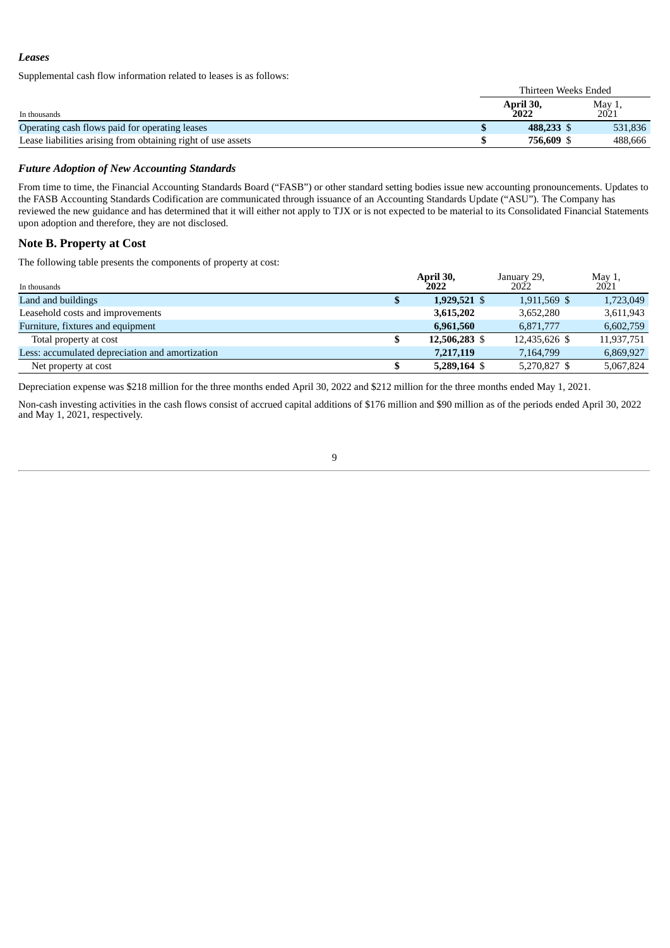# *Leases*

Supplemental cash flow information related to leases is as follows:

|                                                              | Thirteen Weeks Ended |                  |  |
|--------------------------------------------------------------|----------------------|------------------|--|
| In thousands                                                 | April 30,<br>2022    | May $1,$<br>2021 |  |
| Operating cash flows paid for operating leases               | 488,233 \$           | 531,836          |  |
| Lease liabilities arising from obtaining right of use assets | 756,609 \$           | 488.666          |  |

# *Future Adoption of New Accounting Standards*

From time to time, the Financial Accounting Standards Board ("FASB") or other standard setting bodies issue new accounting pronouncements. Updates to the FASB Accounting Standards Codification are communicated through issuance of an Accounting Standards Update ("ASU"). The Company has reviewed the new guidance and has determined that it will either not apply to TJX or is not expected to be material to its Consolidated Financial Statements upon adoption and therefore, they are not disclosed.

# **Note B. Property at Cost**

The following table presents the components of property at cost:

| In thousands                                    | April 30,<br>2022 | January 29,<br>2022 | May 1,<br>2021 |
|-------------------------------------------------|-------------------|---------------------|----------------|
| Land and buildings                              | 1,929,521 \$      | 1,911,569 \$        | 1,723,049      |
| Leasehold costs and improvements                | 3,615,202         | 3,652,280           | 3,611,943      |
| Furniture, fixtures and equipment               | 6,961,560         | 6,871,777           | 6,602,759      |
| Total property at cost                          | 12,506,283 \$     | 12,435,626 \$       | 11,937,751     |
| Less: accumulated depreciation and amortization | 7,217,119         | 7,164,799           | 6,869,927      |
| Net property at cost                            | $5,289,164$ \$    | 5,270,827 \$        | 5,067,824      |

Depreciation expense was \$218 million for the three months ended April 30, 2022 and \$212 million for the three months ended May 1, 2021.

Non-cash investing activities in the cash flows consist of accrued capital additions of \$176 million and \$90 million as of the periods ended April 30, 2022 and May 1, 2021, respectively.

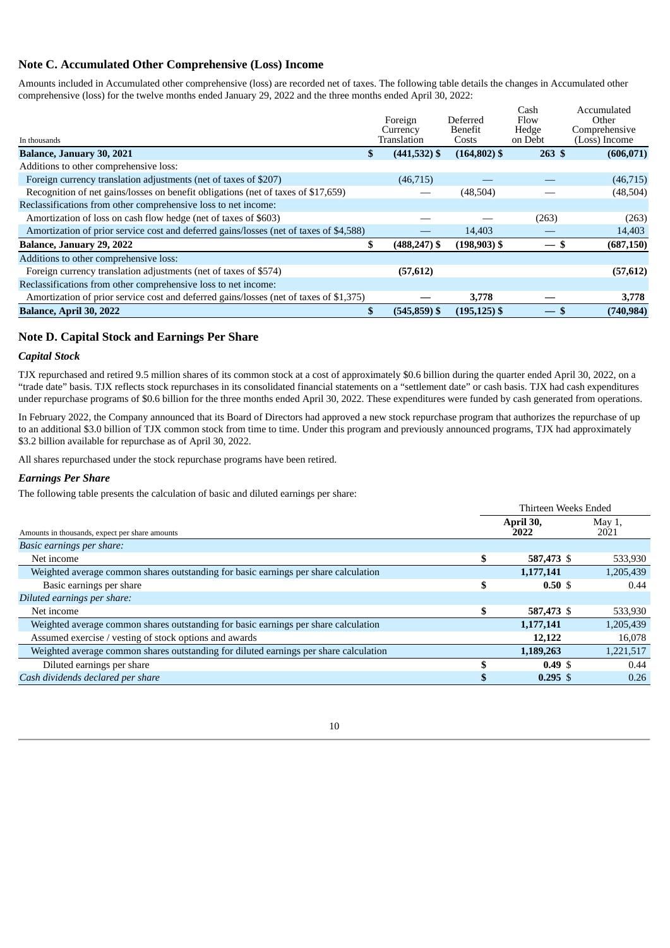# **Note C. Accumulated Other Comprehensive (Loss) Income**

Amounts included in Accumulated other comprehensive (loss) are recorded net of taxes. The following table details the changes in Accumulated other comprehensive (loss) for the twelve months ended January 29, 2022 and the three months ended April 30, 2022:

| In thousands                                                                           |    | Foreign<br>Currency<br>Translation | <b>Deferred</b><br>Benefit<br>Costs | Cash<br>Flow<br>Hedge<br>on Debt | Accumulated<br>Other<br>Comprehensive<br>(Loss) Income |
|----------------------------------------------------------------------------------------|----|------------------------------------|-------------------------------------|----------------------------------|--------------------------------------------------------|
| Balance, January 30, 2021                                                              | S. | $(441, 532)$ \$                    | $(164, 802)$ \$                     | 263 \$                           | (606, 071)                                             |
| Additions to other comprehensive loss:                                                 |    |                                    |                                     |                                  |                                                        |
| Foreign currency translation adjustments (net of taxes of \$207)                       |    | (46,715)                           |                                     |                                  | (46, 715)                                              |
| Recognition of net gains/losses on benefit obligations (net of taxes of \$17,659)      |    |                                    | (48,504)                            |                                  | (48,504)                                               |
| Reclassifications from other comprehensive loss to net income:                         |    |                                    |                                     |                                  |                                                        |
| Amortization of loss on cash flow hedge (net of taxes of \$603)                        |    |                                    |                                     | (263)                            | (263)                                                  |
| Amortization of prior service cost and deferred gains/losses (net of taxes of \$4,588) |    |                                    | 14,403                              |                                  | 14,403                                                 |
| <b>Balance, January 29, 2022</b>                                                       | \$ | $(488, 247)$ \$                    | $(198,903)$ \$                      | — S                              | (687, 150)                                             |
| Additions to other comprehensive loss:                                                 |    |                                    |                                     |                                  |                                                        |
| Foreign currency translation adjustments (net of taxes of \$574)                       |    | (57, 612)                          |                                     |                                  | (57, 612)                                              |
| Reclassifications from other comprehensive loss to net income:                         |    |                                    |                                     |                                  |                                                        |
| Amortization of prior service cost and deferred gains/losses (net of taxes of \$1,375) |    |                                    | 3,778                               |                                  | 3,778                                                  |
| <b>Balance, April 30, 2022</b>                                                         |    | $(545, 859)$ \$                    | $(195, 125)$ \$                     |                                  | (740, 984)                                             |

# **Note D. Capital Stock and Earnings Per Share**

#### *Capital Stock*

TJX repurchased and retired 9.5 million shares of its common stock at a cost of approximately \$0.6 billion during the quarter ended April 30, 2022, on a "trade date" basis. TJX reflects stock repurchases in its consolidated financial statements on a "settlement date" or cash basis. TJX had cash expenditures under repurchase programs of \$0.6 billion for the three months ended April 30, 2022. These expenditures were funded by cash generated from operations.

In February 2022, the Company announced that its Board of Directors had approved a new stock repurchase program that authorizes the repurchase of up to an additional \$3.0 billion of TJX common stock from time to time. Under this program and previously announced programs, TJX had approximately \$3.2 billion available for repurchase as of April 30, 2022.

All shares repurchased under the stock repurchase programs have been retired.

# *Earnings Per Share*

The following table presents the calculation of basic and diluted earnings per share:

|                                                                                       | Thirteen Weeks Ended |                  |  |
|---------------------------------------------------------------------------------------|----------------------|------------------|--|
| Amounts in thousands, expect per share amounts                                        | April 30,<br>2022    | May $1,$<br>2021 |  |
| Basic earnings per share:                                                             |                      |                  |  |
| Net income                                                                            | 587,473 \$           | 533,930          |  |
| Weighted average common shares outstanding for basic earnings per share calculation   | 1,177,141            | 1,205,439        |  |
| Basic earnings per share                                                              | 0.50 <sub>5</sub>    | 0.44             |  |
| Diluted earnings per share:                                                           |                      |                  |  |
| Net income                                                                            | 587,473 \$           | 533,930          |  |
| Weighted average common shares outstanding for basic earnings per share calculation   | 1,177,141            | 1,205,439        |  |
| Assumed exercise / vesting of stock options and awards                                | 12,122               | 16,078           |  |
| Weighted average common shares outstanding for diluted earnings per share calculation | 1,189,263            | 1,221,517        |  |
| Diluted earnings per share                                                            | $0.49 \text{ } $$    | 0.44             |  |
| Cash dividends declared per share                                                     | $0.295 \text{ } $5$  | 0.26             |  |

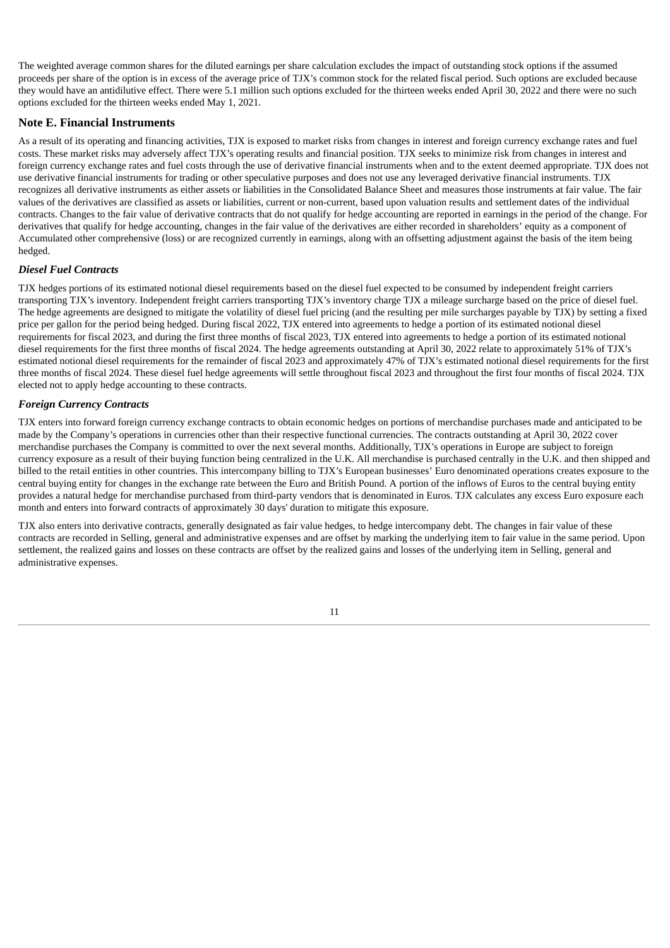The weighted average common shares for the diluted earnings per share calculation excludes the impact of outstanding stock options if the assumed proceeds per share of the option is in excess of the average price of TJX's common stock for the related fiscal period. Such options are excluded because they would have an antidilutive effect. There were 5.1 million such options excluded for the thirteen weeks ended April 30, 2022 and there were no such options excluded for the thirteen weeks ended May 1, 2021.

# **Note E. Financial Instruments**

As a result of its operating and financing activities, TJX is exposed to market risks from changes in interest and foreign currency exchange rates and fuel costs. These market risks may adversely affect TJX's operating results and financial position. TJX seeks to minimize risk from changes in interest and foreign currency exchange rates and fuel costs through the use of derivative financial instruments when and to the extent deemed appropriate. TJX does not use derivative financial instruments for trading or other speculative purposes and does not use any leveraged derivative financial instruments. TJX recognizes all derivative instruments as either assets or liabilities in the Consolidated Balance Sheet and measures those instruments at fair value. The fair values of the derivatives are classified as assets or liabilities, current or non-current, based upon valuation results and settlement dates of the individual contracts. Changes to the fair value of derivative contracts that do not qualify for hedge accounting are reported in earnings in the period of the change. For derivatives that qualify for hedge accounting, changes in the fair value of the derivatives are either recorded in shareholders' equity as a component of Accumulated other comprehensive (loss) or are recognized currently in earnings, along with an offsetting adjustment against the basis of the item being hedged.

# *Diesel Fuel Contracts*

TJX hedges portions of its estimated notional diesel requirements based on the diesel fuel expected to be consumed by independent freight carriers transporting TJX's inventory. Independent freight carriers transporting TJX's inventory charge TJX a mileage surcharge based on the price of diesel fuel. The hedge agreements are designed to mitigate the volatility of diesel fuel pricing (and the resulting per mile surcharges payable by TJX) by setting a fixed price per gallon for the period being hedged. During fiscal 2022, TJX entered into agreements to hedge a portion of its estimated notional diesel requirements for fiscal 2023, and during the first three months of fiscal 2023, TJX entered into agreements to hedge a portion of its estimated notional diesel requirements for the first three months of fiscal 2024. The hedge agreements outstanding at April 30, 2022 relate to approximately 51% of TJX's estimated notional diesel requirements for the remainder of fiscal 2023 and approximately 47% of TJX's estimated notional diesel requirements for the first three months of fiscal 2024. These diesel fuel hedge agreements will settle throughout fiscal 2023 and throughout the first four months of fiscal 2024. TJX elected not to apply hedge accounting to these contracts.

# *Foreign Currency Contracts*

TJX enters into forward foreign currency exchange contracts to obtain economic hedges on portions of merchandise purchases made and anticipated to be made by the Company's operations in currencies other than their respective functional currencies. The contracts outstanding at April 30, 2022 cover merchandise purchases the Company is committed to over the next several months. Additionally, TJX's operations in Europe are subject to foreign currency exposure as a result of their buying function being centralized in the U.K. All merchandise is purchased centrally in the U.K. and then shipped and billed to the retail entities in other countries. This intercompany billing to TJX's European businesses' Euro denominated operations creates exposure to the central buying entity for changes in the exchange rate between the Euro and British Pound. A portion of the inflows of Euros to the central buying entity provides a natural hedge for merchandise purchased from third-party vendors that is denominated in Euros. TJX calculates any excess Euro exposure each month and enters into forward contracts of approximately 30 days' duration to mitigate this exposure.

TJX also enters into derivative contracts, generally designated as fair value hedges, to hedge intercompany debt. The changes in fair value of these contracts are recorded in Selling, general and administrative expenses and are offset by marking the underlying item to fair value in the same period. Upon settlement, the realized gains and losses on these contracts are offset by the realized gains and losses of the underlying item in Selling, general and administrative expenses.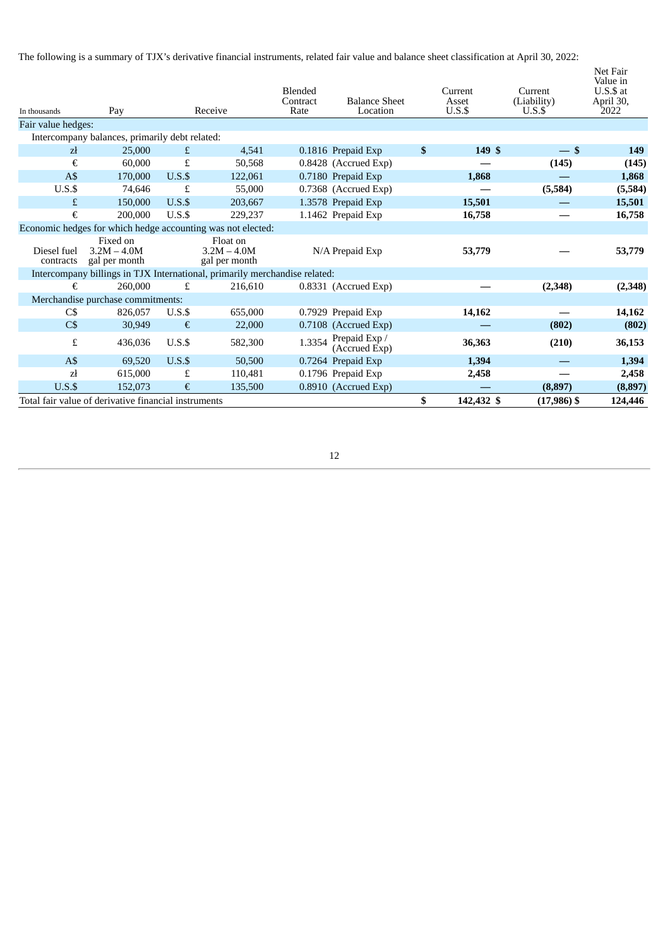The following is a summary of TJX's derivative financial instruments, related fair value and balance sheet classification at April 30, 2022:

| In thousands       |                | Pay                                                  |         | Receive                                                                    | Blended<br>Contract<br>Rate | <b>Balance Sheet</b><br>Location | Current<br>Asset<br>U.S.S | Current<br>(Liability)<br>U.S.S | Net Fair<br>Value in<br>$U.S.\$$ at<br>April 30,<br>2022 |
|--------------------|----------------|------------------------------------------------------|---------|----------------------------------------------------------------------------|-----------------------------|----------------------------------|---------------------------|---------------------------------|----------------------------------------------------------|
| Fair value hedges: |                |                                                      |         |                                                                            |                             |                                  |                           |                                 |                                                          |
|                    |                | Intercompany balances, primarily debt related:       |         |                                                                            |                             |                                  |                           |                                 |                                                          |
|                    | z <sub>i</sub> | 25,000                                               | £       | 4,541                                                                      |                             | 0.1816 Prepaid Exp               | \$<br>149 \$              | $-$ \$                          | 149                                                      |
|                    | €              | 60.000                                               | £       | 50,568                                                                     |                             | 0.8428 (Accrued Exp)             |                           | (145)                           | (145)                                                    |
|                    | $A\$           | 170,000                                              | U.S.S   | 122,061                                                                    |                             | 0.7180 Prepaid Exp               | 1,868                     |                                 | 1,868                                                    |
|                    | U.S.S          | 74,646                                               | £       | 55,000                                                                     |                             | 0.7368 (Accrued Exp)             |                           | (5,584)                         | (5,584)                                                  |
|                    | £              | 150,000                                              | U.S.S   | 203,667                                                                    |                             | 1.3578 Prepaid Exp               | 15,501                    |                                 | 15,501                                                   |
|                    | €              | 200,000                                              | $U.S.\$ | 229.237                                                                    |                             | 1.1462 Prepaid Exp               | 16,758                    |                                 | 16,758                                                   |
|                    |                |                                                      |         | Economic hedges for which hedge accounting was not elected:                |                             |                                  |                           |                                 |                                                          |
| Diesel fuel        | contracts      | Fixed on<br>$3.2M - 4.0M$<br>gal per month           |         | Float on<br>$3.2M - 4.0M$<br>gal per month                                 |                             | N/A Prepaid Exp                  | 53,779                    |                                 | 53,779                                                   |
|                    |                |                                                      |         | Intercompany billings in TJX International, primarily merchandise related: |                             |                                  |                           |                                 |                                                          |
|                    | €              | 260,000                                              | £       | 216,610                                                                    |                             | 0.8331 (Accrued Exp)             |                           | (2,348)                         | (2,348)                                                  |
|                    |                | Merchandise purchase commitments:                    |         |                                                                            |                             |                                  |                           |                                 |                                                          |
|                    | $C\$           | 826,057                                              | U.S.S   | 655,000                                                                    |                             | 0.7929 Prepaid Exp               | 14,162                    |                                 | 14,162                                                   |
|                    | C <sub>5</sub> | 30.949                                               | €       | 22,000                                                                     |                             | 0.7108 (Accrued Exp)             |                           | (802)                           | (802)                                                    |
|                    | £              | 436.036                                              | $U.S.\$ | 582,300                                                                    | 1.3354                      | Prepaid Exp /<br>(Accrued Exp)   | 36,363                    | (210)                           | 36,153                                                   |
|                    | A\$            | 69,520                                               | $U.S.\$ | 50,500                                                                     |                             | 0.7264 Prepaid Exp               | 1,394                     |                                 | 1,394                                                    |
|                    | zł             | 615,000                                              | £       | 110,481                                                                    |                             | 0.1796 Prepaid Exp               | 2,458                     |                                 | 2,458                                                    |
|                    | U.S.S          | 152,073                                              | €       | 135,500                                                                    |                             | 0.8910 (Accrued Exp)             |                           | (8, 897)                        | (8, 897)                                                 |
|                    |                | Total fair value of derivative financial instruments |         |                                                                            |                             |                                  | \$<br>142,432 \$          | (17,986) \$                     | 124,446                                                  |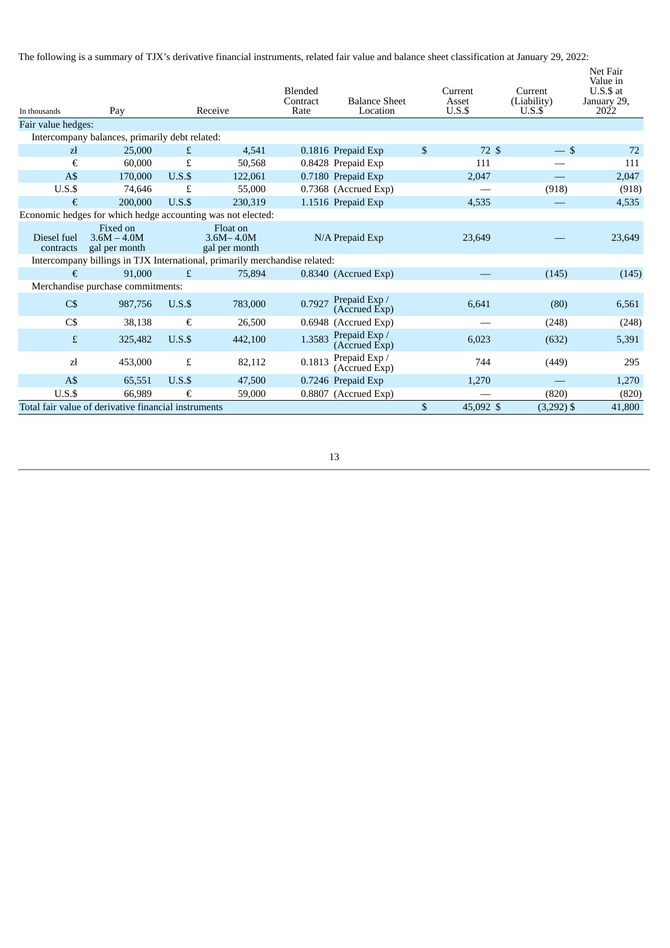The following is a summary of TJX's derivative financial instruments, related fair value and balance sheet classification at January 29, 2022:

| In thousands             | Pay                                                                        |       | Receive                                    | Blended<br>Contract<br>Rate | <b>Balance Sheet</b><br>Location | Current<br>Asset<br>U.S.S | Current<br>(Liability)<br>U.S.S | Net Fair<br>Value in<br>$U.S.\$$ at<br>January 29,<br>2022 |
|--------------------------|----------------------------------------------------------------------------|-------|--------------------------------------------|-----------------------------|----------------------------------|---------------------------|---------------------------------|------------------------------------------------------------|
| Fair value hedges:       |                                                                            |       |                                            |                             |                                  |                           |                                 |                                                            |
|                          | Intercompany balances, primarily debt related:                             |       |                                            |                             |                                  |                           |                                 |                                                            |
| z <sub>i</sub>           | 25,000                                                                     | £     | 4,541                                      |                             | 0.1816 Prepaid Exp               | \$<br>$72 \text{ }$       | $-5$                            | 72                                                         |
| €                        | 60,000                                                                     | £     | 50,568                                     |                             | 0.8428 Prepaid Exp               | 111                       |                                 | 111                                                        |
| A\$                      | 170,000                                                                    | U.S.S | 122,061                                    |                             | 0.7180 Prepaid Exp               | 2,047                     |                                 | 2,047                                                      |
| $U.S.\$                  | 74,646                                                                     | £     | 55,000                                     |                             | 0.7368 (Accrued Exp)             |                           | (918)                           | (918)                                                      |
| €                        | 200,000                                                                    | U.S.S | 230.319                                    |                             | 1.1516 Prepaid Exp               | 4,535                     |                                 | 4,535                                                      |
|                          | Economic hedges for which hedge accounting was not elected:                |       |                                            |                             |                                  |                           |                                 |                                                            |
| Diesel fuel<br>contracts | Fixed on<br>$3.6M - 4.0M$<br>gal per month                                 |       | Float on<br>$3.6M - 4.0M$<br>gal per month |                             | N/A Prepaid Exp                  | 23,649                    |                                 | 23,649                                                     |
|                          | Intercompany billings in TJX International, primarily merchandise related: |       |                                            |                             |                                  |                           |                                 |                                                            |
| €                        | 91.000                                                                     | £     | 75,894                                     |                             | 0.8340 (Accrued Exp)             |                           | (145)                           | (145)                                                      |
|                          | Merchandise purchase commitments:                                          |       |                                            |                             |                                  |                           |                                 |                                                            |
| C\$                      | 987,756                                                                    | U.S.S | 783,000                                    | 0.7927                      | Prepaid Exp /<br>(Accrued Exp)   | 6.641                     | (80)                            | 6,561                                                      |
| C <sub>5</sub>           | 38,138                                                                     | €     | 26,500                                     |                             | 0.6948 (Accrued Exp)             |                           | (248)                           | (248)                                                      |
| £                        | 325,482                                                                    | U.S.S | 442,100                                    | 1.3583                      | Prepaid Exp /<br>(Accrued Exp)   | 6,023                     | (632)                           | 5,391                                                      |
| zł                       | 453,000                                                                    | £     | 82,112                                     | 0.1813                      | Prepaid Exp /<br>(Accrued Exp)   | 744                       | (449)                           | 295                                                        |
| A\$                      | 65,551                                                                     | U.S.S | 47,500                                     |                             | 0.7246 Prepaid Exp               | 1,270                     |                                 | 1,270                                                      |
| U.S.S                    | 66.989                                                                     | €     | 59,000                                     |                             | 0.8807 (Accrued Exp)             |                           | (820)                           | (820)                                                      |
|                          | Total fair value of derivative financial instruments                       |       |                                            |                             |                                  | \$<br>45,092 \$           | $(3,292)$ \$                    | 41,800                                                     |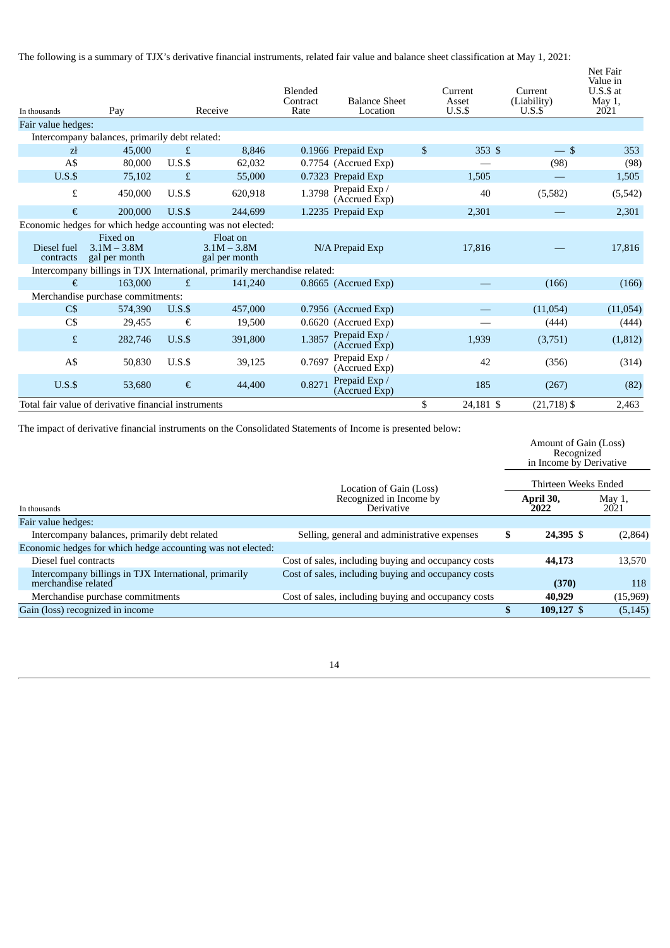The following is a summary of TJX's derivative financial instruments, related fair value and balance sheet classification at May 1, 2021:

| In thousands             | Pay                                                         |         | Receive                                                                    | Blended<br>Contract<br>Rate | <b>Balance Sheet</b><br>Location |                | Current<br>Asset<br>U.S.S | Current<br>(Liability)<br>U.S.S | Net Fair<br>Value in<br>$U.S.S$ at<br>May 1,<br>2021 |
|--------------------------|-------------------------------------------------------------|---------|----------------------------------------------------------------------------|-----------------------------|----------------------------------|----------------|---------------------------|---------------------------------|------------------------------------------------------|
| Fair value hedges:       |                                                             |         |                                                                            |                             |                                  |                |                           |                                 |                                                      |
|                          | Intercompany balances, primarily debt related:              |         |                                                                            |                             |                                  |                |                           |                                 |                                                      |
| z <sub>i</sub>           | 45,000                                                      | £       | 8,846                                                                      |                             | 0.1966 Prepaid Exp               | $\mathfrak{S}$ | 353 \$                    | $-$ \$                          | 353                                                  |
| A\$                      | 80,000                                                      | U.S.S   | 62,032                                                                     |                             | 0.7754 (Accrued Exp)             |                |                           | (98)                            | (98)                                                 |
| $U.S.\$                  | 75.102                                                      | £       | 55,000                                                                     |                             | 0.7323 Prepaid Exp               |                | 1,505                     |                                 | 1,505                                                |
| £                        | 450,000                                                     | U.S.S   | 620,918                                                                    | 1.3798                      | Prepaid Exp /<br>(Accrued Exp)   |                | 40                        | (5,582)                         | (5, 542)                                             |
| €                        | 200,000                                                     | U.S.S   | 244,699                                                                    |                             | 1.2235 Prepaid Exp               |                | 2,301                     |                                 | 2,301                                                |
|                          | Economic hedges for which hedge accounting was not elected: |         |                                                                            |                             |                                  |                |                           |                                 |                                                      |
| Diesel fuel<br>contracts | Fixed on<br>$3.1M - 3.8M$<br>gal per month                  |         | Float on<br>$3.1M - 3.8M$<br>gal per month                                 |                             | N/A Prepaid Exp                  |                | 17,816                    |                                 | 17,816                                               |
|                          |                                                             |         | Intercompany billings in TJX International, primarily merchandise related: |                             |                                  |                |                           |                                 |                                                      |
| €                        | 163,000                                                     | £       | 141,240                                                                    |                             | $0.8665$ (Accrued Exp)           |                |                           | (166)                           | (166)                                                |
|                          | Merchandise purchase commitments:                           |         |                                                                            |                             |                                  |                |                           |                                 |                                                      |
| $C\$                     | 574,390                                                     | U.S.S   | 457,000                                                                    |                             | 0.7956 (Accrued Exp)             |                |                           | (11,054)                        | (11,054)                                             |
| C\$                      | 29,455                                                      | €       | 19,500                                                                     |                             | 0.6620 (Accrued Exp)             |                |                           | (444)                           | (444)                                                |
| £                        | 282,746                                                     | $U.S.\$ | 391,800                                                                    | 1.3857                      | Prepaid Exp /<br>(Accrued Exp)   |                | 1,939                     | (3,751)                         | (1,812)                                              |
| A\$                      | 50,830                                                      | U.S.S   | 39,125                                                                     | 0.7697                      | Prepaid Exp /<br>(Accrued Exp)   |                | 42                        | (356)                           | (314)                                                |
| $U.S.\$                  | 53,680                                                      | €       | 44,400                                                                     | 0.8271                      | Prepaid Exp /<br>(Accrued Exp)   |                | 185                       | (267)                           | (82)                                                 |
|                          | Total fair value of derivative financial instruments        |         |                                                                            |                             |                                  | \$             | 24,181 \$                 | $(21,718)$ \$                   | 2,463                                                |

The impact of derivative financial instruments on the Consolidated Statements of Income is presented below:

|                                                                              |                                                     |    | Amount of Gain (Loss)<br>Recognized<br>in Income by Derivative |                |
|------------------------------------------------------------------------------|-----------------------------------------------------|----|----------------------------------------------------------------|----------------|
|                                                                              | Location of Gain (Loss)                             |    | Thirteen Weeks Ended                                           |                |
| In thousands                                                                 | Recognized in Income by<br>Derivative               |    | April 30,<br>2022                                              | May 1,<br>2021 |
| Fair value hedges:                                                           |                                                     |    |                                                                |                |
| Intercompany balances, primarily debt related                                | Selling, general and administrative expenses        | \$ | 24,395 \$                                                      | (2,864)        |
| Economic hedges for which hedge accounting was not elected:                  |                                                     |    |                                                                |                |
| Diesel fuel contracts                                                        | Cost of sales, including buying and occupancy costs |    | 44,173                                                         | 13,570         |
| Intercompany billings in TJX International, primarily<br>merchandise related | Cost of sales, including buying and occupancy costs |    | (370)                                                          | 118            |
| Merchandise purchase commitments                                             | Cost of sales, including buying and occupancy costs |    | 40,929                                                         | (15,969)       |
| Gain (loss) recognized in income                                             |                                                     |    | 109,127 \$                                                     | (5, 145)       |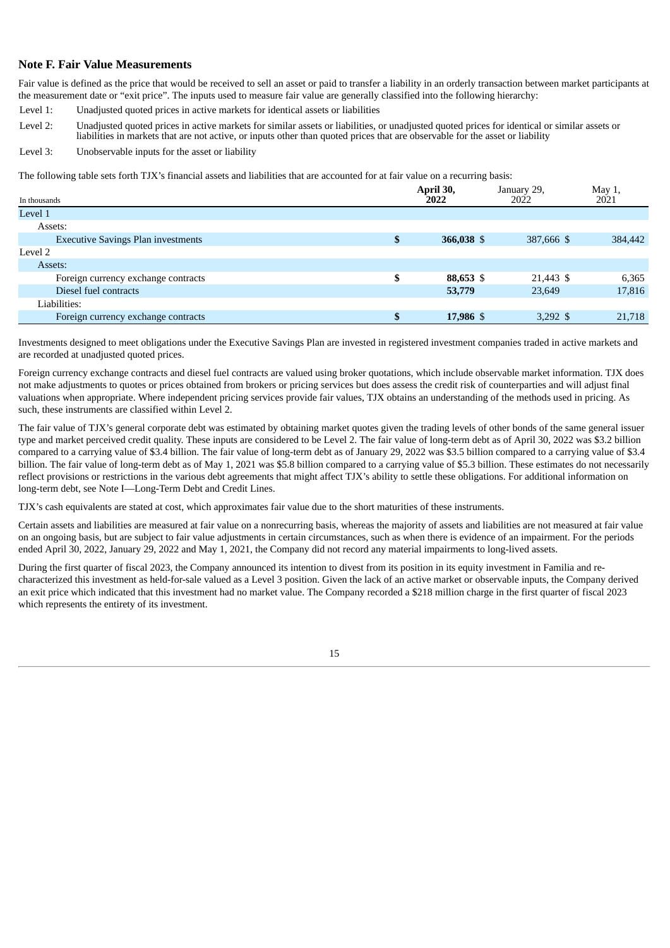# **Note F. Fair Value Measurements**

Fair value is defined as the price that would be received to sell an asset or paid to transfer a liability in an orderly transaction between market participants at the measurement date or "exit price". The inputs used to measure fair value are generally classified into the following hierarchy:

Level 1: Unadjusted quoted prices in active markets for identical assets or liabilities

Level 2: Unadjusted quoted prices in active markets for similar assets or liabilities, or unadjusted quoted prices for identical or similar assets or liabilities in markets that are not active, or inputs other than quoted prices that are observable for the asset or liability

Level 3: Unobservable inputs for the asset or liability

The following table sets forth TJX's financial assets and liabilities that are accounted for at fair value on a recurring basis:

| In thousands                              |    | April 30,<br>2022 | January 29,<br>2022 | May 1,<br>2021 |
|-------------------------------------------|----|-------------------|---------------------|----------------|
| Level 1                                   |    |                   |                     |                |
| Assets:                                   |    |                   |                     |                |
| <b>Executive Savings Plan investments</b> | J. | 366,038 \$        | 387,666 \$          | 384,442        |
| Level 2                                   |    |                   |                     |                |
| Assets:                                   |    |                   |                     |                |
| Foreign currency exchange contracts       | \$ | 88,653 \$         | 21,443 \$           | 6,365          |
| Diesel fuel contracts                     |    | 53,779            | 23,649              | 17,816         |
| Liabilities:                              |    |                   |                     |                |
| Foreign currency exchange contracts       |    | 17,986 \$         | $3,292$ \$          | 21,718         |

Investments designed to meet obligations under the Executive Savings Plan are invested in registered investment companies traded in active markets and are recorded at unadjusted quoted prices.

Foreign currency exchange contracts and diesel fuel contracts are valued using broker quotations, which include observable market information. TJX does not make adjustments to quotes or prices obtained from brokers or pricing services but does assess the credit risk of counterparties and will adjust final valuations when appropriate. Where independent pricing services provide fair values, TJX obtains an understanding of the methods used in pricing. As such, these instruments are classified within Level 2.

The fair value of TJX's general corporate debt was estimated by obtaining market quotes given the trading levels of other bonds of the same general issuer type and market perceived credit quality. These inputs are considered to be Level 2. The fair value of long-term debt as of April 30, 2022 was \$3.2 billion compared to a carrying value of \$3.4 billion. The fair value of long-term debt as of January 29, 2022 was \$3.5 billion compared to a carrying value of \$3.4 billion. The fair value of long-term debt as of May 1, 2021 was \$5.8 billion compared to a carrying value of \$5.3 billion. These estimates do not necessarily reflect provisions or restrictions in the various debt agreements that might affect TJX's ability to settle these obligations. For additional information on long-term debt, see Note I—Long-Term Debt and Credit Lines.

TJX's cash equivalents are stated at cost, which approximates fair value due to the short maturities of these instruments.

Certain assets and liabilities are measured at fair value on a nonrecurring basis, whereas the majority of assets and liabilities are not measured at fair value on an ongoing basis, but are subject to fair value adjustments in certain circumstances, such as when there is evidence of an impairment. For the periods ended April 30, 2022, January 29, 2022 and May 1, 2021, the Company did not record any material impairments to long-lived assets.

During the first quarter of fiscal 2023, the Company announced its intention to divest from its position in its equity investment in Familia and recharacterized this investment as held-for-sale valued as a Level 3 position. Given the lack of an active market or observable inputs, the Company derived an exit price which indicated that this investment had no market value. The Company recorded a \$218 million charge in the first quarter of fiscal 2023 which represents the entirety of its investment.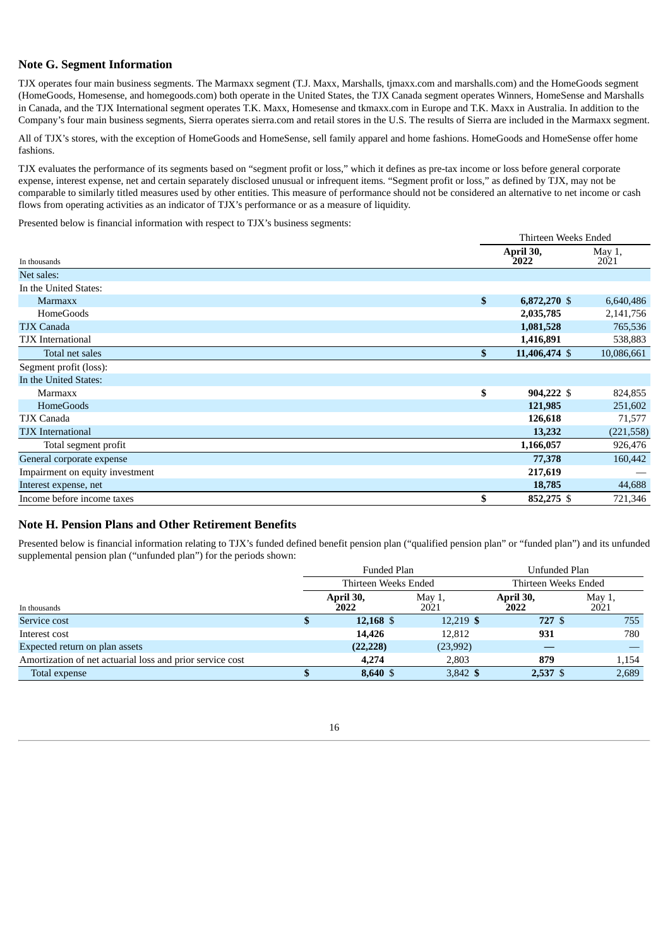# **Note G. Segment Information**

TJX operates four main business segments. The Marmaxx segment (T.J. Maxx, Marshalls, tjmaxx.com and marshalls.com) and the HomeGoods segment (HomeGoods, Homesense, and homegoods.com) both operate in the United States, the TJX Canada segment operates Winners, HomeSense and Marshalls in Canada, and the TJX International segment operates T.K. Maxx, Homesense and tkmaxx.com in Europe and T.K. Maxx in Australia. In addition to the Company's four main business segments, Sierra operates sierra.com and retail stores in the U.S. The results of Sierra are included in the Marmaxx segment.

All of TJX's stores, with the exception of HomeGoods and HomeSense, sell family apparel and home fashions. HomeGoods and HomeSense offer home fashions.

TJX evaluates the performance of its segments based on "segment profit or loss," which it defines as pre-tax income or loss before general corporate expense, interest expense, net and certain separately disclosed unusual or infrequent items. "Segment profit or loss," as defined by TJX, may not be comparable to similarly titled measures used by other entities. This measure of performance should not be considered an alternative to net income or cash flows from operating activities as an indicator of TJX's performance or as a measure of liquidity.

Presented below is financial information with respect to TJX's business segments:

|                                 |              | Thirteen Weeks Ended |                  |  |
|---------------------------------|--------------|----------------------|------------------|--|
| In thousands                    |              | April 30,<br>2022    | May $1,$<br>2021 |  |
| Net sales:                      |              |                      |                  |  |
| In the United States:           |              |                      |                  |  |
| Marmaxx                         | $\mathbf{s}$ | 6,872,270 \$         | 6,640,486        |  |
| <b>HomeGoods</b>                |              | 2,035,785            | 2,141,756        |  |
| <b>TJX Canada</b>               |              | 1,081,528            | 765,536          |  |
| <b>TJX</b> International        |              | 1,416,891            | 538,883          |  |
| Total net sales                 | \$           | 11,406,474 \$        | 10,086,661       |  |
| Segment profit (loss):          |              |                      |                  |  |
| In the United States:           |              |                      |                  |  |
| Marmaxx                         | \$           | 904,222 \$           | 824,855          |  |
| <b>HomeGoods</b>                |              | 121,985              | 251,602          |  |
| TJX Canada                      |              | 126,618              | 71,577           |  |
| <b>TJX</b> International        |              | 13,232               | (221, 558)       |  |
| Total segment profit            |              | 1,166,057            | 926,476          |  |
| General corporate expense       |              | 77,378               | 160,442          |  |
| Impairment on equity investment |              | 217,619              |                  |  |
| Interest expense, net           |              | 18,785               | 44,688           |  |
| Income before income taxes      | \$           | 852,275 \$           | 721,346          |  |

# **Note H. Pension Plans and Other Retirement Benefits**

Presented below is financial information relating to TJX's funded defined benefit pension plan ("qualified pension plan" or "funded plan") and its unfunded supplemental pension plan ("unfunded plan") for the periods shown:

|                                                           | Funded Plan |                      |                   | Unfunded Plan        |                  |  |
|-----------------------------------------------------------|-------------|----------------------|-------------------|----------------------|------------------|--|
|                                                           |             | Thirteen Weeks Ended |                   | Thirteen Weeks Ended |                  |  |
| In thousands                                              |             | April 30,<br>2022    | May $1$ ,<br>2021 | April 30,<br>2022    | May $1,$<br>2021 |  |
| Service cost                                              |             | 12,168 \$            | $12,219$ \$       | 727 S                | 755              |  |
| Interest cost                                             |             | 14,426               | 12,812            | 931                  | 780              |  |
| Expected return on plan assets                            |             | (22, 228)            | (23,992)          |                      |                  |  |
| Amortization of net actuarial loss and prior service cost |             | 4,274                | 2,803             | 879                  | 1,154            |  |
| Total expense                                             |             | $8,640$ \$           | $3,842$ \$        | $2,537$ \$           | 2,689            |  |

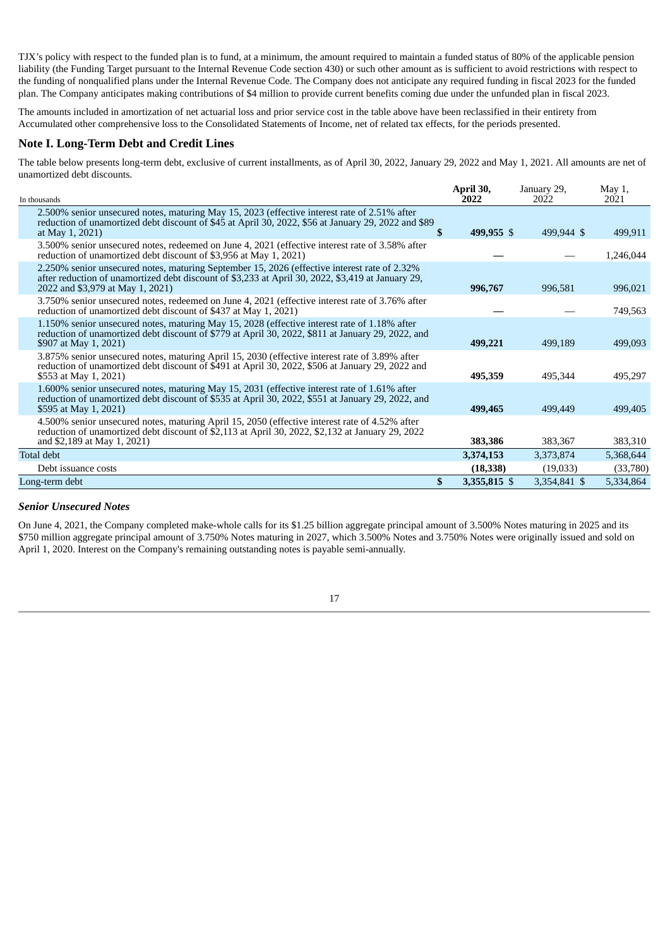TJX's policy with respect to the funded plan is to fund, at a minimum, the amount required to maintain a funded status of 80% of the applicable pension liability (the Funding Target pursuant to the Internal Revenue Code section 430) or such other amount as is sufficient to avoid restrictions with respect to the funding of nonqualified plans under the Internal Revenue Code. The Company does not anticipate any required funding in fiscal 2023 for the funded plan. The Company anticipates making contributions of \$4 million to provide current benefits coming due under the unfunded plan in fiscal 2023.

The amounts included in amortization of net actuarial loss and prior service cost in the table above have been reclassified in their entirety from Accumulated other comprehensive loss to the Consolidated Statements of Income, net of related tax effects, for the periods presented.

# **Note I. Long-Term Debt and Credit Lines**

The table below presents long-term debt, exclusive of current installments, as of April 30, 2022, January 29, 2022 and May 1, 2021. All amounts are net of unamortized debt discounts.

| In thousands                                                                                                                                                                                                                           | April 30,<br>2022  | January 29,<br>2022 | May 1,<br>2021 |
|----------------------------------------------------------------------------------------------------------------------------------------------------------------------------------------------------------------------------------------|--------------------|---------------------|----------------|
| 2.500% senior unsecured notes, maturing May 15, 2023 (effective interest rate of 2.51% after<br>reduction of unamortized debt discount of \$45 at April 30, 2022, \$56 at January 29, 2022 and \$89<br>\$.<br>at May 1, 2021)          | 499,955 \$         | 499,944 \$          | 499,911        |
| 3.500% senior unsecured notes, redeemed on June 4, 2021 (effective interest rate of 3.58% after<br>reduction of unamortized debt discount of \$3,956 at May 1, 2021)                                                                   |                    |                     | 1,246,044      |
| 2.250% senior unsecured notes, maturing September 15, 2026 (effective interest rate of 2.32%)<br>after reduction of unamortized debt discount of \$3,233 at April 30, 2022, \$3,419 at January 29,<br>2022 and \$3,979 at May 1, 2021) | 996,767            | 996,581             | 996,021        |
| 3.750% senior unsecured notes, redeemed on June 4, 2021 (effective interest rate of 3.76% after<br>reduction of unamortized debt discount of \$437 at May 1, 2021)                                                                     |                    |                     | 749,563        |
| 1.150% senior unsecured notes, maturing May 15, 2028 (effective interest rate of 1.18% after<br>reduction of unamortized debt discount of \$779 at April 30, 2022, \$811 at January 29, 2022, and<br>\$907 at May 1, 2021)             | 499,221            | 499,189             | 499,093        |
| 3.875% senior unsecured notes, maturing April 15, 2030 (effective interest rate of 3.89% after<br>reduction of unamortized debt discount of \$491 at April 30, 2022, \$506 at January 29, 2022 and<br>\$553 at May 1, 2021)            | 495,359            | 495,344             | 495,297        |
| 1.600% senior unsecured notes, maturing May 15, 2031 (effective interest rate of 1.61% after<br>reduction of unamortized debt discount of \$535 at April 30, 2022, \$551 at January 29, 2022, and<br>\$595 at May 1, 2021)             | 499,465            | 499,449             | 499,405        |
| 4.500% senior unsecured notes, maturing April 15, 2050 (effective interest rate of 4.52% after<br>reduction of unamortized debt discount of \$2,113 at April 30, 2022, \$2,132 at January 29, 2022<br>and \$2,189 at May 1, 2021)      | 383,386            | 383,367             | 383,310        |
| Total debt                                                                                                                                                                                                                             | 3,374,153          | 3,373,874           | 5,368,644      |
| Debt issuance costs                                                                                                                                                                                                                    | (18, 338)          | (19,033)            | (33,780)       |
| Long-term debt                                                                                                                                                                                                                         | \$<br>3,355,815 \$ | 3,354,841 \$        | 5,334,864      |

#### *Senior Unsecured Notes*

On June 4, 2021, the Company completed make-whole calls for its \$1.25 billion aggregate principal amount of 3.500% Notes maturing in 2025 and its \$750 million aggregate principal amount of 3.750% Notes maturing in 2027, which 3.500% Notes and 3.750% Notes were originally issued and sold on April 1, 2020. Interest on the Company's remaining outstanding notes is payable semi-annually.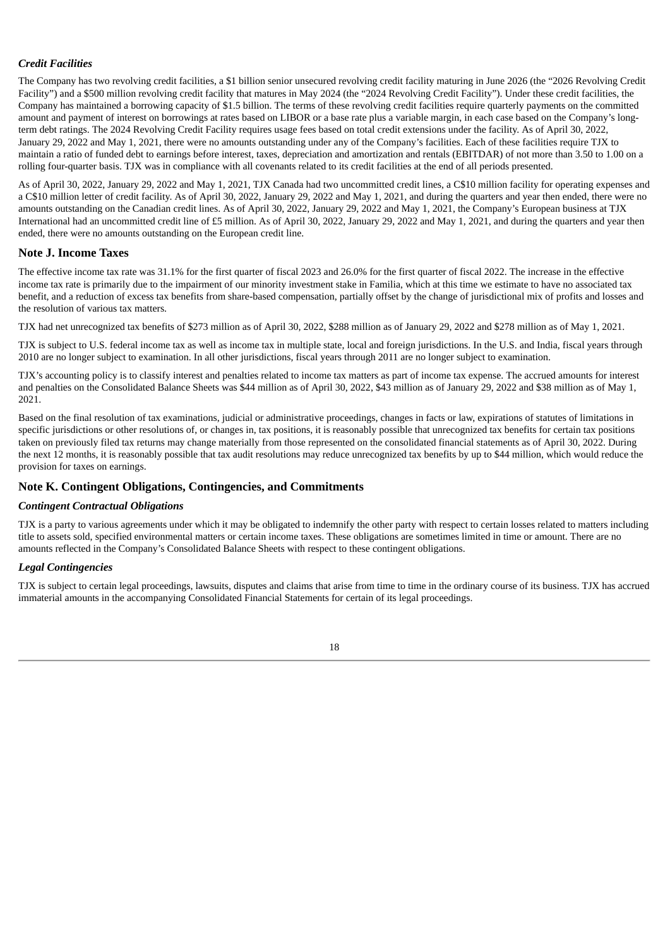# *Credit Facilities*

The Company has two revolving credit facilities, a \$1 billion senior unsecured revolving credit facility maturing in June 2026 (the "2026 Revolving Credit Facility") and a \$500 million revolving credit facility that matures in May 2024 (the "2024 Revolving Credit Facility"). Under these credit facilities, the Company has maintained a borrowing capacity of \$1.5 billion. The terms of these revolving credit facilities require quarterly payments on the committed amount and payment of interest on borrowings at rates based on LIBOR or a base rate plus a variable margin, in each case based on the Company's longterm debt ratings. The 2024 Revolving Credit Facility requires usage fees based on total credit extensions under the facility. As of April 30, 2022, January 29, 2022 and May 1, 2021, there were no amounts outstanding under any of the Company's facilities. Each of these facilities require TJX to maintain a ratio of funded debt to earnings before interest, taxes, depreciation and amortization and rentals (EBITDAR) of not more than 3.50 to 1.00 on a rolling four-quarter basis. TJX was in compliance with all covenants related to its credit facilities at the end of all periods presented.

As of April 30, 2022, January 29, 2022 and May 1, 2021, TJX Canada had two uncommitted credit lines, a C\$10 million facility for operating expenses and a C\$10 million letter of credit facility. As of April 30, 2022, January 29, 2022 and May 1, 2021, and during the quarters and year then ended, there were no amounts outstanding on the Canadian credit lines. As of April 30, 2022, January 29, 2022 and May 1, 2021, the Company's European business at TJX International had an uncommitted credit line of £5 million. As of April 30, 2022, January 29, 2022 and May 1, 2021, and during the quarters and year then ended, there were no amounts outstanding on the European credit line.

# **Note J. Income Taxes**

The effective income tax rate was 31.1% for the first quarter of fiscal 2023 and 26.0% for the first quarter of fiscal 2022. The increase in the effective income tax rate is primarily due to the impairment of our minority investment stake in Familia, which at this time we estimate to have no associated tax benefit, and a reduction of excess tax benefits from share-based compensation, partially offset by the change of jurisdictional mix of profits and losses and the resolution of various tax matters.

TJX had net unrecognized tax benefits of \$273 million as of April 30, 2022, \$288 million as of January 29, 2022 and \$278 million as of May 1, 2021.

TJX is subject to U.S. federal income tax as well as income tax in multiple state, local and foreign jurisdictions. In the U.S. and India, fiscal years through 2010 are no longer subject to examination. In all other jurisdictions, fiscal years through 2011 are no longer subject to examination.

TJX's accounting policy is to classify interest and penalties related to income tax matters as part of income tax expense. The accrued amounts for interest and penalties on the Consolidated Balance Sheets was \$44 million as of April 30, 2022, \$43 million as of January 29, 2022 and \$38 million as of May 1, 2021.

Based on the final resolution of tax examinations, judicial or administrative proceedings, changes in facts or law, expirations of statutes of limitations in specific jurisdictions or other resolutions of, or changes in, tax positions, it is reasonably possible that unrecognized tax benefits for certain tax positions taken on previously filed tax returns may change materially from those represented on the consolidated financial statements as of April 30, 2022. During the next 12 months, it is reasonably possible that tax audit resolutions may reduce unrecognized tax benefits by up to \$44 million, which would reduce the provision for taxes on earnings.

# <span id="page-17-1"></span>**Note K. Contingent Obligations, Contingencies, and Commitments**

# *Contingent Contractual Obligations*

TJX is a party to various agreements under which it may be obligated to indemnify the other party with respect to certain losses related to matters including title to assets sold, specified environmental matters or certain income taxes. These obligations are sometimes limited in time or amount. There are no amounts reflected in the Company's Consolidated Balance Sheets with respect to these contingent obligations.

# *Legal Contingencies*

<span id="page-17-0"></span>TJX is subject to certain legal proceedings, lawsuits, disputes and claims that arise from time to time in the ordinary course of its business. TJX has accrued immaterial amounts in the accompanying Consolidated Financial Statements for certain of its legal proceedings.

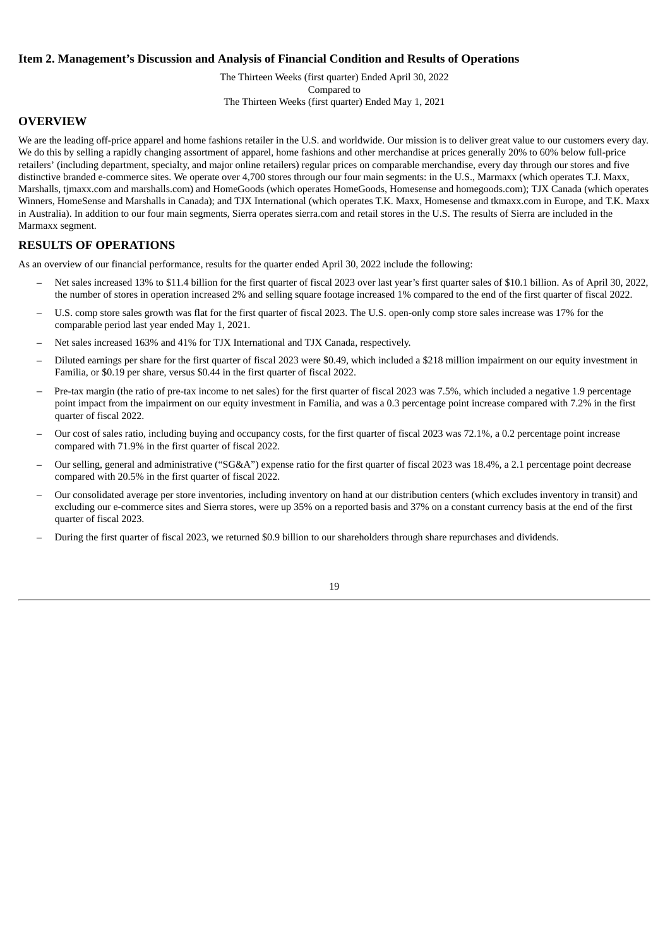# **Item 2. Management's Discussion and Analysis of Financial Condition and Results of Operations**

The Thirteen Weeks (first quarter) Ended April 30, 2022 Compared to The Thirteen Weeks (first quarter) Ended May 1, 2021

# **OVERVIEW**

We are the leading off-price apparel and home fashions retailer in the U.S. and worldwide. Our mission is to deliver great value to our customers every day. We do this by selling a rapidly changing assortment of apparel, home fashions and other merchandise at prices generally 20% to 60% below full-price retailers' (including department, specialty, and major online retailers) regular prices on comparable merchandise, every day through our stores and five distinctive branded e-commerce sites. We operate over 4,700 stores through our four main segments: in the U.S., Marmaxx (which operates T.J. Maxx, Marshalls, tjmaxx.com and marshalls.com) and HomeGoods (which operates HomeGoods, Homesense and homegoods.com); TJX Canada (which operates Winners, HomeSense and Marshalls in Canada); and TJX International (which operates T.K. Maxx, Homesense and tkmaxx.com in Europe, and T.K. Maxx in Australia). In addition to our four main segments, Sierra operates sierra.com and retail stores in the U.S. The results of Sierra are included in the Marmaxx segment.

# **RESULTS OF OPERATIONS**

As an overview of our financial performance, results for the quarter ended April 30, 2022 include the following:

- Net sales increased 13% to \$11.4 billion for the first quarter of fiscal 2023 over last year's first quarter sales of \$10.1 billion. As of April 30, 2022, the number of stores in operation increased 2% and selling square footage increased 1% compared to the end of the first quarter of fiscal 2022.
- U.S. comp store sales growth was flat for the first quarter of fiscal 2023. The U.S. open-only comp store sales increase was 17% for the comparable period last year ended May 1, 2021.
- Net sales increased 163% and 41% for TJX International and TJX Canada, respectively.
- Diluted earnings per share for the first quarter of fiscal 2023 were \$0.49, which included a \$218 million impairment on our equity investment in Familia, or \$0.19 per share, versus \$0.44 in the first quarter of fiscal 2022.
- Pre-tax margin (the ratio of pre-tax income to net sales) for the first quarter of fiscal 2023 was 7.5%, which included a negative 1.9 percentage point impact from the impairment on our equity investment in Familia, and was a 0.3 percentage point increase compared with 7.2% in the first quarter of fiscal 2022.
- Our cost of sales ratio, including buying and occupancy costs, for the first quarter of fiscal 2023 was 72.1%, a 0.2 percentage point increase compared with 71.9% in the first quarter of fiscal 2022.
- Our selling, general and administrative ("SG&A") expense ratio for the first quarter of fiscal 2023 was 18.4%, a 2.1 percentage point decrease compared with 20.5% in the first quarter of fiscal 2022.
- Our consolidated average per store inventories, including inventory on hand at our distribution centers (which excludes inventory in transit) and excluding our e-commerce sites and Sierra stores, were up 35% on a reported basis and 37% on a constant currency basis at the end of the first quarter of fiscal 2023.
- During the first quarter of fiscal 2023, we returned \$0.9 billion to our shareholders through share repurchases and dividends.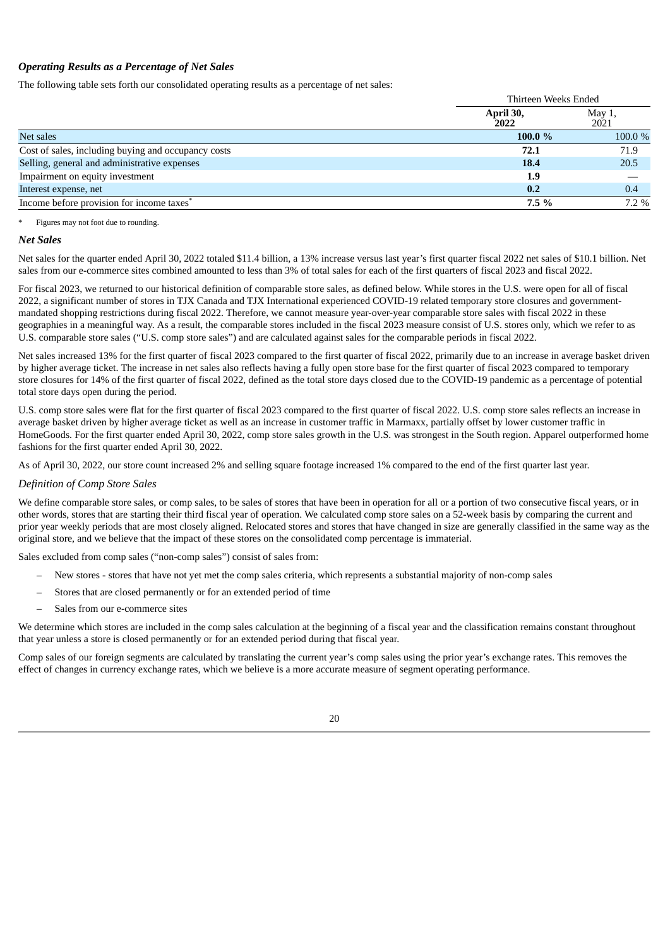# *Operating Results as a Percentage of Net Sales*

The following table sets forth our consolidated operating results as a percentage of net sales:

|                                                       | Thirteen weeks Ended |                  |  |
|-------------------------------------------------------|----------------------|------------------|--|
|                                                       | April 30,<br>2022    | May $1,$<br>2021 |  |
| Net sales                                             | 100.0%               | 100.0 %          |  |
| Cost of sales, including buying and occupancy costs   | 72.1                 | 71.9             |  |
| Selling, general and administrative expenses          | 18.4                 | 20.5             |  |
| Impairment on equity investment                       | 1.9                  |                  |  |
| Interest expense, net                                 | 0.2                  | 0.4              |  |
| Income before provision for income taxes <sup>7</sup> | $7.5\%$              | $7.2\%$          |  |

Thirteen Weeks Ended

Figures may not foot due to rounding.

#### *Net Sales*

Net sales for the quarter ended April 30, 2022 totaled \$11.4 billion, a 13% increase versus last year's first quarter fiscal 2022 net sales of \$10.1 billion. Net sales from our e-commerce sites combined amounted to less than 3% of total sales for each of the first quarters of fiscal 2023 and fiscal 2022.

For fiscal 2023, we returned to our historical definition of comparable store sales, as defined below. While stores in the U.S. were open for all of fiscal 2022, a significant number of stores in TJX Canada and TJX International experienced COVID-19 related temporary store closures and governmentmandated shopping restrictions during fiscal 2022. Therefore, we cannot measure year-over-year comparable store sales with fiscal 2022 in these geographies in a meaningful way. As a result, the comparable stores included in the fiscal 2023 measure consist of U.S. stores only, which we refer to as U.S. comparable store sales ("U.S. comp store sales") and are calculated against sales for the comparable periods in fiscal 2022.

Net sales increased 13% for the first quarter of fiscal 2023 compared to the first quarter of fiscal 2022, primarily due to an increase in average basket driven by higher average ticket. The increase in net sales also reflects having a fully open store base for the first quarter of fiscal 2023 compared to temporary store closures for 14% of the first quarter of fiscal 2022, defined as the total store days closed due to the COVID-19 pandemic as a percentage of potential total store days open during the period.

U.S. comp store sales were flat for the first quarter of fiscal 2023 compared to the first quarter of fiscal 2022. U.S. comp store sales reflects an increase in average basket driven by higher average ticket as well as an increase in customer traffic in Marmaxx, partially offset by lower customer traffic in HomeGoods. For the first quarter ended April 30, 2022, comp store sales growth in the U.S. was strongest in the South region. Apparel outperformed home fashions for the first quarter ended April 30, 2022.

As of April 30, 2022, our store count increased 2% and selling square footage increased 1% compared to the end of the first quarter last year.

#### *Definition of Comp Store Sales*

We define comparable store sales, or comp sales, to be sales of stores that have been in operation for all or a portion of two consecutive fiscal years, or in other words, stores that are starting their third fiscal year of operation. We calculated comp store sales on a 52-week basis by comparing the current and prior year weekly periods that are most closely aligned. Relocated stores and stores that have changed in size are generally classified in the same way as the original store, and we believe that the impact of these stores on the consolidated comp percentage is immaterial.

Sales excluded from comp sales ("non-comp sales") consist of sales from:

- New stores stores that have not yet met the comp sales criteria, which represents a substantial majority of non-comp sales
- Stores that are closed permanently or for an extended period of time
- Sales from our e-commerce sites

We determine which stores are included in the comp sales calculation at the beginning of a fiscal year and the classification remains constant throughout that year unless a store is closed permanently or for an extended period during that fiscal year.

Comp sales of our foreign segments are calculated by translating the current year's comp sales using the prior year's exchange rates. This removes the effect of changes in currency exchange rates, which we believe is a more accurate measure of segment operating performance.

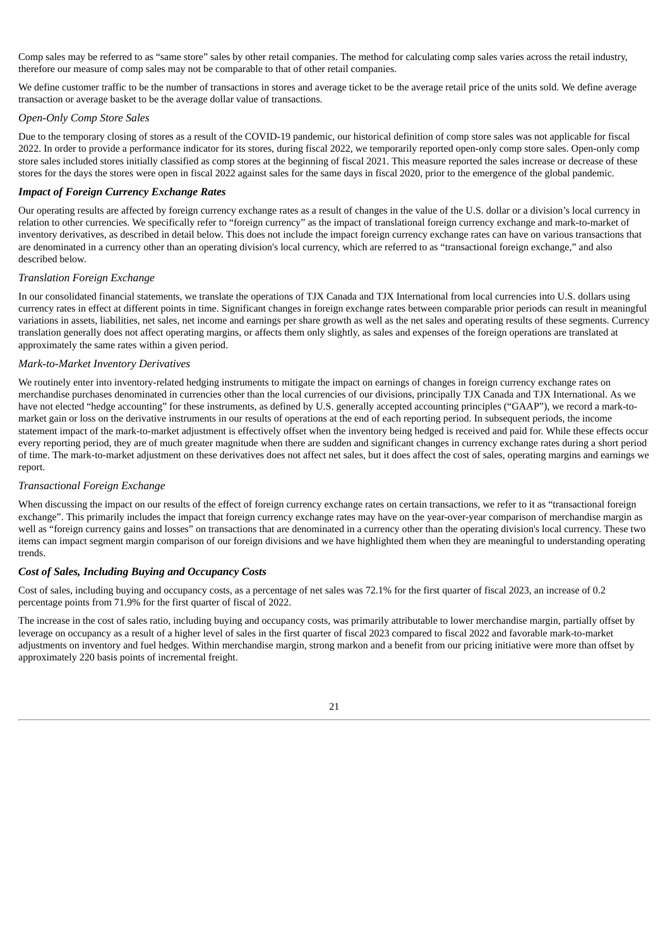Comp sales may be referred to as "same store" sales by other retail companies. The method for calculating comp sales varies across the retail industry, therefore our measure of comp sales may not be comparable to that of other retail companies.

We define customer traffic to be the number of transactions in stores and average ticket to be the average retail price of the units sold. We define average transaction or average basket to be the average dollar value of transactions.

#### *Open-Only Comp Store Sales*

Due to the temporary closing of stores as a result of the COVID-19 pandemic, our historical definition of comp store sales was not applicable for fiscal 2022. In order to provide a performance indicator for its stores, during fiscal 2022, we temporarily reported open-only comp store sales. Open-only comp store sales included stores initially classified as comp stores at the beginning of fiscal 2021. This measure reported the sales increase or decrease of these stores for the days the stores were open in fiscal 2022 against sales for the same days in fiscal 2020, prior to the emergence of the global pandemic.

#### *Impact of Foreign Currency Exchange Rates*

Our operating results are affected by foreign currency exchange rates as a result of changes in the value of the U.S. dollar or a division's local currency in relation to other currencies. We specifically refer to "foreign currency" as the impact of translational foreign currency exchange and mark-to-market of inventory derivatives, as described in detail below. This does not include the impact foreign currency exchange rates can have on various transactions that are denominated in a currency other than an operating division's local currency, which are referred to as "transactional foreign exchange," and also described below.

#### *Translation Foreign Exchange*

In our consolidated financial statements, we translate the operations of TJX Canada and TJX International from local currencies into U.S. dollars using currency rates in effect at different points in time. Significant changes in foreign exchange rates between comparable prior periods can result in meaningful variations in assets, liabilities, net sales, net income and earnings per share growth as well as the net sales and operating results of these segments. Currency translation generally does not affect operating margins, or affects them only slightly, as sales and expenses of the foreign operations are translated at approximately the same rates within a given period.

#### *Mark-to-Market Inventory Derivatives*

We routinely enter into inventory-related hedging instruments to mitigate the impact on earnings of changes in foreign currency exchange rates on merchandise purchases denominated in currencies other than the local currencies of our divisions, principally TJX Canada and TJX International. As we have not elected "hedge accounting" for these instruments, as defined by U.S. generally accepted accounting principles ("GAAP"), we record a mark-tomarket gain or loss on the derivative instruments in our results of operations at the end of each reporting period. In subsequent periods, the income statement impact of the mark-to-market adjustment is effectively offset when the inventory being hedged is received and paid for. While these effects occur every reporting period, they are of much greater magnitude when there are sudden and significant changes in currency exchange rates during a short period of time. The mark-to-market adjustment on these derivatives does not affect net sales, but it does affect the cost of sales, operating margins and earnings we report.

#### *Transactional Foreign Exchange*

When discussing the impact on our results of the effect of foreign currency exchange rates on certain transactions, we refer to it as "transactional foreign exchange". This primarily includes the impact that foreign currency exchange rates may have on the year-over-year comparison of merchandise margin as well as "foreign currency gains and losses" on transactions that are denominated in a currency other than the operating division's local currency. These two items can impact segment margin comparison of our foreign divisions and we have highlighted them when they are meaningful to understanding operating trends.

#### *Cost of Sales, Including Buying and Occupancy Costs*

Cost of sales, including buying and occupancy costs, as a percentage of net sales was 72.1% for the first quarter of fiscal 2023, an increase of 0.2 percentage points from 71.9% for the first quarter of fiscal of 2022.

The increase in the cost of sales ratio, including buying and occupancy costs, was primarily attributable to lower merchandise margin, partially offset by leverage on occupancy as a result of a higher level of sales in the first quarter of fiscal 2023 compared to fiscal 2022 and favorable mark-to-market adjustments on inventory and fuel hedges. Within merchandise margin, strong markon and a benefit from our pricing initiative were more than offset by approximately 220 basis points of incremental freight.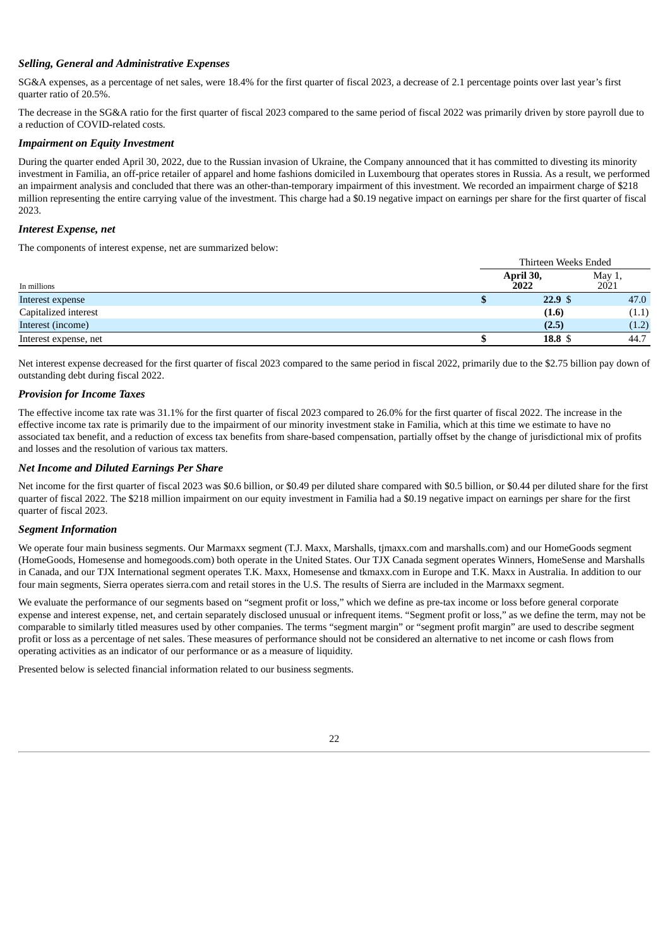# *Selling, General and Administrative Expenses*

SG&A expenses, as a percentage of net sales, were 18.4% for the first quarter of fiscal 2023, a decrease of 2.1 percentage points over last year's first quarter ratio of 20.5%.

The decrease in the SG&A ratio for the first quarter of fiscal 2023 compared to the same period of fiscal 2022 was primarily driven by store payroll due to a reduction of COVID-related costs.

## *Impairment on Equity Investment*

During the quarter ended April 30, 2022, due to the Russian invasion of Ukraine, the Company announced that it has committed to divesting its minority investment in Familia, an off-price retailer of apparel and home fashions domiciled in Luxembourg that operates stores in Russia. As a result, we performed an impairment analysis and concluded that there was an other-than-temporary impairment of this investment. We recorded an impairment charge of \$218 million representing the entire carrying value of the investment. This charge had a \$0.19 negative impact on earnings per share for the first quarter of fiscal 2023.

#### *Interest Expense, net*

The components of interest expense, net are summarized below:

|                       | Thirteen Weeks Ended |                |  |
|-----------------------|----------------------|----------------|--|
| In millions           | April 30,<br>2022    | May 1,<br>2021 |  |
| Interest expense      | 22.9 <sup>5</sup>    | 47.0           |  |
| Capitalized interest  | (1.6)                | (1.1)          |  |
| Interest (income)     | (2.5)                | (1.2)          |  |
| Interest expense, net | 18.8 \$              | 44.7           |  |

Net interest expense decreased for the first quarter of fiscal 2023 compared to the same period in fiscal 2022, primarily due to the \$2.75 billion pay down of outstanding debt during fiscal 2022.

#### *Provision for Income Taxes*

The effective income tax rate was 31.1% for the first quarter of fiscal 2023 compared to 26.0% for the first quarter of fiscal 2022. The increase in the effective income tax rate is primarily due to the impairment of our minority investment stake in Familia, which at this time we estimate to have no associated tax benefit, and a reduction of excess tax benefits from share-based compensation, partially offset by the change of jurisdictional mix of profits and losses and the resolution of various tax matters.

#### *Net Income and Diluted Earnings Per Share*

Net income for the first quarter of fiscal 2023 was \$0.6 billion, or \$0.49 per diluted share compared with \$0.5 billion, or \$0.44 per diluted share for the first quarter of fiscal 2022. The \$218 million impairment on our equity investment in Familia had a \$0.19 negative impact on earnings per share for the first quarter of fiscal 2023.

#### *Segment Information*

We operate four main business segments. Our Marmaxx segment (T.J. Maxx, Marshalls, tjmaxx.com and marshalls.com) and our HomeGoods segment (HomeGoods, Homesense and homegoods.com) both operate in the United States. Our TJX Canada segment operates Winners, HomeSense and Marshalls in Canada, and our TJX International segment operates T.K. Maxx, Homesense and tkmaxx.com in Europe and T.K. Maxx in Australia. In addition to our four main segments, Sierra operates sierra.com and retail stores in the U.S. The results of Sierra are included in the Marmaxx segment.

We evaluate the performance of our segments based on "segment profit or loss," which we define as pre-tax income or loss before general corporate expense and interest expense, net, and certain separately disclosed unusual or infrequent items. "Segment profit or loss," as we define the term, may not be comparable to similarly titled measures used by other companies. The terms "segment margin" or "segment profit margin" are used to describe segment profit or loss as a percentage of net sales. These measures of performance should not be considered an alternative to net income or cash flows from operating activities as an indicator of our performance or as a measure of liquidity.

Presented below is selected financial information related to our business segments.

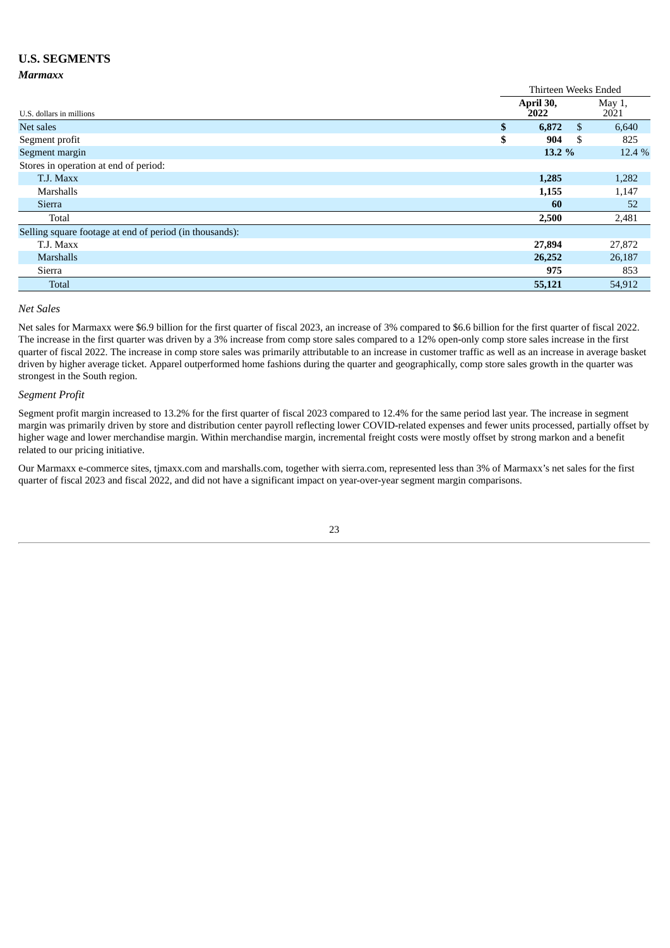# **U.S. SEGMENTS**

# *Marmaxx*

|                                                         | Thirteen Weeks Ended |     |                   |  |
|---------------------------------------------------------|----------------------|-----|-------------------|--|
| U.S. dollars in millions                                | April 30,<br>2022    |     | May $1$ ,<br>2021 |  |
| Net sales                                               | \$<br>6,872          | \$. | 6,640             |  |
| Segment profit                                          | \$<br>904            | -S  | 825               |  |
| Segment margin                                          | 13.2 %               |     | 12.4 %            |  |
| Stores in operation at end of period:                   |                      |     |                   |  |
| T.J. Maxx                                               | 1,285                |     | 1,282             |  |
| Marshalls                                               | 1,155                |     | 1,147             |  |
| <b>Sierra</b>                                           | 60                   |     | 52                |  |
| Total                                                   | 2,500                |     | 2,481             |  |
| Selling square footage at end of period (in thousands): |                      |     |                   |  |
| T.J. Maxx                                               | 27,894               |     | 27,872            |  |
| <b>Marshalls</b>                                        | 26,252               |     | 26,187            |  |
| Sierra                                                  | 975                  |     | 853               |  |
| <b>Total</b>                                            | 55,121               |     | 54,912            |  |

#### *Net Sales*

Net sales for Marmaxx were \$6.9 billion for the first quarter of fiscal 2023, an increase of 3% compared to \$6.6 billion for the first quarter of fiscal 2022. The increase in the first quarter was driven by a 3% increase from comp store sales compared to a 12% open-only comp store sales increase in the first quarter of fiscal 2022. The increase in comp store sales was primarily attributable to an increase in customer traffic as well as an increase in average basket driven by higher average ticket. Apparel outperformed home fashions during the quarter and geographically, comp store sales growth in the quarter was strongest in the South region.

### *Segment Profit*

Segment profit margin increased to 13.2% for the first quarter of fiscal 2023 compared to 12.4% for the same period last year. The increase in segment margin was primarily driven by store and distribution center payroll reflecting lower COVID-related expenses and fewer units processed, partially offset by higher wage and lower merchandise margin. Within merchandise margin, incremental freight costs were mostly offset by strong markon and a benefit related to our pricing initiative.

Our Marmaxx e-commerce sites, tjmaxx.com and marshalls.com, together with sierra.com, represented less than 3% of Marmaxx's net sales for the first quarter of fiscal 2023 and fiscal 2022, and did not have a significant impact on year-over-year segment margin comparisons.

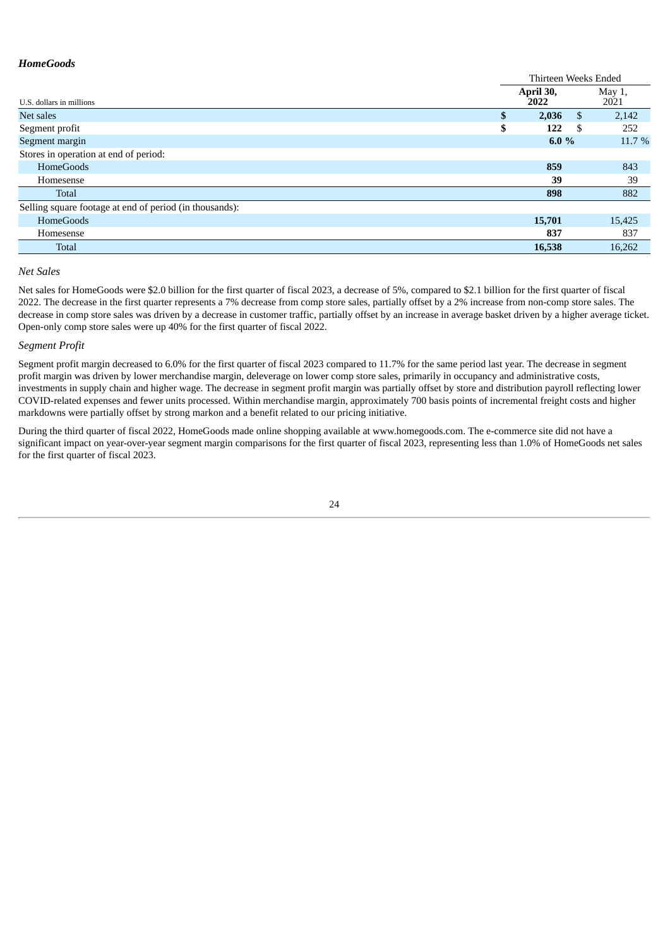# *HomeGoods*

|                                                         | Thirteen Weeks Ended |     |                |
|---------------------------------------------------------|----------------------|-----|----------------|
| U.S. dollars in millions                                | April 30,<br>2022    |     | May 1,<br>2021 |
| Net sales                                               | 2,036                | \$. | 2,142          |
| Segment profit                                          | 122                  | S   | 252            |
| Segment margin                                          | 6.0 $%$              |     | 11.7 %         |
| Stores in operation at end of period:                   |                      |     |                |
| <b>HomeGoods</b>                                        | 859                  |     | 843            |
| Homesense                                               | 39                   |     | 39             |
| <b>Total</b>                                            | 898                  |     | 882            |
| Selling square footage at end of period (in thousands): |                      |     |                |
| <b>HomeGoods</b>                                        | 15,701               |     | 15,425         |
| Homesense                                               | 837                  |     | 837            |
| Total                                                   | 16,538               |     | 16,262         |

#### *Net Sales*

Net sales for HomeGoods were \$2.0 billion for the first quarter of fiscal 2023, a decrease of 5%, compared to \$2.1 billion for the first quarter of fiscal 2022. The decrease in the first quarter represents a 7% decrease from comp store sales, partially offset by a 2% increase from non-comp store sales. The decrease in comp store sales was driven by a decrease in customer traffic, partially offset by an increase in average basket driven by a higher average ticket. Open-only comp store sales were up 40% for the first quarter of fiscal 2022.

#### *Segment Profit*

Segment profit margin decreased to 6.0% for the first quarter of fiscal 2023 compared to 11.7% for the same period last year. The decrease in segment profit margin was driven by lower merchandise margin, deleverage on lower comp store sales, primarily in occupancy and administrative costs, investments in supply chain and higher wage. The decrease in segment profit margin was partially offset by store and distribution payroll reflecting lower COVID-related expenses and fewer units processed. Within merchandise margin, approximately 700 basis points of incremental freight costs and higher markdowns were partially offset by strong markon and a benefit related to our pricing initiative.

During the third quarter of fiscal 2022, HomeGoods made online shopping available at www.homegoods.com. The e-commerce site did not have a significant impact on year-over-year segment margin comparisons for the first quarter of fiscal 2023, representing less than 1.0% of HomeGoods net sales for the first quarter of fiscal 2023.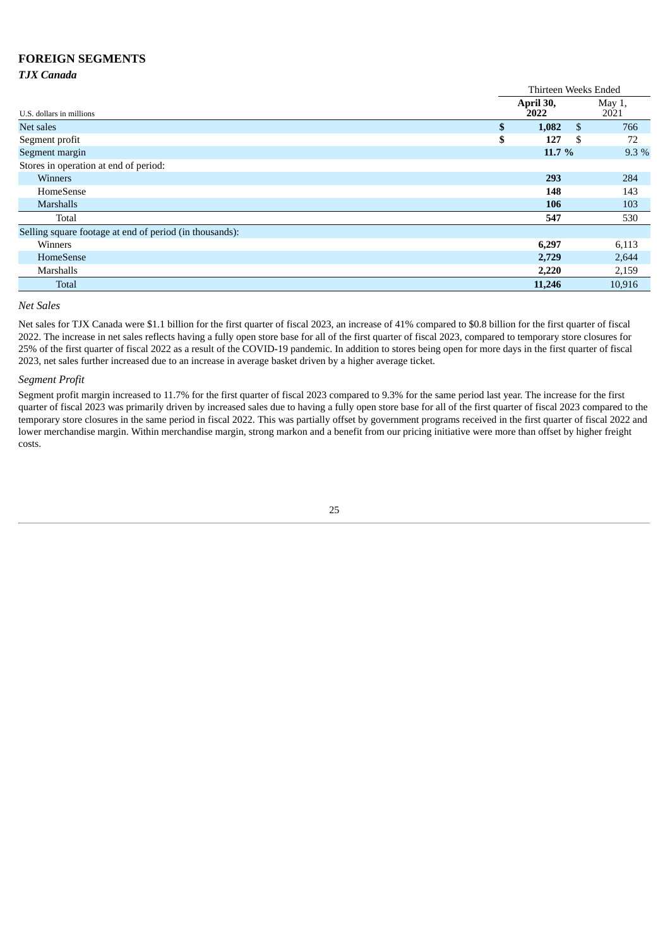# **FOREIGN SEGMENTS** *TJX Canada*

|                                                         | Thirteen Weeks Ended |    |                |
|---------------------------------------------------------|----------------------|----|----------------|
| U.S. dollars in millions                                | April 30,<br>2022    |    | May 1,<br>2021 |
| Net sales                                               | \$<br>1,082          | \$ | 766            |
| Segment profit                                          | \$<br>127            | S  | 72             |
| Segment margin                                          | 11.7 %               |    | 9.3 %          |
| Stores in operation at end of period:                   |                      |    |                |
| <b>Winners</b>                                          | 293                  |    | 284            |
| HomeSense                                               | 148                  |    | 143            |
| <b>Marshalls</b>                                        | 106                  |    | 103            |
| Total                                                   | 547                  |    | 530            |
| Selling square footage at end of period (in thousands): |                      |    |                |
| Winners                                                 | 6,297                |    | 6,113          |
| HomeSense                                               | 2,729                |    | 2,644          |
| Marshalls                                               | 2,220                |    | 2,159          |
| <b>Total</b>                                            | 11,246               |    | 10,916         |

#### *Net Sales*

Net sales for TJX Canada were \$1.1 billion for the first quarter of fiscal 2023, an increase of 41% compared to \$0.8 billion for the first quarter of fiscal 2022. The increase in net sales reflects having a fully open store base for all of the first quarter of fiscal 2023, compared to temporary store closures for 25% of the first quarter of fiscal 2022 as a result of the COVID-19 pandemic. In addition to stores being open for more days in the first quarter of fiscal 2023, net sales further increased due to an increase in average basket driven by a higher average ticket.

### *Segment Profit*

Segment profit margin increased to 11.7% for the first quarter of fiscal 2023 compared to 9.3% for the same period last year. The increase for the first quarter of fiscal 2023 was primarily driven by increased sales due to having a fully open store base for all of the first quarter of fiscal 2023 compared to the temporary store closures in the same period in fiscal 2022. This was partially offset by government programs received in the first quarter of fiscal 2022 and lower merchandise margin. Within merchandise margin, strong markon and a benefit from our pricing initiative were more than offset by higher freight costs.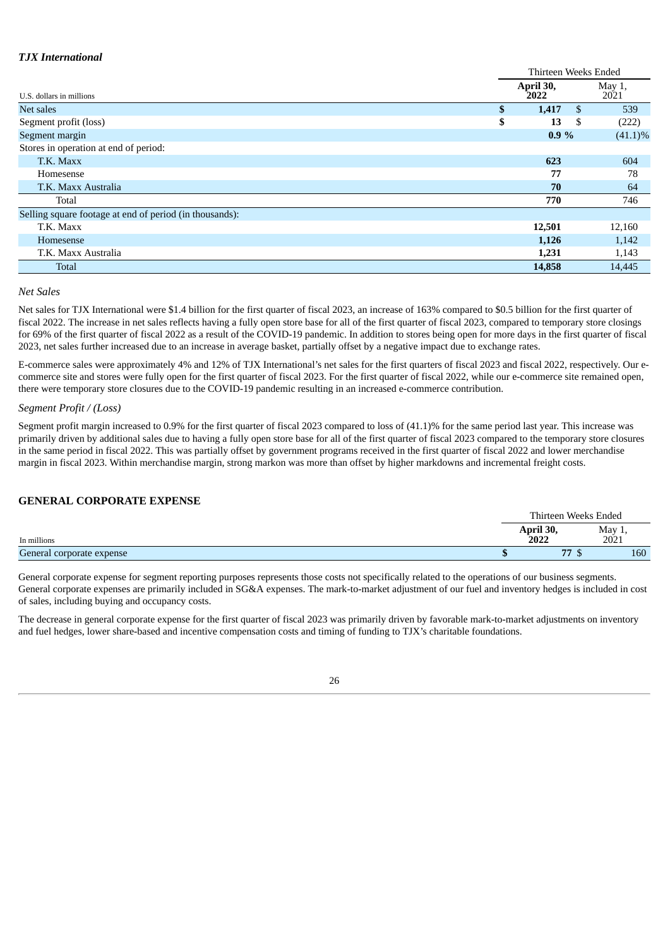# *TJX International*

|                                                         |    | Thirteen Weeks Ended |     |                |
|---------------------------------------------------------|----|----------------------|-----|----------------|
| U.S. dollars in millions                                |    | April 30,<br>2022    |     | May 1,<br>2021 |
| Net sales                                               | S  | 1,417                | \$. | 539            |
| Segment profit (loss)                                   | \$ | 13                   | S   | (222)          |
| Segment margin                                          |    | 0.9%                 |     | $(41.1)\%$     |
| Stores in operation at end of period:                   |    |                      |     |                |
| T.K. Maxx                                               |    | 623                  |     | 604            |
| Homesense                                               |    | 77                   |     | 78             |
| T.K. Maxx Australia                                     |    | 70                   |     | 64             |
| Total                                                   |    | 770                  |     | 746            |
| Selling square footage at end of period (in thousands): |    |                      |     |                |
| T.K. Maxx                                               |    | 12,501               |     | 12,160         |
| Homesense                                               |    | 1,126                |     | 1,142          |
| T.K. Maxx Australia                                     |    | 1,231                |     | 1,143          |
| <b>Total</b>                                            |    | 14,858               |     | 14,445         |

#### *Net Sales*

Net sales for TJX International were \$1.4 billion for the first quarter of fiscal 2023, an increase of 163% compared to \$0.5 billion for the first quarter of fiscal 2022. The increase in net sales reflects having a fully open store base for all of the first quarter of fiscal 2023, compared to temporary store closings for 69% of the first quarter of fiscal 2022 as a result of the COVID-19 pandemic. In addition to stores being open for more days in the first quarter of fiscal 2023, net sales further increased due to an increase in average basket, partially offset by a negative impact due to exchange rates.

E-commerce sales were approximately 4% and 12% of TJX International's net sales for the first quarters of fiscal 2023 and fiscal 2022, respectively. Our ecommerce site and stores were fully open for the first quarter of fiscal 2023. For the first quarter of fiscal 2022, while our e-commerce site remained open, there were temporary store closures due to the COVID-19 pandemic resulting in an increased e-commerce contribution.

#### *Segment Profit / (Loss)*

Segment profit margin increased to 0.9% for the first quarter of fiscal 2023 compared to loss of (41.1)% for the same period last year. This increase was primarily driven by additional sales due to having a fully open store base for all of the first quarter of fiscal 2023 compared to the temporary store closures in the same period in fiscal 2022. This was partially offset by government programs received in the first quarter of fiscal 2022 and lower merchandise margin in fiscal 2023. Within merchandise margin, strong markon was more than offset by higher markdowns and incremental freight costs.

## **GENERAL CORPORATE EXPENSE**

|                           | Thirteen Weeks Ended     |                |  |
|---------------------------|--------------------------|----------------|--|
| In millions               | April 30,<br>2022        | May 1,<br>2021 |  |
| General corporate expense | 77<br>$\mathbf{r}$<br>٠D | 160            |  |

General corporate expense for segment reporting purposes represents those costs not specifically related to the operations of our business segments. General corporate expenses are primarily included in SG&A expenses. The mark-to-market adjustment of our fuel and inventory hedges is included in cost of sales, including buying and occupancy costs.

The decrease in general corporate expense for the first quarter of fiscal 2023 was primarily driven by favorable mark-to-market adjustments on inventory and fuel hedges, lower share-based and incentive compensation costs and timing of funding to TJX's charitable foundations.

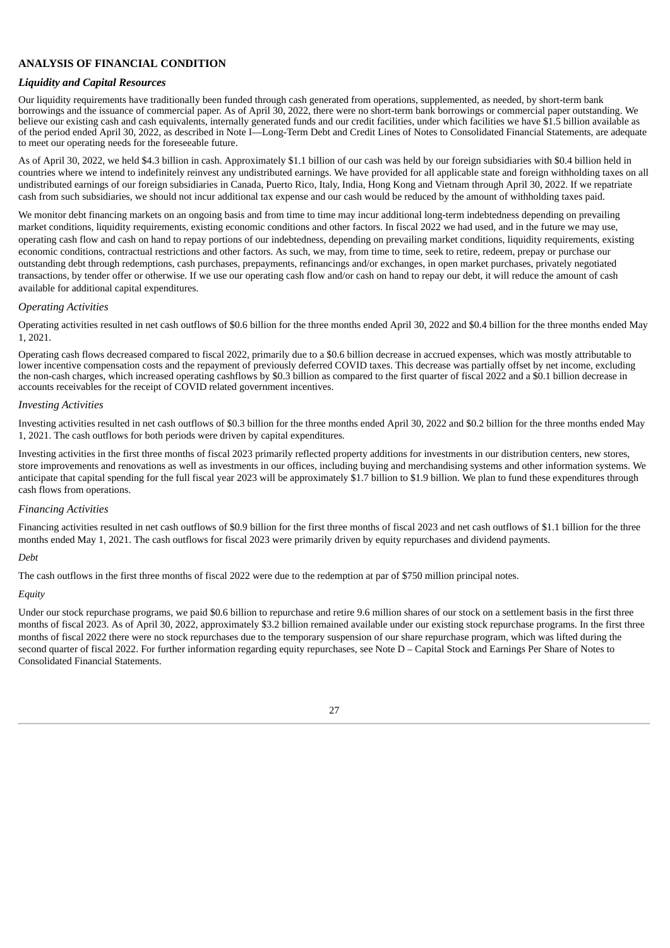# **ANALYSIS OF FINANCIAL CONDITION**

#### *Liquidity and Capital Resources*

Our liquidity requirements have traditionally been funded through cash generated from operations, supplemented, as needed, by short-term bank borrowings and the issuance of commercial paper. As of April 30, 2022, there were no short-term bank borrowings or commercial paper outstanding. We believe our existing cash and cash equivalents, internally generated funds and our credit facilities, under which facilities we have \$1.5 billion available as of the period ended April 30, 2022, as described in Note I—Long-Term Debt and Credit Lines of Notes to Consolidated Financial Statements, are adequate to meet our operating needs for the foreseeable future.

As of April 30, 2022, we held \$4.3 billion in cash. Approximately \$1.1 billion of our cash was held by our foreign subsidiaries with \$0.4 billion held in countries where we intend to indefinitely reinvest any undistributed earnings. We have provided for all applicable state and foreign withholding taxes on all undistributed earnings of our foreign subsidiaries in Canada, Puerto Rico, Italy, India, Hong Kong and Vietnam through April 30, 2022. If we repatriate cash from such subsidiaries, we should not incur additional tax expense and our cash would be reduced by the amount of withholding taxes paid.

We monitor debt financing markets on an ongoing basis and from time to time may incur additional long-term indebtedness depending on prevailing market conditions, liquidity requirements, existing economic conditions and other factors. In fiscal 2022 we had used, and in the future we may use, operating cash flow and cash on hand to repay portions of our indebtedness, depending on prevailing market conditions, liquidity requirements, existing economic conditions, contractual restrictions and other factors. As such, we may, from time to time, seek to retire, redeem, prepay or purchase our outstanding debt through redemptions, cash purchases, prepayments, refinancings and/or exchanges, in open market purchases, privately negotiated transactions, by tender offer or otherwise. If we use our operating cash flow and/or cash on hand to repay our debt, it will reduce the amount of cash available for additional capital expenditures.

### *Operating Activities*

Operating activities resulted in net cash outflows of \$0.6 billion for the three months ended April 30, 2022 and \$0.4 billion for the three months ended May 1, 2021.

Operating cash flows decreased compared to fiscal 2022, primarily due to a \$0.6 billion decrease in accrued expenses, which was mostly attributable to lower incentive compensation costs and the repayment of previously deferred COVID taxes. This decrease was partially offset by net income, excluding the non-cash charges, which increased operating cashflows by \$0.3 billion as compared to the first quarter of fiscal 2022 and a \$0.1 billion decrease in accounts receivables for the receipt of COVID related government incentives.

#### *Investing Activities*

Investing activities resulted in net cash outflows of \$0.3 billion for the three months ended April 30, 2022 and \$0.2 billion for the three months ended May 1, 2021. The cash outflows for both periods were driven by capital expenditures.

Investing activities in the first three months of fiscal 2023 primarily reflected property additions for investments in our distribution centers, new stores, store improvements and renovations as well as investments in our offices, including buying and merchandising systems and other information systems. We anticipate that capital spending for the full fiscal year 2023 will be approximately \$1.7 billion to \$1.9 billion. We plan to fund these expenditures through cash flows from operations.

#### *Financing Activities*

Financing activities resulted in net cash outflows of \$0.9 billion for the first three months of fiscal 2023 and net cash outflows of \$1.1 billion for the three months ended May 1, 2021. The cash outflows for fiscal 2023 were primarily driven by equity repurchases and dividend payments.

#### *Debt*

The cash outflows in the first three months of fiscal 2022 were due to the redemption at par of \$750 million principal notes.

#### *Equity*

Under our stock repurchase programs, we paid \$0.6 billion to repurchase and retire 9.6 million shares of our stock on a settlement basis in the first three months of fiscal 2023. As of April 30, 2022, approximately \$3.2 billion remained available under our existing stock repurchase programs. In the first three months of fiscal 2022 there were no stock repurchases due to the temporary suspension of our share repurchase program, which was lifted during the second quarter of fiscal 2022. For further information regarding equity repurchases, see Note D – Capital Stock and Earnings Per Share of Notes to Consolidated Financial Statements.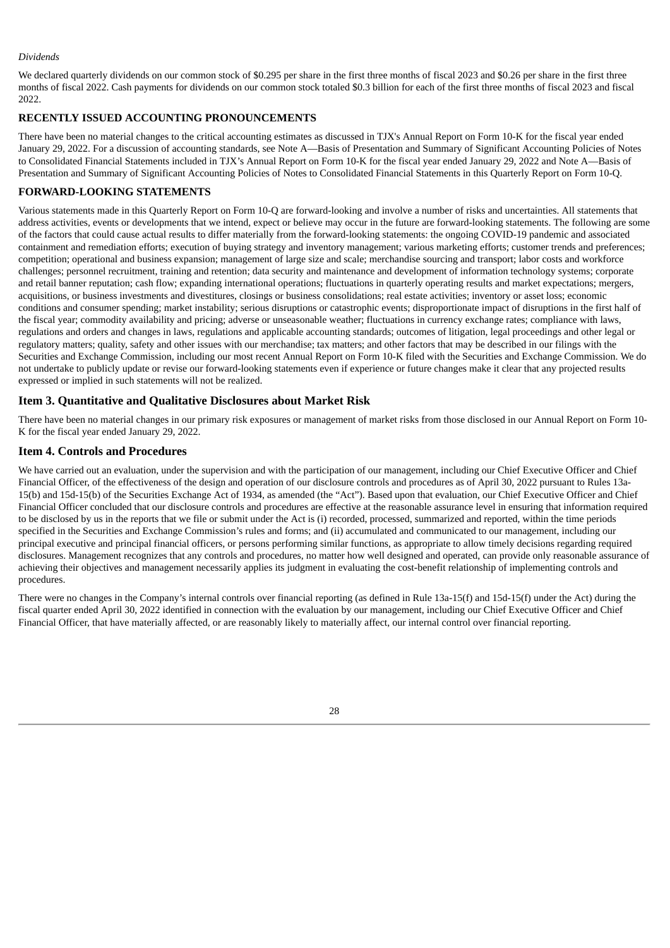#### *Dividends*

We declared quarterly dividends on our common stock of \$0.295 per share in the first three months of fiscal 2023 and \$0.26 per share in the first three months of fiscal 2022. Cash payments for dividends on our common stock totaled \$0.3 billion for each of the first three months of fiscal 2023 and fiscal 2022.

# **RECENTLY ISSUED ACCOUNTING PRONOUNCEMENTS**

There have been no material changes to the critical accounting estimates as discussed in TJX's Annual Report on Form 10-K for the fiscal year ended January 29, 2022. For a discussion of accounting standards, see Note A—Basis of Presentation and Summary of Significant Accounting Policies of Notes to Consolidated Financial Statements included in TJX's Annual Report on Form 10-K for the fiscal year ended January 29, 2022 and Note A—Basis of Presentation and Summary of Significant Accounting Policies of Notes to Consolidated Financial Statements in this Quarterly Report on Form 10-Q.

# **FORWARD-LOOKING STATEMENTS**

Various statements made in this Quarterly Report on Form 10-Q are forward-looking and involve a number of risks and uncertainties. All statements that address activities, events or developments that we intend, expect or believe may occur in the future are forward-looking statements. The following are some of the factors that could cause actual results to differ materially from the forward-looking statements: the ongoing COVID-19 pandemic and associated containment and remediation efforts; execution of buying strategy and inventory management; various marketing efforts; customer trends and preferences; competition; operational and business expansion; management of large size and scale; merchandise sourcing and transport; labor costs and workforce challenges; personnel recruitment, training and retention; data security and maintenance and development of information technology systems; corporate and retail banner reputation; cash flow; expanding international operations; fluctuations in quarterly operating results and market expectations; mergers, acquisitions, or business investments and divestitures, closings or business consolidations; real estate activities; inventory or asset loss; economic conditions and consumer spending; market instability; serious disruptions or catastrophic events; disproportionate impact of disruptions in the first half of the fiscal year; commodity availability and pricing; adverse or unseasonable weather; fluctuations in currency exchange rates; compliance with laws, regulations and orders and changes in laws, regulations and applicable accounting standards; outcomes of litigation, legal proceedings and other legal or regulatory matters; quality, safety and other issues with our merchandise; tax matters; and other factors that may be described in our filings with the Securities and Exchange Commission, including our most recent Annual Report on Form 10-K filed with the Securities and Exchange Commission. We do not undertake to publicly update or revise our forward-looking statements even if experience or future changes make it clear that any projected results expressed or implied in such statements will not be realized.

# <span id="page-27-0"></span>**Item 3. Quantitative and Qualitative Disclosures about Market Risk**

There have been no material changes in our primary risk exposures or management of market risks from those disclosed in our Annual Report on Form 10- K for the fiscal year ended January 29, 2022.

# <span id="page-27-1"></span>**Item 4. Controls and Procedures**

We have carried out an evaluation, under the supervision and with the participation of our management, including our Chief Executive Officer and Chief Financial Officer, of the effectiveness of the design and operation of our disclosure controls and procedures as of April 30, 2022 pursuant to Rules 13a-15(b) and 15d-15(b) of the Securities Exchange Act of 1934, as amended (the "Act"). Based upon that evaluation, our Chief Executive Officer and Chief Financial Officer concluded that our disclosure controls and procedures are effective at the reasonable assurance level in ensuring that information required to be disclosed by us in the reports that we file or submit under the Act is (i) recorded, processed, summarized and reported, within the time periods specified in the Securities and Exchange Commission's rules and forms; and (ii) accumulated and communicated to our management, including our principal executive and principal financial officers, or persons performing similar functions, as appropriate to allow timely decisions regarding required disclosures. Management recognizes that any controls and procedures, no matter how well designed and operated, can provide only reasonable assurance of achieving their objectives and management necessarily applies its judgment in evaluating the cost-benefit relationship of implementing controls and procedures.

<span id="page-27-2"></span>There were no changes in the Company's internal controls over financial reporting (as defined in Rule 13a-15(f) and 15d-15(f) under the Act) during the fiscal quarter ended April 30, 2022 identified in connection with the evaluation by our management, including our Chief Executive Officer and Chief Financial Officer, that have materially affected, or are reasonably likely to materially affect, our internal control over financial reporting.

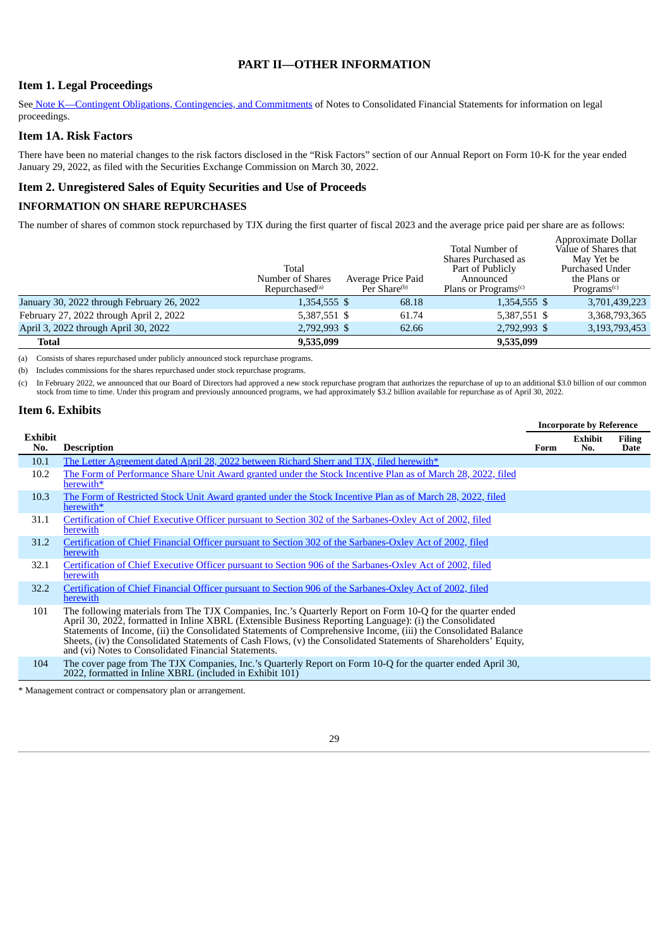# **PART II—OTHER INFORMATION**

# <span id="page-28-0"></span>**Item 1. Legal Proceedings**

See Note [K—Contingent](#page-17-1) Obligations, Contingencies, and Commitments of Notes to Consolidated Financial Statements for information on legal proceedings.

#### <span id="page-28-1"></span>**Item 1A. Risk Factors**

There have been no material changes to the risk factors disclosed in the "Risk Factors" section of our Annual Report on Form 10-K for the year ended January 29, 2022, as filed with the Securities Exchange Commission on March 30, 2022.

#### <span id="page-28-2"></span>**Item 2. Unregistered Sales of Equity Securities and Use of Proceeds**

# **INFORMATION ON SHARE REPURCHASES**

The number of shares of common stock repurchased by TJX during the first quarter of fiscal 2023 and the average price paid per share are as follows:

|                                            | Total<br>Number of Shares<br>Repurchased <sup>(a)</sup> | Average Price Paid<br>Per Share <sup>(b)</sup> | Total Number of<br>Shares Purchased as<br>Part of Publicly<br>Announced<br>Plans or Programs <sup><math>(c)</math></sup> | Approximate Dollar<br>Value of Shares that<br>May Yet be<br>Purchased Under<br>the Plans or<br>ProgramS <sup>(c)</sup> |
|--------------------------------------------|---------------------------------------------------------|------------------------------------------------|--------------------------------------------------------------------------------------------------------------------------|------------------------------------------------------------------------------------------------------------------------|
| January 30, 2022 through February 26, 2022 | 1,354,555 \$                                            | 68.18                                          | 1,354,555 \$                                                                                                             | 3,701,439,223                                                                                                          |
| February 27, 2022 through April 2, 2022    | 5,387,551 \$                                            | 61.74                                          | 5,387,551 \$                                                                                                             | 3,368,793,365                                                                                                          |
| April 3, 2022 through April 30, 2022       | 2,792,993 \$                                            | 62.66                                          | 2,792,993 \$                                                                                                             | 3,193,793,453                                                                                                          |
| Total                                      | 9,535,099                                               |                                                | 9,535,099                                                                                                                |                                                                                                                        |

(a) Consists of shares repurchased under publicly announced stock repurchase programs.

(b) Includes commissions for the shares repurchased under stock repurchase programs.

(c) In February 2022, we announced that our Board of Directors had approved a new stock repurchase program that authorizes the repurchase of up to an additional \$3.0 billion of our common stock from time to time. Under this program and previously announced programs, we had approximately \$3.2 billion available for repurchase as of April 30, 2022.

#### <span id="page-28-3"></span>**Item 6. Exhibits**

|                       |                                                                                                                                                                                                                                                                                                                                                                                                                                                                                                                     | <b>Incorporate by Reference</b> |                |                       |
|-----------------------|---------------------------------------------------------------------------------------------------------------------------------------------------------------------------------------------------------------------------------------------------------------------------------------------------------------------------------------------------------------------------------------------------------------------------------------------------------------------------------------------------------------------|---------------------------------|----------------|-----------------------|
| <b>Exhibit</b><br>No. | <b>Description</b>                                                                                                                                                                                                                                                                                                                                                                                                                                                                                                  | Form                            | Exhibit<br>No. | <b>Filing</b><br>Date |
| 10.1                  | The Letter Agreement dated April 28, 2022 between Richard Sherr and TJX, filed herewith*                                                                                                                                                                                                                                                                                                                                                                                                                            |                                 |                |                       |
| 10.2                  | The Form of Performance Share Unit Award granted under the Stock Incentive Plan as of March 28, 2022, filed<br>herewith*                                                                                                                                                                                                                                                                                                                                                                                            |                                 |                |                       |
| 10.3                  | The Form of Restricted Stock Unit Award granted under the Stock Incentive Plan as of March 28, 2022, filed<br>herewith*                                                                                                                                                                                                                                                                                                                                                                                             |                                 |                |                       |
| 31.1                  | Certification of Chief Executive Officer pursuant to Section 302 of the Sarbanes-Oxley Act of 2002, filed<br>herewith                                                                                                                                                                                                                                                                                                                                                                                               |                                 |                |                       |
| 31.2                  | Certification of Chief Financial Officer pursuant to Section 302 of the Sarbanes-Oxley Act of 2002, filed<br>herewith                                                                                                                                                                                                                                                                                                                                                                                               |                                 |                |                       |
| 32.1                  | Certification of Chief Executive Officer pursuant to Section 906 of the Sarbanes-Oxley Act of 2002, filed<br>herewith                                                                                                                                                                                                                                                                                                                                                                                               |                                 |                |                       |
| 32.2                  | Certification of Chief Financial Officer pursuant to Section 906 of the Sarbanes-Oxley Act of 2002, filed<br>herewith                                                                                                                                                                                                                                                                                                                                                                                               |                                 |                |                       |
| 101                   | The following materials from The TJX Companies, Inc.'s Quarterly Report on Form 10-Q for the quarter ended<br>April 30, 2022, formatted in Inline XBRL (Extensible Business Reporting Language): (i) the Consolidated<br>Statements of Income, (ii) the Consolidated Statements of Comprehensive Income, (iii) the Consolidated Balance<br>Sheets, (iv) the Consolidated Statements of Cash Flows, (v) the Consolidated Statements of Shareholders' Equity,<br>and (vi) Notes to Consolidated Financial Statements. |                                 |                |                       |
| 104                   | The cover page from The TJX Companies, Inc.'s Quarterly Report on Form 10-Q for the quarter ended April 30,<br>2022, formatted in Inline XBRL (included in Exhibit 101)                                                                                                                                                                                                                                                                                                                                             |                                 |                |                       |

\* Management contract or compensatory plan or arrangement.

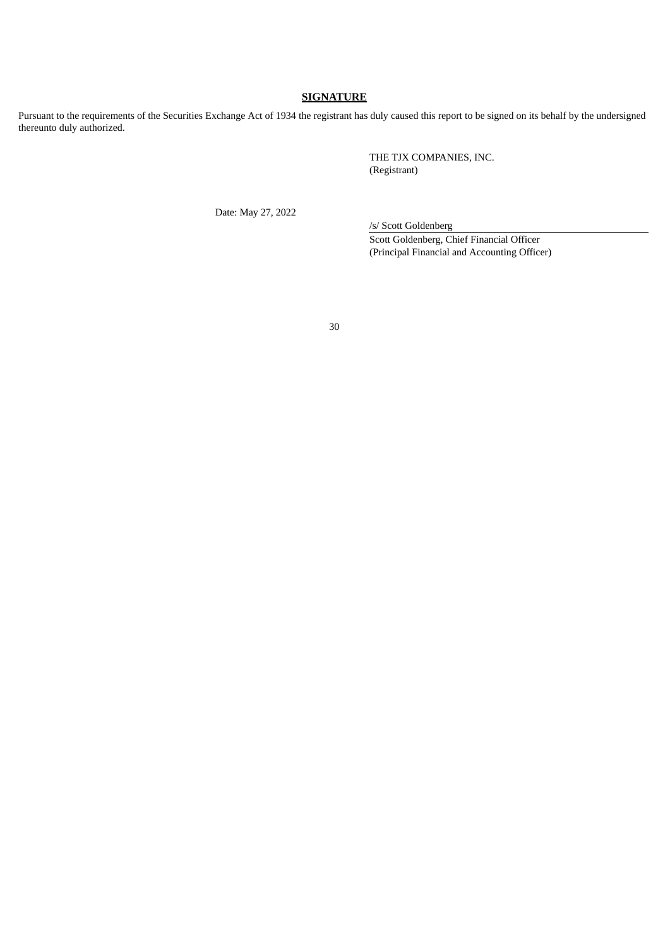# **SIGNATURE**

<span id="page-29-0"></span>Pursuant to the requirements of the Securities Exchange Act of 1934 the registrant has duly caused this report to be signed on its behalf by the undersigned thereunto duly authorized.

> THE TJX COMPANIES, INC. (Registrant)

Date: May 27, 2022

/s/ Scott Goldenberg

Scott Goldenberg, Chief Financial Officer (Principal Financial and Accounting Officer)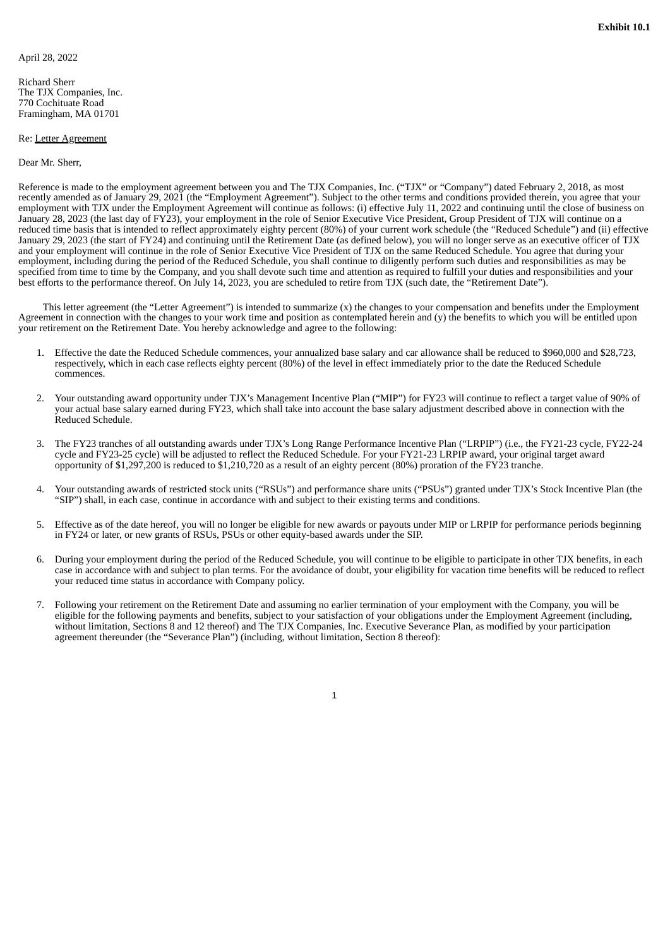#### <span id="page-30-0"></span>April 28, 2022

Richard Sherr The TJX Companies, Inc. 770 Cochituate Road Framingham, MA 01701

#### Re: Letter Agreement

Dear Mr. Sherr,

Reference is made to the employment agreement between you and The TJX Companies, Inc. ("TJX" or "Company") dated February 2, 2018, as most recently amended as of January 29, 2021 (the "Employment Agreement"). Subject to the other terms and conditions provided therein, you agree that your employment with TJX under the Employment Agreement will continue as follows: (i) effective July 11, 2022 and continuing until the close of business on January 28, 2023 (the last day of FY23), your employment in the role of Senior Executive Vice President, Group President of TJX will continue on a reduced time basis that is intended to reflect approximately eighty percent (80%) of your current work schedule (the "Reduced Schedule") and (ii) effective January 29, 2023 (the start of FY24) and continuing until the Retirement Date (as defined below), you will no longer serve as an executive officer of TJX and your employment will continue in the role of Senior Executive Vice President of TJX on the same Reduced Schedule. You agree that during your employment, including during the period of the Reduced Schedule, you shall continue to diligently perform such duties and responsibilities as may be specified from time to time by the Company, and you shall devote such time and attention as required to fulfill your duties and responsibilities and your best efforts to the performance thereof. On July 14, 2023, you are scheduled to retire from TJX (such date, the "Retirement Date").

This letter agreement (the "Letter Agreement") is intended to summarize (x) the changes to your compensation and benefits under the Employment Agreement in connection with the changes to your work time and position as contemplated herein and (y) the benefits to which you will be entitled upon your retirement on the Retirement Date. You hereby acknowledge and agree to the following:

- 1. Effective the date the Reduced Schedule commences, your annualized base salary and car allowance shall be reduced to \$960,000 and \$28,723, respectively, which in each case reflects eighty percent (80%) of the level in effect immediately prior to the date the Reduced Schedule commences.
- 2. Your outstanding award opportunity under TJX's Management Incentive Plan ("MIP") for FY23 will continue to reflect a target value of 90% of your actual base salary earned during FY23, which shall take into account the base salary adjustment described above in connection with the Reduced Schedule.
- 3. The FY23 tranches of all outstanding awards under TJX's Long Range Performance Incentive Plan ("LRPIP") (i.e., the FY21-23 cycle, FY22-24 cycle and FY23-25 cycle) will be adjusted to reflect the Reduced Schedule. For your FY21-23 LRPIP award, your original target award opportunity of \$1,297,200 is reduced to \$1,210,720 as a result of an eighty percent (80%) proration of the FY23 tranche.
- Your outstanding awards of restricted stock units ("RSUs") and performance share units ("PSUs") granted under TJX's Stock Incentive Plan (the "SIP") shall, in each case, continue in accordance with and subject to their existing terms and conditions.
- 5. Effective as of the date hereof, you will no longer be eligible for new awards or payouts under MIP or LRPIP for performance periods beginning in FY24 or later, or new grants of RSUs, PSUs or other equity-based awards under the SIP.
- 6. During your employment during the period of the Reduced Schedule, you will continue to be eligible to participate in other TJX benefits, in each case in accordance with and subject to plan terms. For the avoidance of doubt, your eligibility for vacation time benefits will be reduced to reflect your reduced time status in accordance with Company policy.
- 7. Following your retirement on the Retirement Date and assuming no earlier termination of your employment with the Company, you will be eligible for the following payments and benefits, subject to your satisfaction of your obligations under the Employment Agreement (including, without limitation, Sections 8 and 12 thereof) and The TJX Companies, Inc. Executive Severance Plan, as modified by your participation agreement thereunder (the "Severance Plan") (including, without limitation, Section 8 thereof):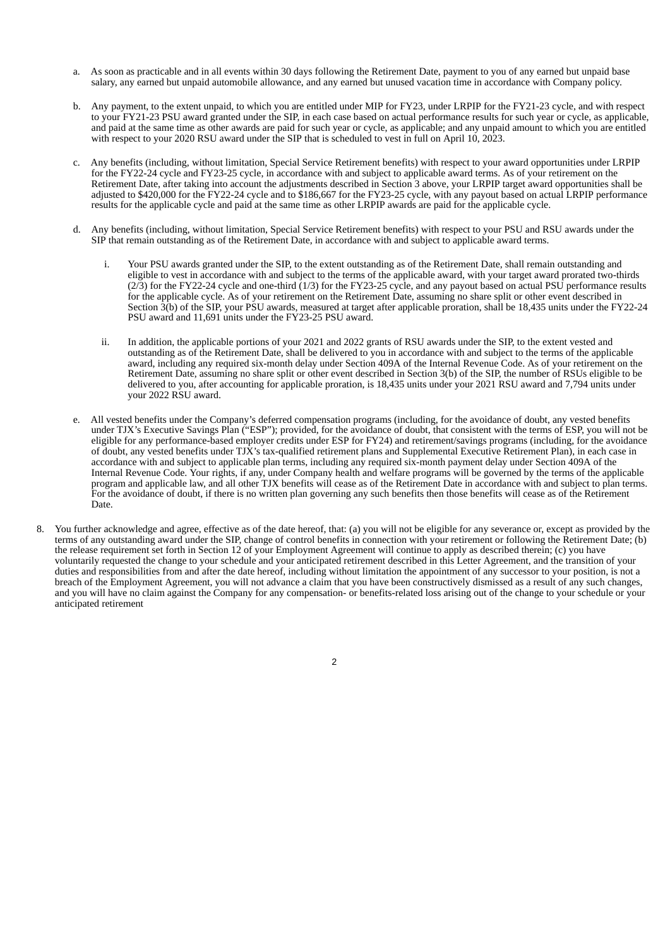- a. As soon as practicable and in all events within 30 days following the Retirement Date, payment to you of any earned but unpaid base salary, any earned but unpaid automobile allowance, and any earned but unused vacation time in accordance with Company policy.
- b. Any payment, to the extent unpaid, to which you are entitled under MIP for FY23, under LRPIP for the FY21-23 cycle, and with respect to your FY21-23 PSU award granted under the SIP, in each case based on actual performance results for such year or cycle, as applicable, and paid at the same time as other awards are paid for such year or cycle, as applicable; and any unpaid amount to which you are entitled with respect to your 2020 RSU award under the SIP that is scheduled to vest in full on April 10, 2023.
- c. Any benefits (including, without limitation, Special Service Retirement benefits) with respect to your award opportunities under LRPIP for the FY22-24 cycle and FY23-25 cycle, in accordance with and subject to applicable award terms. As of your retirement on the Retirement Date, after taking into account the adjustments described in Section 3 above, your LRPIP target award opportunities shall be adjusted to \$420,000 for the FY22-24 cycle and to \$186,667 for the FY23-25 cycle, with any payout based on actual LRPIP performance results for the applicable cycle and paid at the same time as other LRPIP awards are paid for the applicable cycle.
- d. Any benefits (including, without limitation, Special Service Retirement benefits) with respect to your PSU and RSU awards under the SIP that remain outstanding as of the Retirement Date, in accordance with and subject to applicable award terms.
	- i. Your PSU awards granted under the SIP, to the extent outstanding as of the Retirement Date, shall remain outstanding and eligible to vest in accordance with and subject to the terms of the applicable award, with your target award prorated two-thirds  $(2/3)$  for the FY22-24 cycle and one-third  $(1/3)$  for the FY23-25 cycle, and any payout based on actual PSU performance results for the applicable cycle. As of your retirement on the Retirement Date, assuming no share split or other event described in Section  $3(b)$  of the SIP, your PSU awards, measured at target after applicable proration, shall be 18,435 units under the FY22-24 PSU award and 11,691 units under the FY23-25 PSU award.
	- ii. In addition, the applicable portions of your 2021 and 2022 grants of RSU awards under the SIP, to the extent vested and outstanding as of the Retirement Date, shall be delivered to you in accordance with and subject to the terms of the applicable award, including any required six-month delay under Section 409A of the Internal Revenue Code. As of your retirement on the Retirement Date, assuming no share split or other event described in Section 3(b) of the SIP, the number of RSUs eligible to be delivered to you, after accounting for applicable proration, is 18,435 units under your 2021 RSU award and 7,794 units under your 2022 RSU award.
- e. All vested benefits under the Company's deferred compensation programs (including, for the avoidance of doubt, any vested benefits under TJX's Executive Savings Plan ("ESP"); provided, for the avoidance of doubt, that consistent with the terms of ESP, you will not be eligible for any performance-based employer credits under ESP for FY24) and retirement/savings programs (including, for the avoidance of doubt, any vested benefits under TJX's tax-qualified retirement plans and Supplemental Executive Retirement Plan), in each case in accordance with and subject to applicable plan terms, including any required six-month payment delay under Section 409A of the Internal Revenue Code. Your rights, if any, under Company health and welfare programs will be governed by the terms of the applicable program and applicable law, and all other TJX benefits will cease as of the Retirement Date in accordance with and subject to plan terms. For the avoidance of doubt, if there is no written plan governing any such benefits then those benefits will cease as of the Retirement Date.
- 8. You further acknowledge and agree, effective as of the date hereof, that: (a) you will not be eligible for any severance or, except as provided by the terms of any outstanding award under the SIP, change of control benefits in connection with your retirement or following the Retirement Date; (b) the release requirement set forth in Section 12 of your Employment Agreement will continue to apply as described therein; (c) you have voluntarily requested the change to your schedule and your anticipated retirement described in this Letter Agreement, and the transition of your duties and responsibilities from and after the date hereof, including without limitation the appointment of any successor to your position, is not a breach of the Employment Agreement, you will not advance a claim that you have been constructively dismissed as a result of any such changes, and you will have no claim against the Company for any compensation- or benefits-related loss arising out of the change to your schedule or your anticipated retirement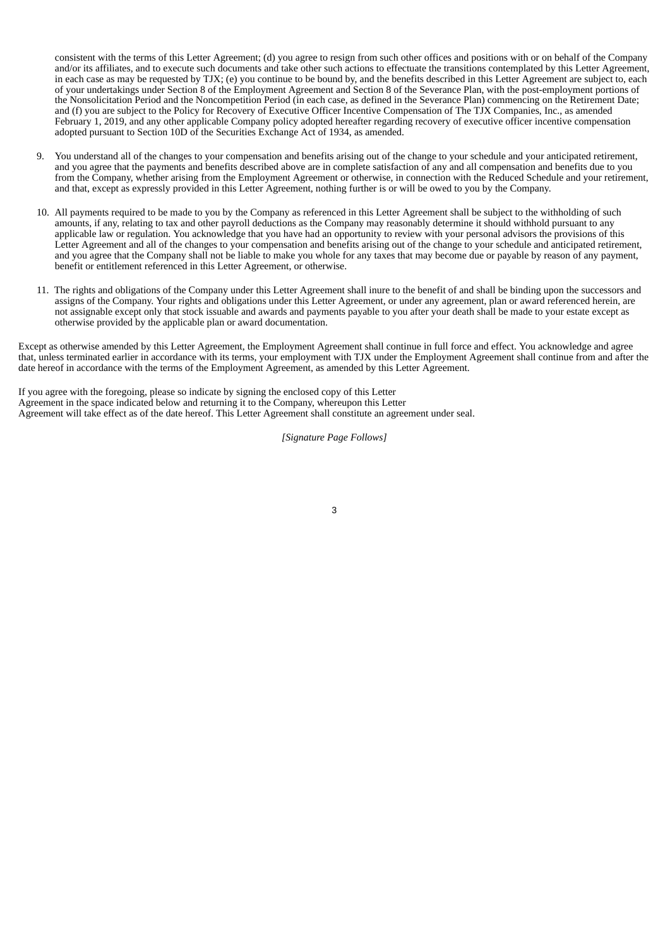consistent with the terms of this Letter Agreement; (d) you agree to resign from such other offices and positions with or on behalf of the Company and/or its affiliates, and to execute such documents and take other such actions to effectuate the transitions contemplated by this Letter Agreement, in each case as may be requested by TJX; (e) you continue to be bound by, and the benefits described in this Letter Agreement are subject to, each of your undertakings under Section 8 of the Employment Agreement and Section 8 of the Severance Plan, with the post-employment portions of the Nonsolicitation Period and the Noncompetition Period (in each case, as defined in the Severance Plan) commencing on the Retirement Date; and (f) you are subject to the Policy for Recovery of Executive Officer Incentive Compensation of The TJX Companies, Inc., as amended February 1, 2019, and any other applicable Company policy adopted hereafter regarding recovery of executive officer incentive compensation adopted pursuant to Section 10D of the Securities Exchange Act of 1934, as amended.

- 9. You understand all of the changes to your compensation and benefits arising out of the change to your schedule and your anticipated retirement, and you agree that the payments and benefits described above are in complete satisfaction of any and all compensation and benefits due to you from the Company, whether arising from the Employment Agreement or otherwise, in connection with the Reduced Schedule and your retirement, and that, except as expressly provided in this Letter Agreement, nothing further is or will be owed to you by the Company.
- 10. All payments required to be made to you by the Company as referenced in this Letter Agreement shall be subject to the withholding of such amounts, if any, relating to tax and other payroll deductions as the Company may reasonably determine it should withhold pursuant to any applicable law or regulation. You acknowledge that you have had an opportunity to review with your personal advisors the provisions of this Letter Agreement and all of the changes to your compensation and benefits arising out of the change to your schedule and anticipated retirement, and you agree that the Company shall not be liable to make you whole for any taxes that may become due or payable by reason of any payment, benefit or entitlement referenced in this Letter Agreement, or otherwise.
- 11. The rights and obligations of the Company under this Letter Agreement shall inure to the benefit of and shall be binding upon the successors and assigns of the Company. Your rights and obligations under this Letter Agreement, or under any agreement, plan or award referenced herein, are not assignable except only that stock issuable and awards and payments payable to you after your death shall be made to your estate except as otherwise provided by the applicable plan or award documentation.

Except as otherwise amended by this Letter Agreement, the Employment Agreement shall continue in full force and effect. You acknowledge and agree that, unless terminated earlier in accordance with its terms, your employment with TJX under the Employment Agreement shall continue from and after the date hereof in accordance with the terms of the Employment Agreement, as amended by this Letter Agreement.

If you agree with the foregoing, please so indicate by signing the enclosed copy of this Letter Agreement in the space indicated below and returning it to the Company, whereupon this Letter Agreement will take effect as of the date hereof. This Letter Agreement shall constitute an agreement under seal.

*[Signature Page Follows]*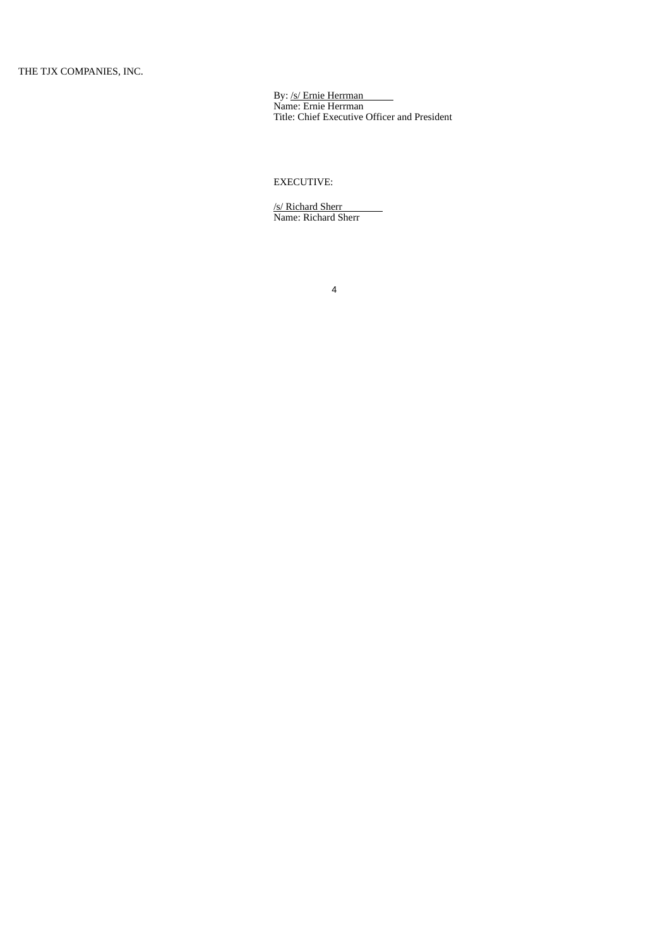THE TJX COMPANIES, INC.

By: /s/ Ernie Herrman Name: Ernie Herrman Title: Chief Executive Officer and President

 $\overline{\phantom{0}}$ 

EXECUTIVE:

/s/ Richard Sherr Name: Richard Sherr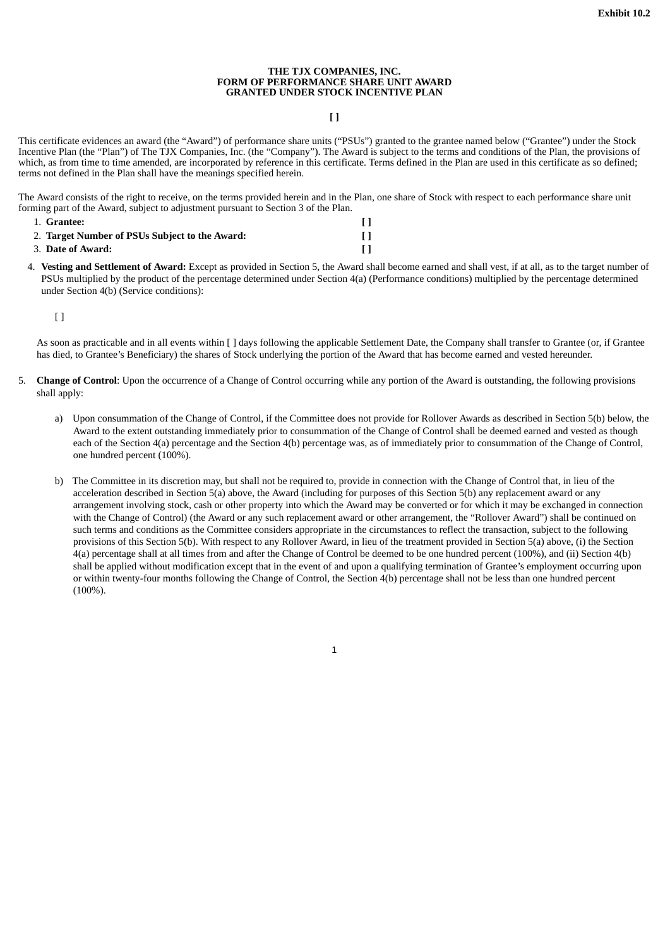#### **THE TJX COMPANIES, INC. FORM OF PERFORMANCE SHARE UNIT AWARD GRANTED UNDER STOCK INCENTIVE PLAN**

### **[ ]**

<span id="page-34-0"></span>This certificate evidences an award (the "Award") of performance share units ("PSUs") granted to the grantee named below ("Grantee") under the Stock Incentive Plan (the "Plan") of The TJX Companies, Inc. (the "Company"). The Award is subject to the terms and conditions of the Plan, the provisions of which, as from time to time amended, are incorporated by reference in this certificate. Terms defined in the Plan are used in this certificate as so defined; terms not defined in the Plan shall have the meanings specified herein.

The Award consists of the right to receive, on the terms provided herein and in the Plan, one share of Stock with respect to each performance share unit forming part of the Award, subject to adjustment pursuant to Section 3 of the Plan.

| 1. Grantee:                                    |  |
|------------------------------------------------|--|
| 2. Target Number of PSUs Subject to the Award: |  |
| 3. Date of Award:                              |  |

4. **Vesting and Settlement of Award:** Except as provided in Section 5, the Award shall become earned and shall vest, if at all, as to the target number of PSUs multiplied by the product of the percentage determined under Section 4(a) (Performance conditions) multiplied by the percentage determined under Section 4(b) (Service conditions):

 $[ ]$ 

As soon as practicable and in all events within [ ] days following the applicable Settlement Date, the Company shall transfer to Grantee (or, if Grantee has died, to Grantee's Beneficiary) the shares of Stock underlying the portion of the Award that has become earned and vested hereunder.

- 5. **Change of Control**: Upon the occurrence of a Change of Control occurring while any portion of the Award is outstanding, the following provisions shall apply:
	- a) Upon consummation of the Change of Control, if the Committee does not provide for Rollover Awards as described in Section 5(b) below, the Award to the extent outstanding immediately prior to consummation of the Change of Control shall be deemed earned and vested as though each of the Section 4(a) percentage and the Section 4(b) percentage was, as of immediately prior to consummation of the Change of Control, one hundred percent (100%).
	- b) The Committee in its discretion may, but shall not be required to, provide in connection with the Change of Control that, in lieu of the acceleration described in Section 5(a) above, the Award (including for purposes of this Section 5(b) any replacement award or any arrangement involving stock, cash or other property into which the Award may be converted or for which it may be exchanged in connection with the Change of Control) (the Award or any such replacement award or other arrangement, the "Rollover Award") shall be continued on such terms and conditions as the Committee considers appropriate in the circumstances to reflect the transaction, subject to the following provisions of this Section 5(b). With respect to any Rollover Award, in lieu of the treatment provided in Section 5(a) above, (i) the Section 4(a) percentage shall at all times from and after the Change of Control be deemed to be one hundred percent (100%), and (ii) Section 4(b) shall be applied without modification except that in the event of and upon a qualifying termination of Grantee's employment occurring upon or within twenty-four months following the Change of Control, the Section 4(b) percentage shall not be less than one hundred percent (100%).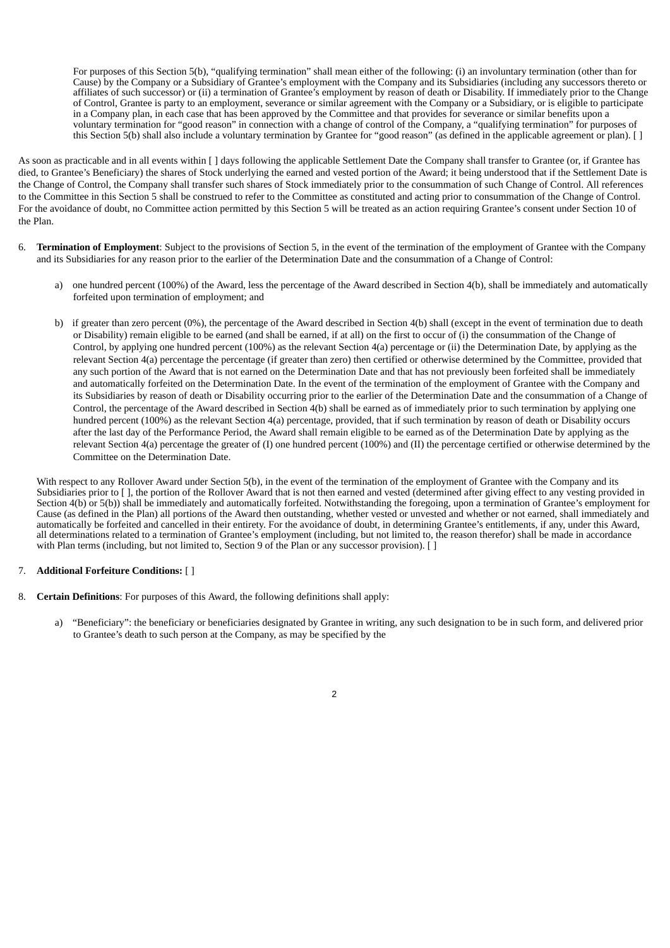For purposes of this Section 5(b), "qualifying termination" shall mean either of the following: (i) an involuntary termination (other than for Cause) by the Company or a Subsidiary of Grantee's employment with the Company and its Subsidiaries (including any successors thereto or affiliates of such successor) or (ii) a termination of Grantee's employment by reason of death or Disability. If immediately prior to the Change of Control, Grantee is party to an employment, severance or similar agreement with the Company or a Subsidiary, or is eligible to participate in a Company plan, in each case that has been approved by the Committee and that provides for severance or similar benefits upon a voluntary termination for "good reason" in connection with a change of control of the Company, a "qualifying termination" for purposes of this Section 5(b) shall also include a voluntary termination by Grantee for "good reason" (as defined in the applicable agreement or plan). [ ]

As soon as practicable and in all events within [ ] days following the applicable Settlement Date the Company shall transfer to Grantee (or, if Grantee has died, to Grantee's Beneficiary) the shares of Stock underlying the earned and vested portion of the Award; it being understood that if the Settlement Date is the Change of Control, the Company shall transfer such shares of Stock immediately prior to the consummation of such Change of Control. All references to the Committee in this Section 5 shall be construed to refer to the Committee as constituted and acting prior to consummation of the Change of Control. For the avoidance of doubt, no Committee action permitted by this Section 5 will be treated as an action requiring Grantee's consent under Section 10 of the Plan.

- 6. **Termination of Employment**: Subject to the provisions of Section 5, in the event of the termination of the employment of Grantee with the Company and its Subsidiaries for any reason prior to the earlier of the Determination Date and the consummation of a Change of Control:
	- a) one hundred percent (100%) of the Award, less the percentage of the Award described in Section 4(b), shall be immediately and automatically forfeited upon termination of employment; and
	- b) if greater than zero percent (0%), the percentage of the Award described in Section 4(b) shall (except in the event of termination due to death or Disability) remain eligible to be earned (and shall be earned, if at all) on the first to occur of (i) the consummation of the Change of Control, by applying one hundred percent (100%) as the relevant Section 4(a) percentage or (ii) the Determination Date, by applying as the relevant Section 4(a) percentage the percentage (if greater than zero) then certified or otherwise determined by the Committee, provided that any such portion of the Award that is not earned on the Determination Date and that has not previously been forfeited shall be immediately and automatically forfeited on the Determination Date. In the event of the termination of the employment of Grantee with the Company and its Subsidiaries by reason of death or Disability occurring prior to the earlier of the Determination Date and the consummation of a Change of Control, the percentage of the Award described in Section 4(b) shall be earned as of immediately prior to such termination by applying one hundred percent (100%) as the relevant Section 4(a) percentage, provided, that if such termination by reason of death or Disability occurs after the last day of the Performance Period, the Award shall remain eligible to be earned as of the Determination Date by applying as the relevant Section 4(a) percentage the greater of (I) one hundred percent (100%) and (II) the percentage certified or otherwise determined by the Committee on the Determination Date.

With respect to any Rollover Award under Section 5(b), in the event of the termination of the employment of Grantee with the Company and its Subsidiaries prior to [], the portion of the Rollover Award that is not then earned and vested (determined after giving effect to any vesting provided in Section 4(b) or 5(b)) shall be immediately and automatically forfeited. Notwithstanding the foregoing, upon a termination of Grantee's employment for Cause (as defined in the Plan) all portions of the Award then outstanding, whether vested or unvested and whether or not earned, shall immediately and automatically be forfeited and cancelled in their entirety. For the avoidance of doubt, in determining Grantee's entitlements, if any, under this Award, all determinations related to a termination of Grantee's employment (including, but not limited to, the reason therefor) shall be made in accordance with Plan terms (including, but not limited to, Section 9 of the Plan or any successor provision). [ ]

#### 7. **Additional Forfeiture Conditions:** [ ]

- 8. **Certain Definitions**: For purposes of this Award, the following definitions shall apply:
	- a) "Beneficiary": the beneficiary or beneficiaries designated by Grantee in writing, any such designation to be in such form, and delivered prior to Grantee's death to such person at the Company, as may be specified by the

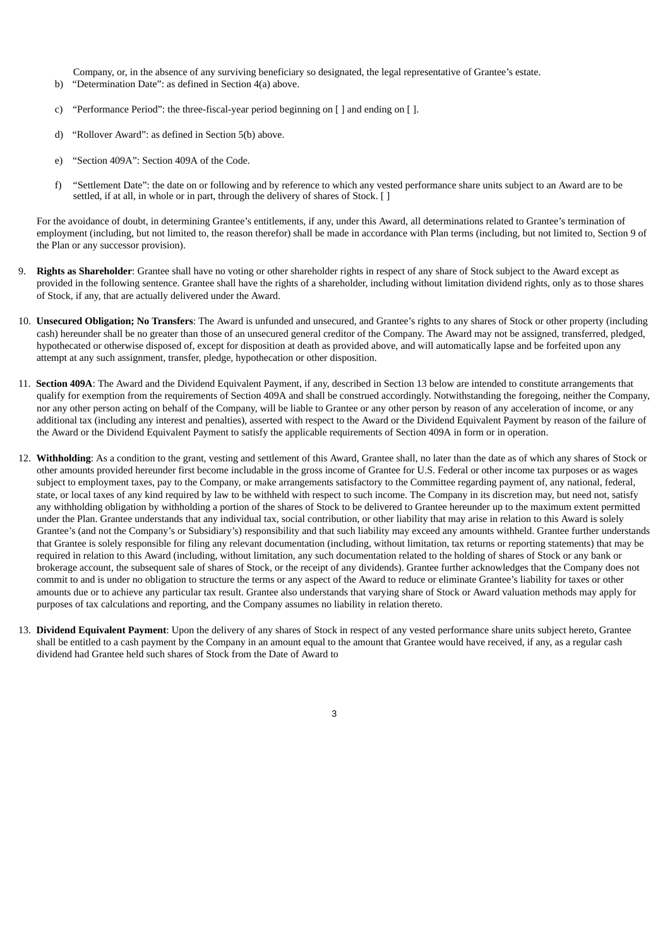Company, or, in the absence of any surviving beneficiary so designated, the legal representative of Grantee's estate.

- b) "Determination Date": as defined in Section 4(a) above.
- c) "Performance Period": the three-fiscal-year period beginning on [ ] and ending on [ ].
- d) "Rollover Award": as defined in Section 5(b) above.
- e) "Section 409A": Section 409A of the Code.
- f) "Settlement Date": the date on or following and by reference to which any vested performance share units subject to an Award are to be settled, if at all, in whole or in part, through the delivery of shares of Stock. [ ]

For the avoidance of doubt, in determining Grantee's entitlements, if any, under this Award, all determinations related to Grantee's termination of employment (including, but not limited to, the reason therefor) shall be made in accordance with Plan terms (including, but not limited to, Section 9 of the Plan or any successor provision).

- 9. **Rights as Shareholder**: Grantee shall have no voting or other shareholder rights in respect of any share of Stock subject to the Award except as provided in the following sentence. Grantee shall have the rights of a shareholder, including without limitation dividend rights, only as to those shares of Stock, if any, that are actually delivered under the Award.
- 10. **Unsecured Obligation; No Transfers**: The Award is unfunded and unsecured, and Grantee's rights to any shares of Stock or other property (including cash) hereunder shall be no greater than those of an unsecured general creditor of the Company. The Award may not be assigned, transferred, pledged, hypothecated or otherwise disposed of, except for disposition at death as provided above, and will automatically lapse and be forfeited upon any attempt at any such assignment, transfer, pledge, hypothecation or other disposition.
- 11. **Section 409A**: The Award and the Dividend Equivalent Payment, if any, described in Section 13 below are intended to constitute arrangements that qualify for exemption from the requirements of Section 409A and shall be construed accordingly. Notwithstanding the foregoing, neither the Company, nor any other person acting on behalf of the Company, will be liable to Grantee or any other person by reason of any acceleration of income, or any additional tax (including any interest and penalties), asserted with respect to the Award or the Dividend Equivalent Payment by reason of the failure of the Award or the Dividend Equivalent Payment to satisfy the applicable requirements of Section 409A in form or in operation.
- 12. **Withholding**: As a condition to the grant, vesting and settlement of this Award, Grantee shall, no later than the date as of which any shares of Stock or other amounts provided hereunder first become includable in the gross income of Grantee for U.S. Federal or other income tax purposes or as wages subject to employment taxes, pay to the Company, or make arrangements satisfactory to the Committee regarding payment of, any national, federal, state, or local taxes of any kind required by law to be withheld with respect to such income. The Company in its discretion may, but need not, satisfy any withholding obligation by withholding a portion of the shares of Stock to be delivered to Grantee hereunder up to the maximum extent permitted under the Plan. Grantee understands that any individual tax, social contribution, or other liability that may arise in relation to this Award is solely Grantee's (and not the Company's or Subsidiary's) responsibility and that such liability may exceed any amounts withheld. Grantee further understands that Grantee is solely responsible for filing any relevant documentation (including, without limitation, tax returns or reporting statements) that may be required in relation to this Award (including, without limitation, any such documentation related to the holding of shares of Stock or any bank or brokerage account, the subsequent sale of shares of Stock, or the receipt of any dividends). Grantee further acknowledges that the Company does not commit to and is under no obligation to structure the terms or any aspect of the Award to reduce or eliminate Grantee's liability for taxes or other amounts due or to achieve any particular tax result. Grantee also understands that varying share of Stock or Award valuation methods may apply for purposes of tax calculations and reporting, and the Company assumes no liability in relation thereto.
- 13. **Dividend Equivalent Payment**: Upon the delivery of any shares of Stock in respect of any vested performance share units subject hereto, Grantee shall be entitled to a cash payment by the Company in an amount equal to the amount that Grantee would have received, if any, as a regular cash dividend had Grantee held such shares of Stock from the Date of Award to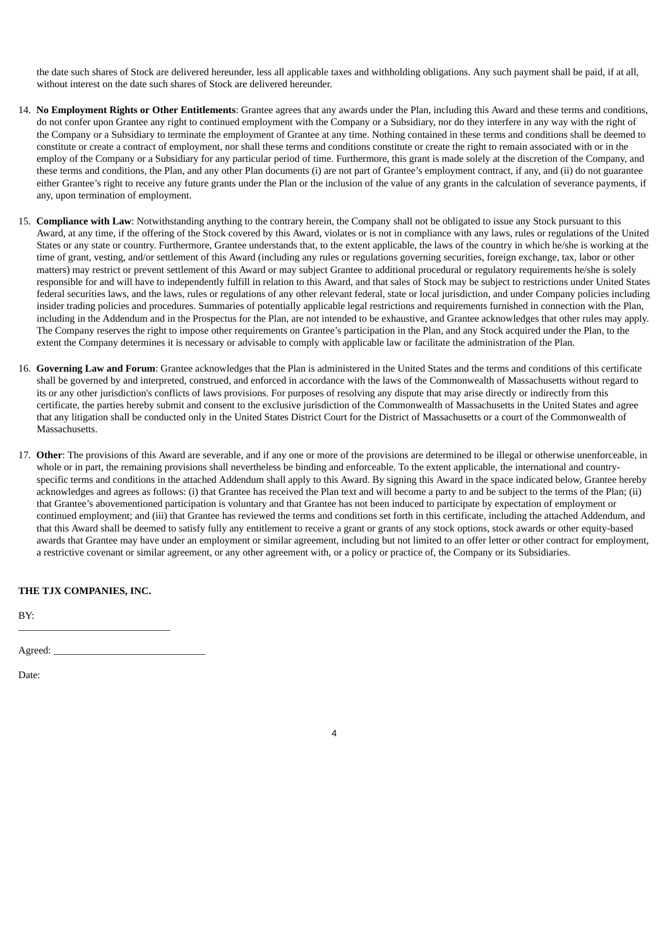the date such shares of Stock are delivered hereunder, less all applicable taxes and withholding obligations. Any such payment shall be paid, if at all, without interest on the date such shares of Stock are delivered hereunder.

- 14. **No Employment Rights or Other Entitlements**: Grantee agrees that any awards under the Plan, including this Award and these terms and conditions, do not confer upon Grantee any right to continued employment with the Company or a Subsidiary, nor do they interfere in any way with the right of the Company or a Subsidiary to terminate the employment of Grantee at any time. Nothing contained in these terms and conditions shall be deemed to constitute or create a contract of employment, nor shall these terms and conditions constitute or create the right to remain associated with or in the employ of the Company or a Subsidiary for any particular period of time. Furthermore, this grant is made solely at the discretion of the Company, and these terms and conditions, the Plan, and any other Plan documents (i) are not part of Grantee's employment contract, if any, and (ii) do not guarantee either Grantee's right to receive any future grants under the Plan or the inclusion of the value of any grants in the calculation of severance payments, if any, upon termination of employment.
- 15. **Compliance with Law**: Notwithstanding anything to the contrary herein, the Company shall not be obligated to issue any Stock pursuant to this Award, at any time, if the offering of the Stock covered by this Award, violates or is not in compliance with any laws, rules or regulations of the United States or any state or country. Furthermore, Grantee understands that, to the extent applicable, the laws of the country in which he/she is working at the time of grant, vesting, and/or settlement of this Award (including any rules or regulations governing securities, foreign exchange, tax, labor or other matters) may restrict or prevent settlement of this Award or may subject Grantee to additional procedural or regulatory requirements he/she is solely responsible for and will have to independently fulfill in relation to this Award, and that sales of Stock may be subject to restrictions under United States federal securities laws, and the laws, rules or regulations of any other relevant federal, state or local jurisdiction, and under Company policies including insider trading policies and procedures. Summaries of potentially applicable legal restrictions and requirements furnished in connection with the Plan, including in the Addendum and in the Prospectus for the Plan, are not intended to be exhaustive, and Grantee acknowledges that other rules may apply. The Company reserves the right to impose other requirements on Grantee's participation in the Plan, and any Stock acquired under the Plan, to the extent the Company determines it is necessary or advisable to comply with applicable law or facilitate the administration of the Plan.
- 16. **Governing Law and Forum**: Grantee acknowledges that the Plan is administered in the United States and the terms and conditions of this certificate shall be governed by and interpreted, construed, and enforced in accordance with the laws of the Commonwealth of Massachusetts without regard to its or any other jurisdiction's conflicts of laws provisions. For purposes of resolving any dispute that may arise directly or indirectly from this certificate, the parties hereby submit and consent to the exclusive jurisdiction of the Commonwealth of Massachusetts in the United States and agree that any litigation shall be conducted only in the United States District Court for the District of Massachusetts or a court of the Commonwealth of Massachusetts.
- 17. **Other**: The provisions of this Award are severable, and if any one or more of the provisions are determined to be illegal or otherwise unenforceable, in whole or in part, the remaining provisions shall nevertheless be binding and enforceable. To the extent applicable, the international and countryspecific terms and conditions in the attached Addendum shall apply to this Award. By signing this Award in the space indicated below, Grantee hereby acknowledges and agrees as follows: (i) that Grantee has received the Plan text and will become a party to and be subject to the terms of the Plan; (ii) that Grantee's abovementioned participation is voluntary and that Grantee has not been induced to participate by expectation of employment or continued employment; and (iii) that Grantee has reviewed the terms and conditions set forth in this certificate, including the attached Addendum, and that this Award shall be deemed to satisfy fully any entitlement to receive a grant or grants of any stock options, stock awards or other equity-based awards that Grantee may have under an employment or similar agreement, including but not limited to an offer letter or other contract for employment, a restrictive covenant or similar agreement, or any other agreement with, or a policy or practice of, the Company or its Subsidiaries.

#### **THE TJX COMPANIES, INC.**

BY: \_\_\_\_\_\_\_\_\_\_\_\_\_\_\_\_\_\_\_\_\_\_\_\_\_\_\_\_\_\_

Agreed:

Date: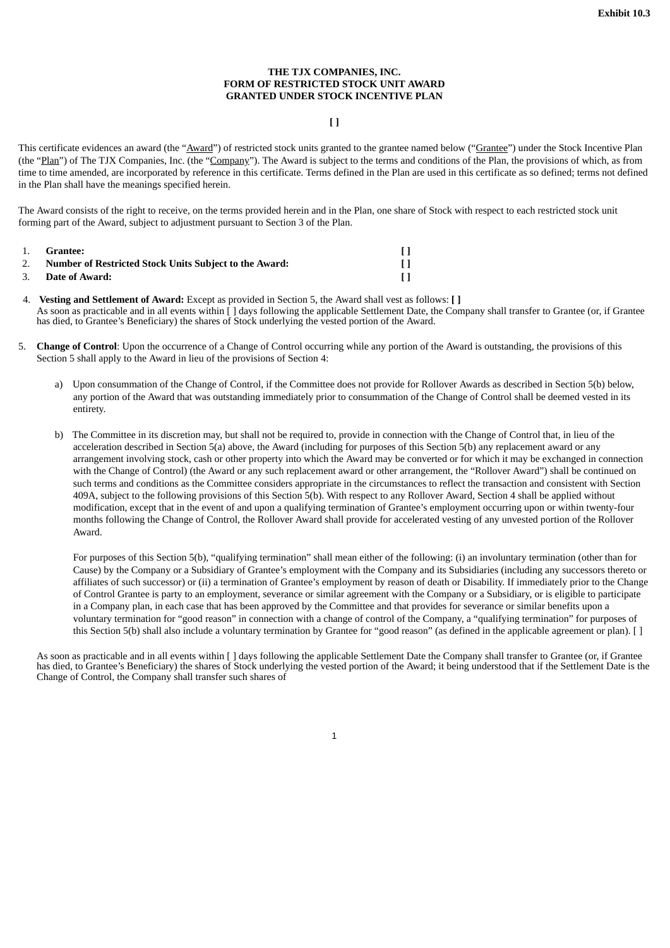#### **THE TJX COMPANIES, INC. FORM OF RESTRICTED STOCK UNIT AWARD GRANTED UNDER STOCK INCENTIVE PLAN**

#### **[ ]**

<span id="page-38-0"></span>This certificate evidences an award (the "Award") of restricted stock units granted to the grantee named below ("Grantee") under the Stock Incentive Plan (the "Plan") of The TJX Companies, Inc. (the "Company"). The Award is subject to the terms and conditions of the Plan, the provisions of which, as from time to time amended, are incorporated by reference in this certificate. Terms defined in the Plan are used in this certificate as so defined; terms not defined in the Plan shall have the meanings specified herein.

The Award consists of the right to receive, on the terms provided herein and in the Plan, one share of Stock with respect to each restricted stock unit forming part of the Award, subject to adjustment pursuant to Section 3 of the Plan.

|    | 1. Grantee:                                            |  |
|----|--------------------------------------------------------|--|
| 2. | Number of Restricted Stock Units Subject to the Award: |  |
|    | 3. Date of Award:                                      |  |

- 4. **Vesting and Settlement of Award:** Except as provided in Section 5, the Award shall vest as follows: **[ ]** As soon as practicable and in all events within [ ] days following the applicable Settlement Date, the Company shall transfer to Grantee (or, if Grantee has died, to Grantee's Beneficiary) the shares of Stock underlying the vested portion of the Award.
- 5. **Change of Control**: Upon the occurrence of a Change of Control occurring while any portion of the Award is outstanding, the provisions of this Section 5 shall apply to the Award in lieu of the provisions of Section 4:
	- a) Upon consummation of the Change of Control, if the Committee does not provide for Rollover Awards as described in Section 5(b) below, any portion of the Award that was outstanding immediately prior to consummation of the Change of Control shall be deemed vested in its entirety.
	- b) The Committee in its discretion may, but shall not be required to, provide in connection with the Change of Control that, in lieu of the acceleration described in Section 5(a) above, the Award (including for purposes of this Section 5(b) any replacement award or any arrangement involving stock, cash or other property into which the Award may be converted or for which it may be exchanged in connection with the Change of Control) (the Award or any such replacement award or other arrangement, the "Rollover Award") shall be continued on such terms and conditions as the Committee considers appropriate in the circumstances to reflect the transaction and consistent with Section 409A, subject to the following provisions of this Section 5(b). With respect to any Rollover Award, Section 4 shall be applied without modification, except that in the event of and upon a qualifying termination of Grantee's employment occurring upon or within twenty-four months following the Change of Control, the Rollover Award shall provide for accelerated vesting of any unvested portion of the Rollover Award.

For purposes of this Section 5(b), "qualifying termination" shall mean either of the following: (i) an involuntary termination (other than for Cause) by the Company or a Subsidiary of Grantee's employment with the Company and its Subsidiaries (including any successors thereto or affiliates of such successor) or (ii) a termination of Grantee's employment by reason of death or Disability. If immediately prior to the Change of Control Grantee is party to an employment, severance or similar agreement with the Company or a Subsidiary, or is eligible to participate in a Company plan, in each case that has been approved by the Committee and that provides for severance or similar benefits upon a voluntary termination for "good reason" in connection with a change of control of the Company, a "qualifying termination" for purposes of this Section 5(b) shall also include a voluntary termination by Grantee for "good reason" (as defined in the applicable agreement or plan). [ ]

As soon as practicable and in all events within [ ] days following the applicable Settlement Date the Company shall transfer to Grantee (or, if Grantee has died, to Grantee's Beneficiary) the shares of Stock underlying the vested portion of the Award; it being understood that if the Settlement Date is the Change of Control, the Company shall transfer such shares of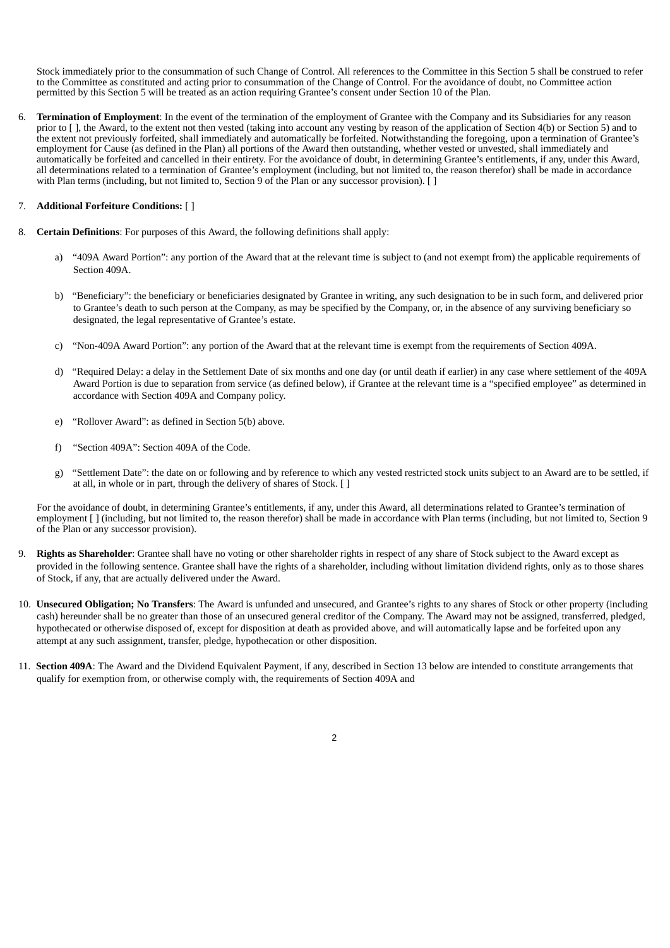Stock immediately prior to the consummation of such Change of Control. All references to the Committee in this Section 5 shall be construed to refer to the Committee as constituted and acting prior to consummation of the Change of Control. For the avoidance of doubt, no Committee action permitted by this Section 5 will be treated as an action requiring Grantee's consent under Section 10 of the Plan.

6. **Termination of Employment**: In the event of the termination of the employment of Grantee with the Company and its Subsidiaries for any reason prior to [ ], the Award, to the extent not then vested (taking into account any vesting by reason of the application of Section 4(b) or Section 5) and to the extent not previously forfeited, shall immediately and automatically be forfeited. Notwithstanding the foregoing, upon a termination of Grantee's employment for Cause (as defined in the Plan) all portions of the Award then outstanding, whether vested or unvested, shall immediately and automatically be forfeited and cancelled in their entirety. For the avoidance of doubt, in determining Grantee's entitlements, if any, under this Award, all determinations related to a termination of Grantee's employment (including, but not limited to, the reason therefor) shall be made in accordance with Plan terms (including, but not limited to, Section 9 of the Plan or any successor provision). [ ]

#### 7. **Additional Forfeiture Conditions:** [ ]

- 8. **Certain Definitions**: For purposes of this Award, the following definitions shall apply:
	- a) "409A Award Portion": any portion of the Award that at the relevant time is subject to (and not exempt from) the applicable requirements of Section 409A.
	- b) "Beneficiary": the beneficiary or beneficiaries designated by Grantee in writing, any such designation to be in such form, and delivered prior to Grantee's death to such person at the Company, as may be specified by the Company, or, in the absence of any surviving beneficiary so designated, the legal representative of Grantee's estate.
	- c) "Non-409A Award Portion": any portion of the Award that at the relevant time is exempt from the requirements of Section 409A.
	- d) "Required Delay: a delay in the Settlement Date of six months and one day (or until death if earlier) in any case where settlement of the 409A Award Portion is due to separation from service (as defined below), if Grantee at the relevant time is a "specified employee" as determined in accordance with Section 409A and Company policy.
	- e) "Rollover Award": as defined in Section 5(b) above.
	- f) "Section 409A": Section 409A of the Code.
	- g) "Settlement Date": the date on or following and by reference to which any vested restricted stock units subject to an Award are to be settled, if at all, in whole or in part, through the delivery of shares of Stock. [ ]

For the avoidance of doubt, in determining Grantee's entitlements, if any, under this Award, all determinations related to Grantee's termination of employment [ ] (including, but not limited to, the reason therefor) shall be made in accordance with Plan terms (including, but not limited to, Section 9 of the Plan or any successor provision).

- 9. **Rights as Shareholder**: Grantee shall have no voting or other shareholder rights in respect of any share of Stock subject to the Award except as provided in the following sentence. Grantee shall have the rights of a shareholder, including without limitation dividend rights, only as to those shares of Stock, if any, that are actually delivered under the Award.
- 10. **Unsecured Obligation; No Transfers**: The Award is unfunded and unsecured, and Grantee's rights to any shares of Stock or other property (including cash) hereunder shall be no greater than those of an unsecured general creditor of the Company. The Award may not be assigned, transferred, pledged, hypothecated or otherwise disposed of, except for disposition at death as provided above, and will automatically lapse and be forfeited upon any attempt at any such assignment, transfer, pledge, hypothecation or other disposition.
- 11. **Section 409A**: The Award and the Dividend Equivalent Payment, if any, described in Section 13 below are intended to constitute arrangements that qualify for exemption from, or otherwise comply with, the requirements of Section 409A and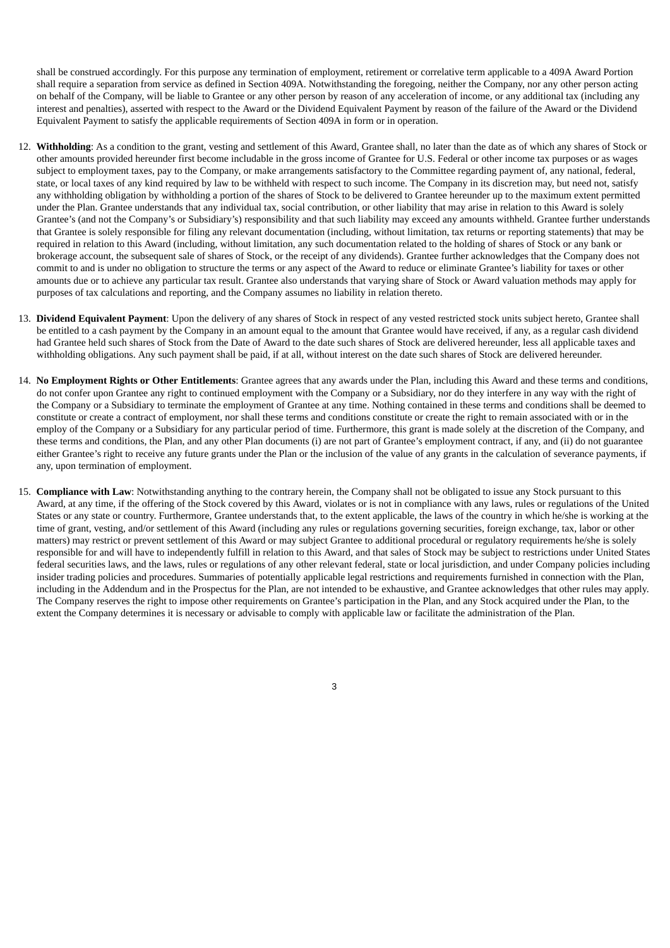shall be construed accordingly. For this purpose any termination of employment, retirement or correlative term applicable to a 409A Award Portion shall require a separation from service as defined in Section 409A. Notwithstanding the foregoing, neither the Company, nor any other person acting on behalf of the Company, will be liable to Grantee or any other person by reason of any acceleration of income, or any additional tax (including any interest and penalties), asserted with respect to the Award or the Dividend Equivalent Payment by reason of the failure of the Award or the Dividend Equivalent Payment to satisfy the applicable requirements of Section 409A in form or in operation.

- 12. **Withholding**: As a condition to the grant, vesting and settlement of this Award, Grantee shall, no later than the date as of which any shares of Stock or other amounts provided hereunder first become includable in the gross income of Grantee for U.S. Federal or other income tax purposes or as wages subject to employment taxes, pay to the Company, or make arrangements satisfactory to the Committee regarding payment of, any national, federal, state, or local taxes of any kind required by law to be withheld with respect to such income. The Company in its discretion may, but need not, satisfy any withholding obligation by withholding a portion of the shares of Stock to be delivered to Grantee hereunder up to the maximum extent permitted under the Plan. Grantee understands that any individual tax, social contribution, or other liability that may arise in relation to this Award is solely Grantee's (and not the Company's or Subsidiary's) responsibility and that such liability may exceed any amounts withheld. Grantee further understands that Grantee is solely responsible for filing any relevant documentation (including, without limitation, tax returns or reporting statements) that may be required in relation to this Award (including, without limitation, any such documentation related to the holding of shares of Stock or any bank or brokerage account, the subsequent sale of shares of Stock, or the receipt of any dividends). Grantee further acknowledges that the Company does not commit to and is under no obligation to structure the terms or any aspect of the Award to reduce or eliminate Grantee's liability for taxes or other amounts due or to achieve any particular tax result. Grantee also understands that varying share of Stock or Award valuation methods may apply for purposes of tax calculations and reporting, and the Company assumes no liability in relation thereto.
- 13. **Dividend Equivalent Payment**: Upon the delivery of any shares of Stock in respect of any vested restricted stock units subject hereto, Grantee shall be entitled to a cash payment by the Company in an amount equal to the amount that Grantee would have received, if any, as a regular cash dividend had Grantee held such shares of Stock from the Date of Award to the date such shares of Stock are delivered hereunder, less all applicable taxes and withholding obligations. Any such payment shall be paid, if at all, without interest on the date such shares of Stock are delivered hereunder.
- 14. **No Employment Rights or Other Entitlements**: Grantee agrees that any awards under the Plan, including this Award and these terms and conditions, do not confer upon Grantee any right to continued employment with the Company or a Subsidiary, nor do they interfere in any way with the right of the Company or a Subsidiary to terminate the employment of Grantee at any time. Nothing contained in these terms and conditions shall be deemed to constitute or create a contract of employment, nor shall these terms and conditions constitute or create the right to remain associated with or in the employ of the Company or a Subsidiary for any particular period of time. Furthermore, this grant is made solely at the discretion of the Company, and these terms and conditions, the Plan, and any other Plan documents (i) are not part of Grantee's employment contract, if any, and (ii) do not guarantee either Grantee's right to receive any future grants under the Plan or the inclusion of the value of any grants in the calculation of severance payments, if any, upon termination of employment.
- 15. **Compliance with Law**: Notwithstanding anything to the contrary herein, the Company shall not be obligated to issue any Stock pursuant to this Award, at any time, if the offering of the Stock covered by this Award, violates or is not in compliance with any laws, rules or regulations of the United States or any state or country. Furthermore, Grantee understands that, to the extent applicable, the laws of the country in which he/she is working at the time of grant, vesting, and/or settlement of this Award (including any rules or regulations governing securities, foreign exchange, tax, labor or other matters) may restrict or prevent settlement of this Award or may subject Grantee to additional procedural or regulatory requirements he/she is solely responsible for and will have to independently fulfill in relation to this Award, and that sales of Stock may be subject to restrictions under United States federal securities laws, and the laws, rules or regulations of any other relevant federal, state or local jurisdiction, and under Company policies including insider trading policies and procedures. Summaries of potentially applicable legal restrictions and requirements furnished in connection with the Plan, including in the Addendum and in the Prospectus for the Plan, are not intended to be exhaustive, and Grantee acknowledges that other rules may apply. The Company reserves the right to impose other requirements on Grantee's participation in the Plan, and any Stock acquired under the Plan, to the extent the Company determines it is necessary or advisable to comply with applicable law or facilitate the administration of the Plan.
	- 3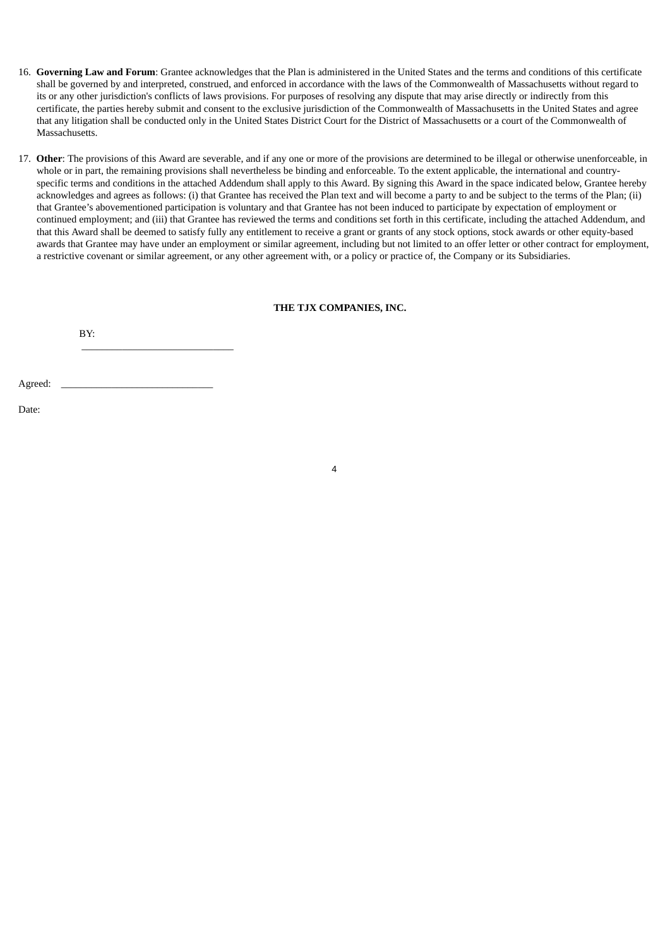- 16. **Governing Law and Forum**: Grantee acknowledges that the Plan is administered in the United States and the terms and conditions of this certificate shall be governed by and interpreted, construed, and enforced in accordance with the laws of the Commonwealth of Massachusetts without regard to its or any other jurisdiction's conflicts of laws provisions. For purposes of resolving any dispute that may arise directly or indirectly from this certificate, the parties hereby submit and consent to the exclusive jurisdiction of the Commonwealth of Massachusetts in the United States and agree that any litigation shall be conducted only in the United States District Court for the District of Massachusetts or a court of the Commonwealth of Massachusetts.
- 17. **Other**: The provisions of this Award are severable, and if any one or more of the provisions are determined to be illegal or otherwise unenforceable, in whole or in part, the remaining provisions shall nevertheless be binding and enforceable. To the extent applicable, the international and countryspecific terms and conditions in the attached Addendum shall apply to this Award. By signing this Award in the space indicated below, Grantee hereby acknowledges and agrees as follows: (i) that Grantee has received the Plan text and will become a party to and be subject to the terms of the Plan; (ii) that Grantee's abovementioned participation is voluntary and that Grantee has not been induced to participate by expectation of employment or continued employment; and (iii) that Grantee has reviewed the terms and conditions set forth in this certificate, including the attached Addendum, and that this Award shall be deemed to satisfy fully any entitlement to receive a grant or grants of any stock options, stock awards or other equity-based awards that Grantee may have under an employment or similar agreement, including but not limited to an offer letter or other contract for employment, a restrictive covenant or similar agreement, or any other agreement with, or a policy or practice of, the Company or its Subsidiaries.

#### **THE TJX COMPANIES, INC.**

4

BY:

Agreed:

 $\_$ 

Date: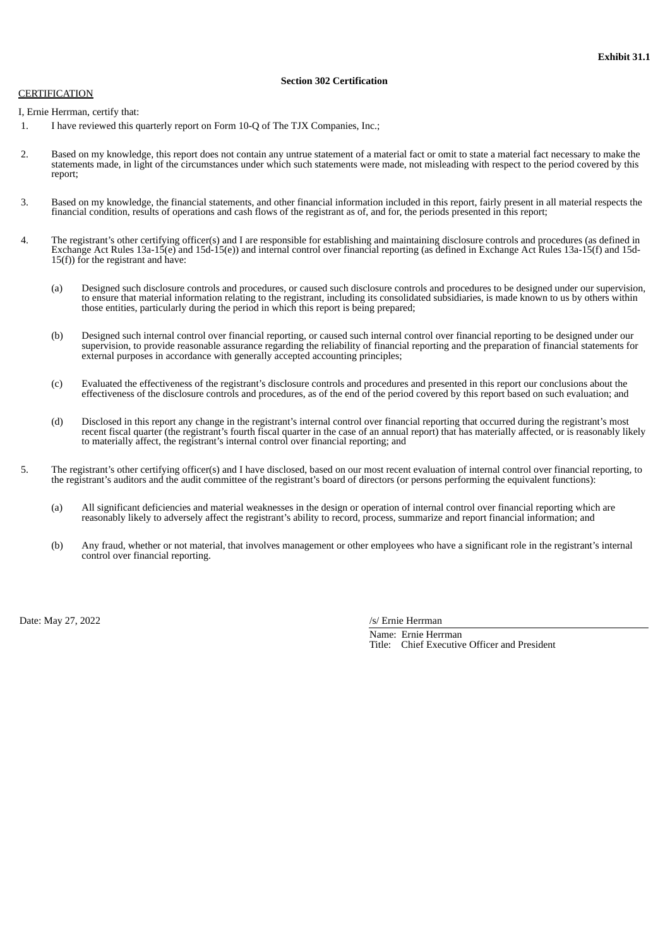#### **Section 302 Certification**

#### <span id="page-42-0"></span>**CERTIFICATION**

I, Ernie Herrman, certify that:

- 1. I have reviewed this quarterly report on Form 10-Q of The TJX Companies, Inc.;
- 2. Based on my knowledge, this report does not contain any untrue statement of a material fact or omit to state a material fact necessary to make the statements made, in light of the circumstances under which such statements were made, not misleading with respect to the period covered by this report;
- 3. Based on my knowledge, the financial statements, and other financial information included in this report, fairly present in all material respects the financial condition, results of operations and cash flows of the registrant as of, and for, the periods presented in this report;
- 4. The registrant's other certifying officer(s) and I are responsible for establishing and maintaining disclosure controls and procedures (as defined in Exchange Act Rules 13a-15(e) and 15d-15(e)) and internal control over financial reporting (as defined in Exchange Act Rules 13a-15(f) and 15d- $15(f)$ ) for the registrant and have:
	- (a) Designed such disclosure controls and procedures, or caused such disclosure controls and procedures to be designed under our supervision, to ensure that material information relating to the registrant, including its consolidated subsidiaries, is made known to us by others within those entities, particularly during the period in which this report is being prepared;
	- (b) Designed such internal control over financial reporting, or caused such internal control over financial reporting to be designed under our supervision, to provide reasonable assurance regarding the reliability of financial reporting and the preparation of financial statements for external purposes in accordance with generally accepted accounting principles;
	- (c) Evaluated the effectiveness of the registrant's disclosure controls and procedures and presented in this report our conclusions about the effectiveness of the disclosure controls and procedures, as of the end of the period covered by this report based on such evaluation; and
	- (d) Disclosed in this report any change in the registrant's internal control over financial reporting that occurred during the registrant's most recent fiscal quarter (the registrant's fourth fiscal quarter in the case of an annual report) that has materially affected, or is reasonably likely to materially affect, the registrant's internal control over financial reporting; and
- 5. The registrant's other certifying officer(s) and I have disclosed, based on our most recent evaluation of internal control over financial reporting, to the registrant's auditors and the audit committee of the registrant's board of directors (or persons performing the equivalent functions):
	- (a) All significant deficiencies and material weaknesses in the design or operation of internal control over financial reporting which are reasonably likely to adversely affect the registrant's ability to record, process, summarize and report financial information; and
	- (b) Any fraud, whether or not material, that involves management or other employees who have a significant role in the registrant's internal control over financial reporting.

Date: May 27, 2022 /s/ Ernie Herrman

Name: Ernie Herrman Title: Chief Executive Officer and President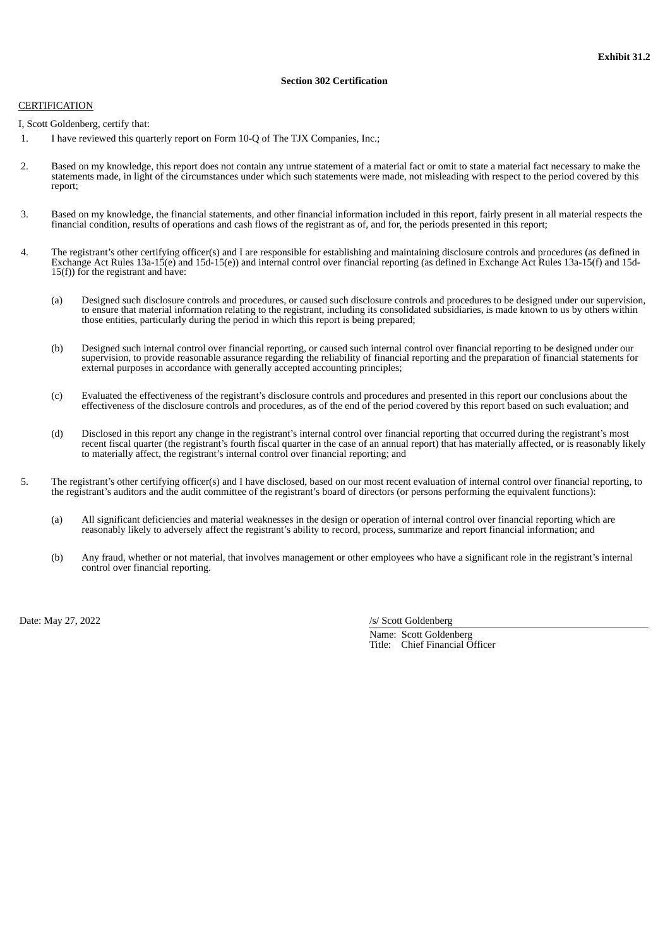#### **Section 302 Certification**

### <span id="page-43-0"></span>**CERTIFICATION**

I, Scott Goldenberg, certify that:

- 1. I have reviewed this quarterly report on Form 10-Q of The TJX Companies, Inc.;
- 2. Based on my knowledge, this report does not contain any untrue statement of a material fact or omit to state a material fact necessary to make the statements made, in light of the circumstances under which such statements were made, not misleading with respect to the period covered by this report;
- 3. Based on my knowledge, the financial statements, and other financial information included in this report, fairly present in all material respects the financial condition, results of operations and cash flows of the registrant as of, and for, the periods presented in this report;
- 4. The registrant's other certifying officer(s) and I are responsible for establishing and maintaining disclosure controls and procedures (as defined in Exchange Act Rules 13a-15(e) and 15d-15(e)) and internal control over financial reporting (as defined in Exchange Act Rules 13a-15(f) and 15d- $15(f)$ ) for the registrant and have:
	- (a) Designed such disclosure controls and procedures, or caused such disclosure controls and procedures to be designed under our supervision, to ensure that material information relating to the registrant, including its consolidated subsidiaries, is made known to us by others within those entities, particularly during the period in which this report is being prepared;
	- (b) Designed such internal control over financial reporting, or caused such internal control over financial reporting to be designed under our supervision, to provide reasonable assurance regarding the reliability of financial reporting and the preparation of financial statements for external purposes in accordance with generally accepted accounting principles;
	- (c) Evaluated the effectiveness of the registrant's disclosure controls and procedures and presented in this report our conclusions about the effectiveness of the disclosure controls and procedures, as of the end of the period covered by this report based on such evaluation; and
	- (d) Disclosed in this report any change in the registrant's internal control over financial reporting that occurred during the registrant's most recent fiscal quarter (the registrant's fourth fiscal quarter in the case of an annual report) that has materially affected, or is reasonably likely to materially affect, the registrant's internal control over financial reporting; and
- 5. The registrant's other certifying officer(s) and I have disclosed, based on our most recent evaluation of internal control over financial reporting, to the registrant's auditors and the audit committee of the registrant's board of directors (or persons performing the equivalent functions):
	- (a) All significant deficiencies and material weaknesses in the design or operation of internal control over financial reporting which are reasonably likely to adversely affect the registrant's ability to record, process, summarize and report financial information; and
	- (b) Any fraud, whether or not material, that involves management or other employees who have a significant role in the registrant's internal control over financial reporting.

Date: May 27, 2022 /s/ Scott Goldenberg

Name: Scott Goldenberg Title: Chief Financial Officer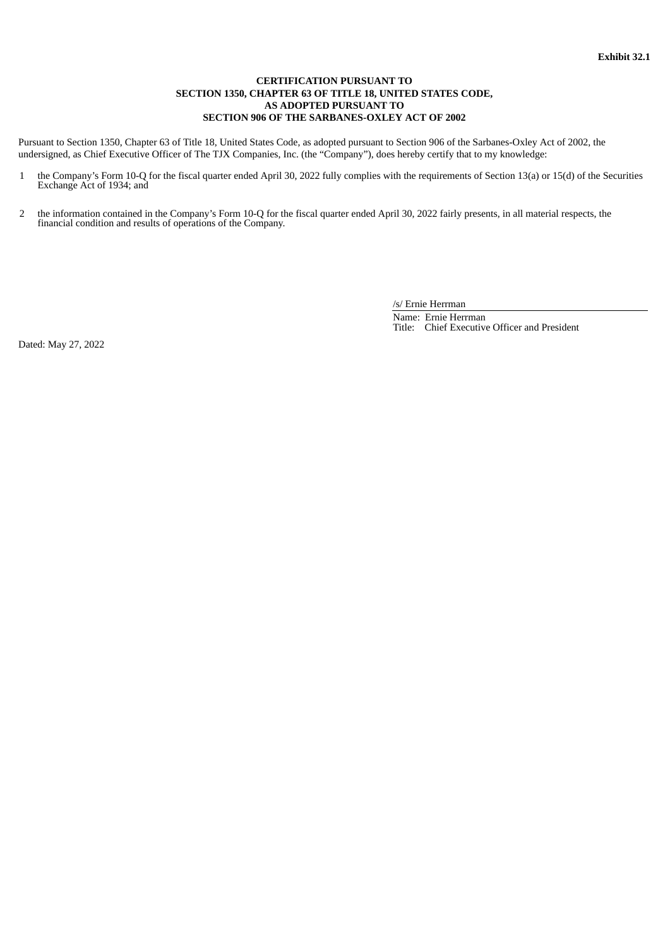#### **CERTIFICATION PURSUANT TO SECTION 1350, CHAPTER 63 OF TITLE 18, UNITED STATES CODE, AS ADOPTED PURSUANT TO SECTION 906 OF THE SARBANES-OXLEY ACT OF 2002**

<span id="page-44-0"></span>Pursuant to Section 1350, Chapter 63 of Title 18, United States Code, as adopted pursuant to Section 906 of the Sarbanes-Oxley Act of 2002, the undersigned, as Chief Executive Officer of The TJX Companies, Inc. (the "Company"), does hereby certify that to my knowledge:

- 1 the Company's Form 10-Q for the fiscal quarter ended April 30, 2022 fully complies with the requirements of Section 13(a) or 15(d) of the Securities Exchange Act of 1934; and
- 2 the information contained in the Company's Form 10-Q for the fiscal quarter ended April 30, 2022 fairly presents, in all material respects, the financial condition and results of operations of the Company.

/s/ Ernie Herrman

Name: Ernie Herrman Title: Chief Executive Officer and President

Dated: May 27, 2022